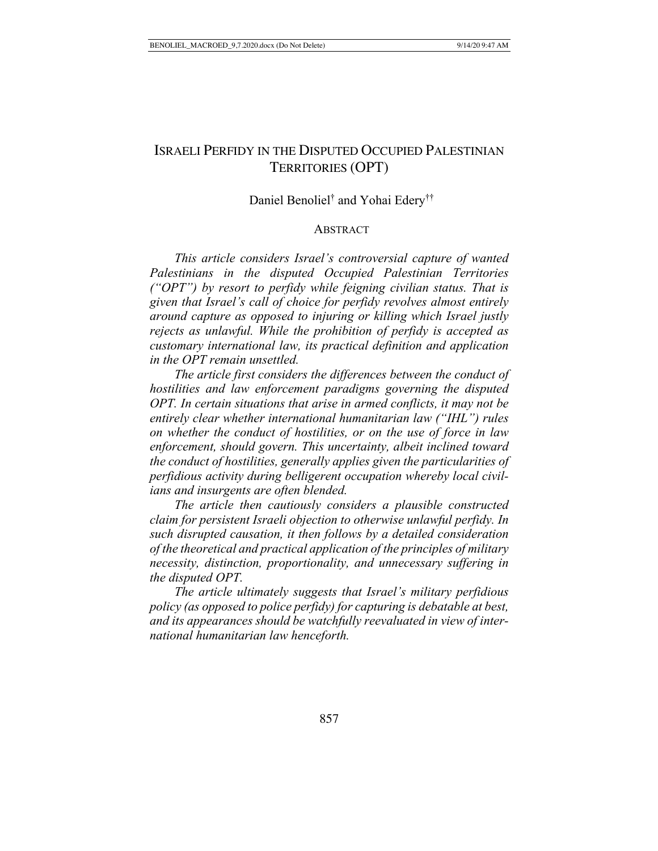# ISRAELI PERFIDY IN THE DISPUTED OCCUPIED PALESTINIAN TERRITORIES (OPT)

# Daniel Benoliel<sup>†</sup> and Yohai Edery<sup>††</sup>

# ABSTRACT

*This article considers Israel's controversial capture of wanted Palestinians in the disputed Occupied Palestinian Territories ("OPT") by resort to perfidy while feigning civilian status. That is given that Israel's call of choice for perfidy revolves almost entirely around capture as opposed to injuring or killing which Israel justly rejects as unlawful. While the prohibition of perfidy is accepted as customary international law, its practical definition and application in the OPT remain unsettled.*

*The article first considers the differences between the conduct of hostilities and law enforcement paradigms governing the disputed OPT. In certain situations that arise in armed conflicts, it may not be entirely clear whether international humanitarian law ("IHL") rules on whether the conduct of hostilities, or on the use of force in law enforcement, should govern. This uncertainty, albeit inclined toward the conduct of hostilities, generally applies given the particularities of perfidious activity during belligerent occupation whereby local civilians and insurgents are often blended.*

*The article then cautiously considers a plausible constructed claim for persistent Israeli objection to otherwise unlawful perfidy. In such disrupted causation, it then follows by a detailed consideration of the theoretical and practical application of the principles of military necessity, distinction, proportionality, and unnecessary suffering in the disputed OPT.*

*The article ultimately suggests that Israel's military perfidious policy (as opposed to police perfidy) for capturing is debatable at best, and its appearances should be watchfully reevaluated in view of international humanitarian law henceforth.*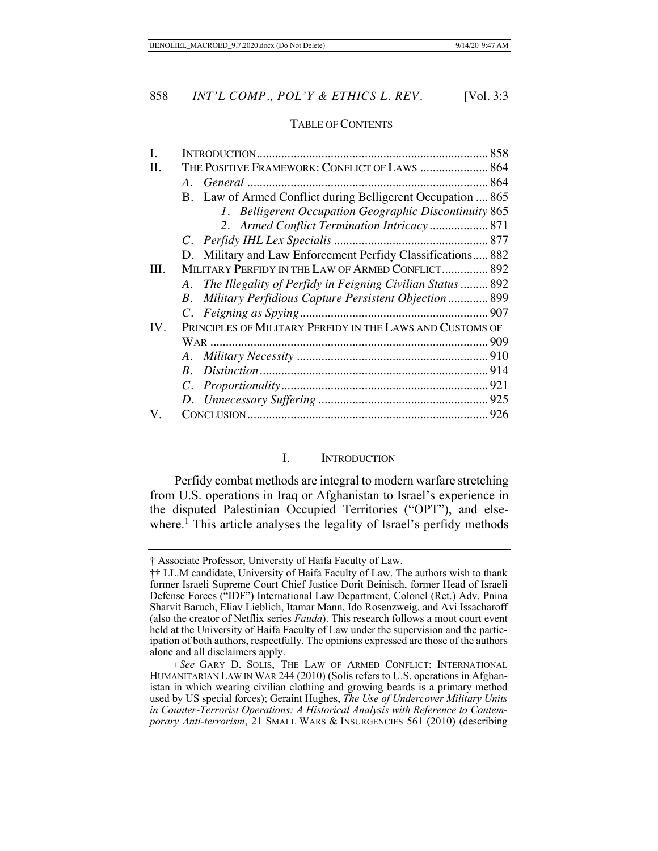#### TABLE OF CONTENTS

| I.   |                                                               |
|------|---------------------------------------------------------------|
| П.   | THE POSITIVE FRAMEWORK: CONFLICT OF LAWS  864                 |
|      |                                                               |
|      | B. Law of Armed Conflict during Belligerent Occupation  865   |
|      | 1. Belligerent Occupation Geographic Discontinuity 865        |
|      |                                                               |
|      |                                                               |
|      | D. Military and Law Enforcement Perfidy Classifications 882   |
| III. | MILITARY PERFIDY IN THE LAW OF ARMED CONFLICT 892             |
|      | A. The Illegality of Perfidy in Feigning Civilian Status  892 |
|      | B. Military Perfidious Capture Persistent Objection  899      |
|      |                                                               |
| IV.  | PRINCIPLES OF MILITARY PERFIDY IN THE LAWS AND CUSTOMS OF     |
|      |                                                               |
|      | A.                                                            |
|      | $B_{-}$                                                       |
|      |                                                               |
|      |                                                               |
| V.   |                                                               |
|      |                                                               |

# I. INTRODUCTION

Perfidy combat methods are integral to modern warfare stretching from U.S. operations in Iraq or Afghanistan to Israel's experience in the disputed Palestinian Occupied Territories ("OPT"), and elsewhere.<sup>1</sup> This article analyses the legality of Israel's perfidy methods

<sup>†</sup> Associate Professor, University of Haifa Faculty of Law.

<sup>††</sup> LL.M candidate, University of Haifa Faculty of Law. The authors wish to thank former Israeli Supreme Court Chief Justice Dorit Beinisch, former Head of Israeli Defense Forces ("IDF") International Law Department, Colonel (Ret.) Adv. Pnina Sharvit Baruch, Eliav Lieblich, Itamar Mann, Ido Rosenzweig, and Avi Issacharoff (also the creator of Netflix series *Fauda*). This research follows a moot court event held at the University of Haifa Faculty of Law under the supervision and the participation of both authors, respectfully. The opinions expressed are those of the authors alone and all disclaimers apply.

<sup>1</sup> *See* GARY D. SOLIS, THE LAW OF ARMED CONFLICT: INTERNATIONAL HUMANITARIAN LAW IN WAR 244 (2010) (Solis refers to U.S. operations in Afghanistan in which wearing civilian clothing and growing beards is a primary method used by US special forces); Geraint Hughes, *The Use of Undercover Military Units in Counter-Terrorist Operations: A Historical Analysis with Reference to Contemporary Anti-terrorism*, 21 SMALL WARS & INSURGENCIES 561 (2010) (describing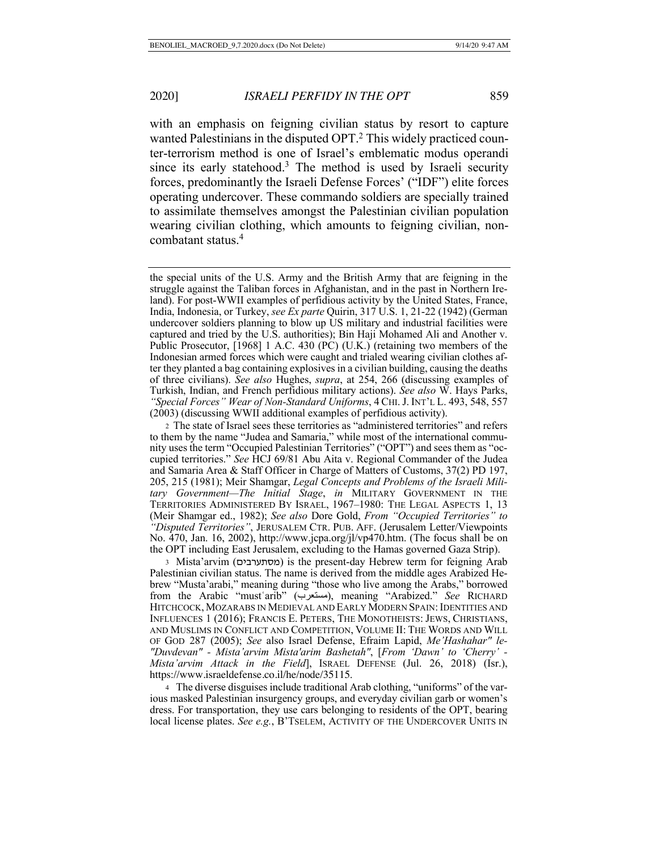with an emphasis on feigning civilian status by resort to capture wanted Palestinians in the disputed OPT.2 This widely practiced counter-terrorism method is one of Israel's emblematic modus operandi since its early statehood.3 The method is used by Israeli security forces, predominantly the Israeli Defense Forces' ("IDF") elite forces operating undercover. These commando soldiers are specially trained to assimilate themselves amongst the Palestinian civilian population wearing civilian clothing, which amounts to feigning civilian, noncombatant status.4

3 Mista'arvim ( םיברעתסמ ( is the present-day Hebrew term for feigning Arab Palestinian civilian status. The name is derived from the middle ages Arabized Hebrew "Musta'arabi," meaning during "those who live among the Arabs," borrowed from the Arabic "mustʿarib" ( برعتسم( , meaning "Arabized." *See* RICHARD HITCHCOCK, MOZARABS IN MEDIEVAL AND EARLY MODERN SPAIN: IDENTITIES AND INFLUENCES 1 (2016); FRANCIS E. PETERS, THE MONOTHEISTS: JEWS, CHRISTIANS, AND MUSLIMS IN CONFLICT AND COMPETITION, VOLUME II: THE WORDS AND WILL OF GOD 287 (2005); *See* also Israel Defense, Efraim Lapid, *Me'Hashahar" le- "Duvdevan" - Mista'arvim Mista'arim Bashetah"*, [*From 'Dawn' to 'Cherry' - Mista'arvim Attack in the Field*], ISRAEL DEFENSE (Jul. 26, 2018) (Isr.), https://www.israeldefense.co.il/he/node/35115.

4 The diverse disguises include traditional Arab clothing, "uniforms" of the various masked Palestinian insurgency groups, and everyday civilian garb or women's dress. For transportation, they use cars belonging to residents of the OPT, bearing local license plates. See e.g., B'TSELEM, ACTIVITY OF THE UNDERCOVER UNITS IN

the special units of the U.S. Army and the British Army that are feigning in the struggle against the Taliban forces in Afghanistan, and in the past in Northern Ireland). For post-WWII examples of perfidious activity by the United States, France, India, Indonesia, or Turkey, *see Ex parte* Quirin, 317 U.S. 1, 21-22 (1942) (German undercover soldiers planning to blow up US military and industrial facilities were captured and tried by the U.S. authorities); Bin Haji Mohamed Ali and Another v. Public Prosecutor, [1968] 1 A.C. 430 (PC) (U.K.) (retaining two members of the Indonesian armed forces which were caught and trialed wearing civilian clothes after they planted a bag containing explosives in a civilian building, causing the deaths of three civilians). *See also* Hughes, *supra*, at 254, 266 (discussing examples of Turkish, Indian, and French perfidious military actions). *See also* W. Hays Parks, *"Special Forces" Wear of Non-Standard Uniforms*, 4 CHI.J. INT'L L. 493, 548, 557 (2003) (discussing WWII additional examples of perfidious activity).

<sup>2</sup> The state of Israel sees these territories as "administered territories" and refers to them by the name "Judea and Samaria," while most of the international community uses the term "Occupied Palestinian Territories" ("OPT") and sees them as "occupied territories." *See* HCJ 69/81 Abu Aita v. Regional Commander of the Judea and Samaria Area & Staff Officer in Charge of Matters of Customs, 37(2) PD 197, 205, 215 (1981); Meir Shamgar, *Legal Concepts and Problems of the Israeli Military Government—The Initial Stage*, *in* MILITARY GOVERNMENT IN THE TERRITORIES ADMINISTERED BY ISRAEL, 1967–1980: THE LEGAL ASPECTS 1, 13 (Meir Shamgar ed., 1982); *See also* Dore Gold, *From "Occupied Territories" to "Disputed Territories"*, JERUSALEM CTR. PUB. AFF. (Jerusalem Letter/Viewpoints No. 470, Jan. 16, 2002), http://www.jcpa.org/jl/vp470.htm. (The focus shall be on the OPT including East Jerusalem, excluding to the Hamas governed Gaza Strip).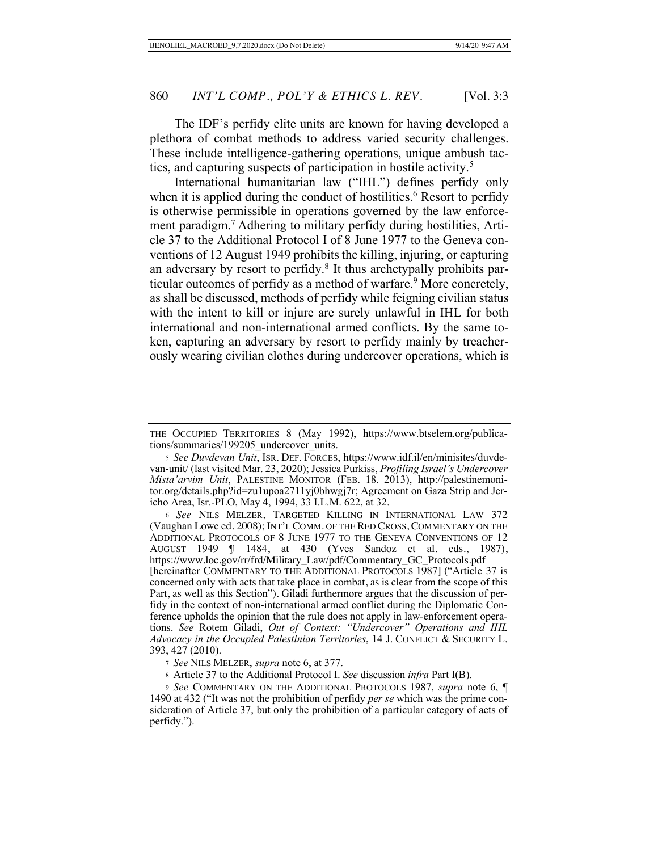The IDF's perfidy elite units are known for having developed a plethora of combat methods to address varied security challenges. These include intelligence-gathering operations, unique ambush tactics, and capturing suspects of participation in hostile activity.5

International humanitarian law ("IHL") defines perfidy only when it is applied during the conduct of hostilities.<sup>6</sup> Resort to perfidy is otherwise permissible in operations governed by the law enforcement paradigm.7 Adhering to military perfidy during hostilities, Article 37 to the Additional Protocol I of 8 June 1977 to the Geneva conventions of 12 August 1949 prohibits the killing, injuring, or capturing an adversary by resort to perfidy.<sup>8</sup> It thus archetypally prohibits particular outcomes of perfidy as a method of warfare.<sup>9</sup> More concretely, as shall be discussed, methods of perfidy while feigning civilian status with the intent to kill or injure are surely unlawful in IHL for both international and non-international armed conflicts. By the same token, capturing an adversary by resort to perfidy mainly by treacherously wearing civilian clothes during undercover operations, which is

THE OCCUPIED TERRITORIES 8 (May 1992), https://www.btselem.org/publications/summaries/199205\_undercover\_units.

<sup>5</sup> *See Duvdevan Unit*, ISR. DEF. FORCES, https://www.idf.il/en/minisites/duvdevan-unit/ (last visited Mar. 23, 2020); Jessica Purkiss, *Profiling Israel's Undercover Mista'arvim Unit*, PALESTINE MONITOR (FEB. 18. 2013), http://palestinemonitor.org/details.php?id=zu1upoa2711yj0bhwgj7r; Agreement on Gaza Strip and Jericho Area, Isr.-PLO, May 4, 1994, 33 I.L.M. 622, at 32.

<sup>6</sup>*See* NILS MELZER, TARGETED KILLING IN INTERNATIONAL LAW 372 (Vaughan Lowe ed. 2008); INT'L COMM. OF THE RED CROSS, COMMENTARY ON THE ADDITIONAL PROTOCOLS OF 8 JUNE 1977 TO THE GENEVA CONVENTIONS OF 12 AUGUST 1949 ¶ 1484, at 430 (Yves Sandoz et al. eds., 1987), https://www.loc.gov/rr/frd/Military\_Law/pdf/Commentary\_GC\_Protocols.pdf [hereinafter COMMENTARY TO THE ADDITIONAL PROTOCOLS 1987] ("Article 37 is concerned only with acts that take place in combat, as is clear from the scope of this Part, as well as this Section"). Giladi furthermore argues that the discussion of perfidy in the context of non-international armed conflict during the Diplomatic Conference upholds the opinion that the rule does not apply in law-enforcement operations. *See* Rotem Giladi, *Out of Context: "Undercover" Operations and IHL Advocacy in the Occupied Palestinian Territories*, 14 J. CONFLICT & SECURITY L. 393, 427 (2010).

<sup>7</sup> *See* NILS MELZER, *supra* note 6, at 377.

<sup>8</sup> Article 37 to the Additional Protocol I. *See* discussion *infra* Part I(B).

<sup>9</sup> *See* COMMENTARY ON THE ADDITIONAL PROTOCOLS 1987, *supra* note 6, ¶ 1490 at 432 ("It was not the prohibition of perfidy *per se* which was the prime consideration of Article 37, but only the prohibition of a particular category of acts of perfidy.").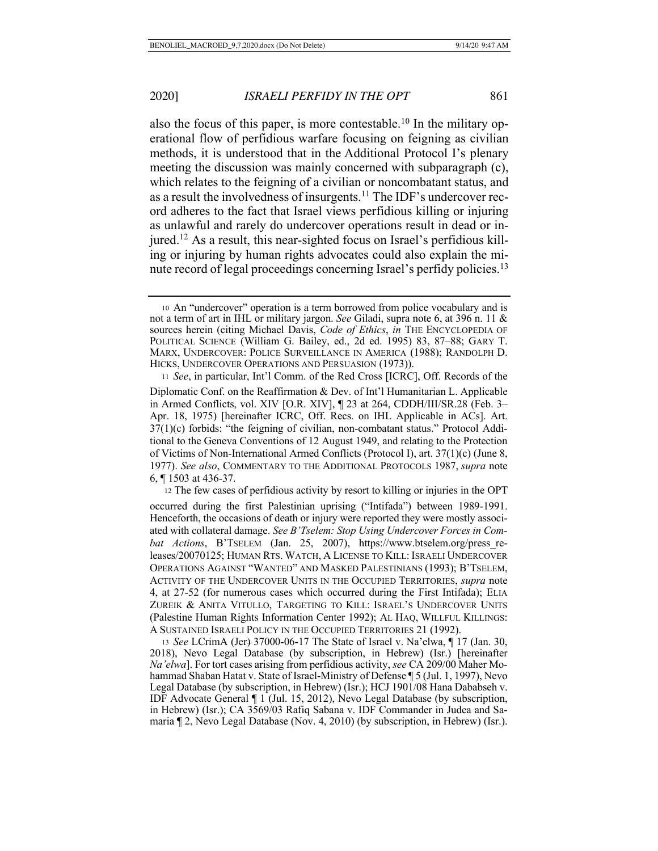also the focus of this paper, is more contestable.<sup>10</sup> In the military operational flow of perfidious warfare focusing on feigning as civilian methods, it is understood that in the Additional Protocol I's plenary meeting the discussion was mainly concerned with subparagraph (c), which relates to the feigning of a civilian or noncombatant status, and as a result the involvedness of insurgents.<sup>11</sup> The IDF's undercover record adheres to the fact that Israel views perfidious killing or injuring as unlawful and rarely do undercover operations result in dead or injured.12 As a result, this near-sighted focus on Israel's perfidious killing or injuring by human rights advocates could also explain the minute record of legal proceedings concerning Israel's perfidy policies.<sup>13</sup>

<sup>10</sup> An "undercover" operation is a term borrowed from police vocabulary and is not a term of art in IHL or military jargon. *See* Giladi, supra note 6, at 396 n. 11 & sources herein (citing Michael Davis, *Code of Ethics*, *in* THE ENCYCLOPEDIA OF POLITICAL SCIENCE (William G. Bailey, ed., 2d ed. 1995) 83, 87–88; GARY T. MARX, UNDERCOVER: POLICE SURVEILLANCE IN AMERICA (1988); RANDOLPH D. HICKS, UNDERCOVER OPERATIONS AND PERSUASION (1973)).

<sup>11</sup> *See*, in particular, Int'l Comm. of the Red Cross [ICRC], Off. Records of the Diplomatic Conf. on the Reaffirmation & Dev. of Int'l Humanitarian L. Applicable in Armed Conflicts, vol. XIV [O.R. XIV], ¶ 23 at 264, CDDH/III/SR.28 (Feb. 3– Apr. 18, 1975) [hereinafter ICRC, Off. Recs. on IHL Applicable in ACs]. Art. 37(1)(c) forbids: "the feigning of civilian, non-combatant status." Protocol Additional to the Geneva Conventions of 12 August 1949, and relating to the Protection of Victims of Non-International Armed Conflicts (Protocol I), art. 37(1)(c) (June 8, 1977). *See also*, COMMENTARY TO THE ADDITIONAL PROTOCOLS 1987, *supra* note 6, ¶ 1503 at 436-37.

<sup>12</sup> The few cases of perfidious activity by resort to killing or injuries in the OPT occurred during the first Palestinian uprising ("Intifada") between 1989-1991. Henceforth, the occasions of death or injury were reported they were mostly associated with collateral damage. *See B'Tselem: Stop Using Undercover Forces in Combat Actions*, B'TSELEM (Jan. 25, 2007), https://www.btselem.org/press\_releases/20070125; HUMAN RTS. WATCH, A LICENSE TO KILL: ISRAELI UNDERCOVER OPERATIONS AGAINST "WANTED" AND MASKED PALESTINIANS (1993); B'TSELEM, ACTIVITY OF THE UNDERCOVER UNITS IN THE OCCUPIED TERRITORIES, *supra* note 4, at 27-52 (for numerous cases which occurred during the First Intifada); ELIA ZUREIK & ANITA VITULLO, TARGETING TO KILL: ISRAEL'S UNDERCOVER UNITS (Palestine Human Rights Information Center 1992); AL HAQ, WILLFUL KILLINGS: A SUSTAINED ISRAELI POLICY IN THE OCCUPIED TERRITORIES 21 (1992).

<sup>13</sup> *See* LCrimA (Jer) 37000-06-17 The State of Israel v. Na'elwa, ¶ 17 (Jan. 30, 2018), Nevo Legal Database (by subscription, in Hebrew) (Isr.) [hereinafter *Na'elwa*]. For tort cases arising from perfidious activity, *see* CA 209/00 Maher Mohammad Shaban Hatat v. State of Israel-Ministry of Defense ¶ 5 (Jul. 1, 1997), Nevo Legal Database (by subscription, in Hebrew) (Isr.); HCJ 1901/08 Hana Dababseh v. IDF Advocate General ¶ 1 (Jul. 15, 2012), Nevo Legal Database (by subscription, in Hebrew) (Isr.); CA 3569/03 Rafiq Sabana v. IDF Commander in Judea and Samaria ¶ 2, Nevo Legal Database (Nov. 4, 2010) (by subscription, in Hebrew) (Isr.).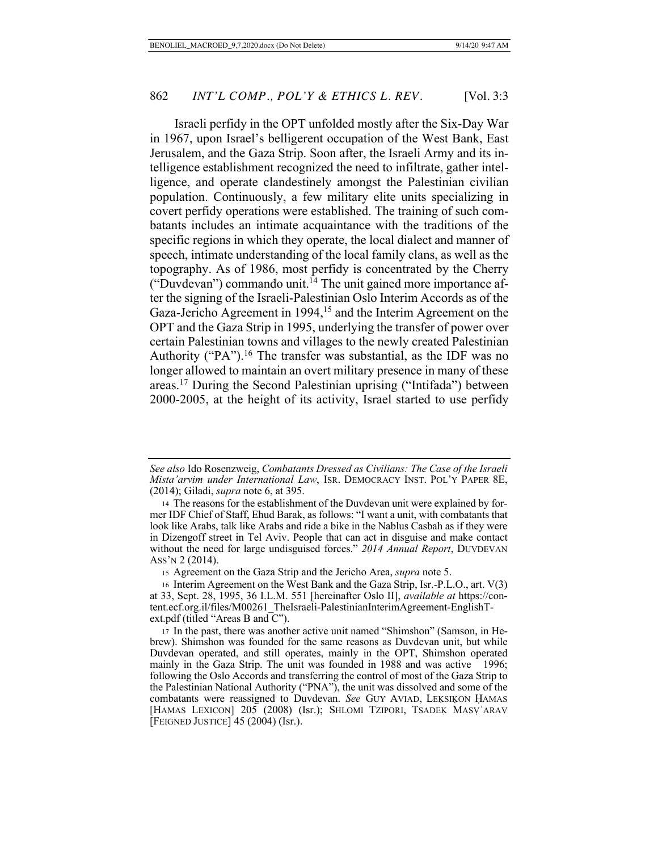Israeli perfidy in the OPT unfolded mostly after the Six-Day War in 1967, upon Israel's belligerent occupation of the West Bank, East Jerusalem, and the Gaza Strip. Soon after, the Israeli Army and its intelligence establishment recognized the need to infiltrate, gather intelligence, and operate clandestinely amongst the Palestinian civilian population. Continuously, a few military elite units specializing in covert perfidy operations were established. The training of such combatants includes an intimate acquaintance with the traditions of the specific regions in which they operate, the local dialect and manner of speech, intimate understanding of the local family clans, as well as the topography. As of 1986, most perfidy is concentrated by the Cherry ("Duvdevan") commando unit.<sup> $14$ </sup> The unit gained more importance after the signing of the Israeli-Palestinian Oslo Interim Accords as of the Gaza-Jericho Agreement in 1994,<sup>15</sup> and the Interim Agreement on the OPT and the Gaza Strip in 1995, underlying the transfer of power over certain Palestinian towns and villages to the newly created Palestinian Authority ("PA").<sup>16</sup> The transfer was substantial, as the IDF was no longer allowed to maintain an overt military presence in many of these areas.17 During the Second Palestinian uprising ("Intifada") between 2000-2005, at the height of its activity, Israel started to use perfidy

*See also* Ido Rosenzweig, *Combatants Dressed as Civilians: The Case of the Israeli Mista'arvim under International Law*, ISR. DEMOCRACY INST. POL'Y PAPER 8E, (2014); Giladi, *supra* note 6, at 395.

<sup>14</sup> The reasons for the establishment of the Duvdevan unit were explained by former IDF Chief of Staff, Ehud Barak, as follows: "I want a unit, with combatants that look like Arabs, talk like Arabs and ride a bike in the Nablus Casbah as if they were in Dizengoff street in Tel Aviv. People that can act in disguise and make contact without the need for large undisguised forces." *2014 Annual Report*, DUVDEVAN ASS'N 2 (2014).

<sup>15</sup> Agreement on the Gaza Strip and the Jericho Area, *supra* note 5.

<sup>16</sup> Interim Agreement on the West Bank and the Gaza Strip, Isr.-P.L.O., art. V(3) at 33, Sept. 28, 1995, 36 I.L.M. 551 [hereinafter Oslo II], *available at* https://content.ecf.org.il/files/M00261\_TheIsraeli-PalestinianInterimAgreement-EnglishText.pdf (titled "Areas B and C").

<sup>17</sup> In the past, there was another active unit named "Shimshon" (Samson, in Hebrew). Shimshon was founded for the same reasons as Duvdevan unit, but while Duvdevan operated, and still operates, mainly in the OPT, Shimshon operated mainly in the Gaza Strip. The unit was founded in 1988 and was active 1996; following the Oslo Accords and transferring the control of most of the Gaza Strip to the Palestinian National Authority ("PNA"), the unit was dissolved and some of the combatants were reassigned to Duvdevan. See GUY AVIAD, LEĶSIĶON ḤAMAS [HAMAS LEXICON] 205 (2008) (Isr.); SHLOMI TZIPORI, TSADEĶ MASV ARAV [FEIGNED JUSTICE] 45 (2004) (Isr.).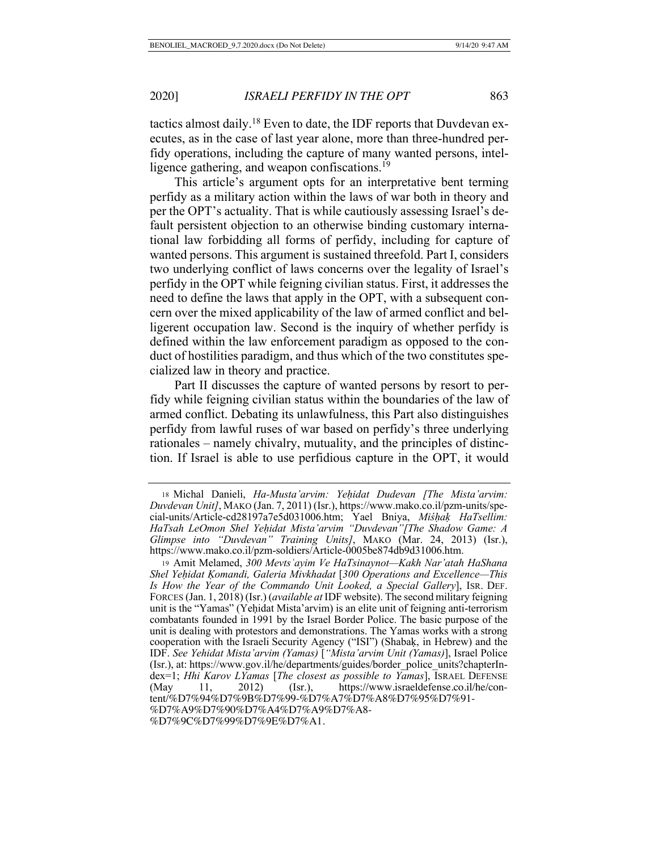tactics almost daily.18 Even to date, the IDF reports that Duvdevan executes, as in the case of last year alone, more than three-hundred perfidy operations, including the capture of many wanted persons, intelligence gathering, and weapon confiscations.<sup>19</sup>

This article's argument opts for an interpretative bent terming perfidy as a military action within the laws of war both in theory and per the OPT's actuality. That is while cautiously assessing Israel's default persistent objection to an otherwise binding customary international law forbidding all forms of perfidy, including for capture of wanted persons. This argument is sustained threefold. Part I, considers two underlying conflict of laws concerns over the legality of Israel's perfidy in the OPT while feigning civilian status. First, it addresses the need to define the laws that apply in the OPT, with a subsequent concern over the mixed applicability of the law of armed conflict and belligerent occupation law. Second is the inquiry of whether perfidy is defined within the law enforcement paradigm as opposed to the conduct of hostilities paradigm, and thus which of the two constitutes specialized law in theory and practice.

Part II discusses the capture of wanted persons by resort to perfidy while feigning civilian status within the boundaries of the law of armed conflict. Debating its unlawfulness, this Part also distinguishes perfidy from lawful ruses of war based on perfidy's three underlying rationales – namely chivalry, mutuality, and the principles of distinction. If Israel is able to use perfidious capture in the OPT, it would

<sup>18</sup> Michal Danieli, *Ha-Musta'arvim: Yeḥidat Dudevan [The Mista'arvim: Duvdevan Unit]*, MAKO (Jan. 7, 2011) (Isr.), https://www.mako.co.il/pzm-units/special-units/Article-cd28197a7e5d031006.htm; Yael Bniya, *Miśḥaḳ HaTsellim: HaTsah LeOmon Shel Yeḥidat Mista'arvim "Duvdevan"[The Shadow Game: A Glimpse into "Duvdevan" Training Units]*, MAKO (Mar. 24, 2013) (Isr.), https://www.mako.co.il/pzm-soldiers/Article-0005be874db9d31006.htm.

<sup>19</sup> Amit Melamed, *300 Mevtsʿayim Ve HaTsinaynot—Kakh Nar'atah HaShana Shel Yeḥidat Ḳomandi, Galeria Mivkhadat* [*300 Operations and Excellence—This Is How the Year of the Commando Unit Looked, a Special Gallery*], ISR. DEF. FORCES (Jan. 1, 2018) (Isr.) (*available at* IDF website). The second military feigning unit is the "Yamas" (Yeḥidat Mista'arvim) is an elite unit of feigning anti-terrorism combatants founded in 1991 by the Israel Border Police. The basic purpose of the unit is dealing with protestors and demonstrations. The Yamas works with a strong cooperation with the Israeli Security Agency ("ISI") (Shabaḳ, in Hebrew) and the IDF. *See Yehidat Mista'arvim (Yamas)* [*"Mista'arvim Unit (Yamas)*], Israel Police (Isr.), at: https://www.gov.il/he/departments/guides/border\_police\_units?chapterIndex=1; *Hhi Karov LYamas* [*The closest as possible to Yamas*], ISRAEL DEFENSE (May 11, 2012) (Isr.), https://www.israeldefense.co.il/he/content/%D7%94%D7%9B%D7%99-%D7%A7%D7%A8%D7%95%D7%91- %D7%A9%D7%90%D7%A4%D7%A9%D7%A8-

<sup>%</sup>D7%9C%D7%99%D7%9E%D7%A1.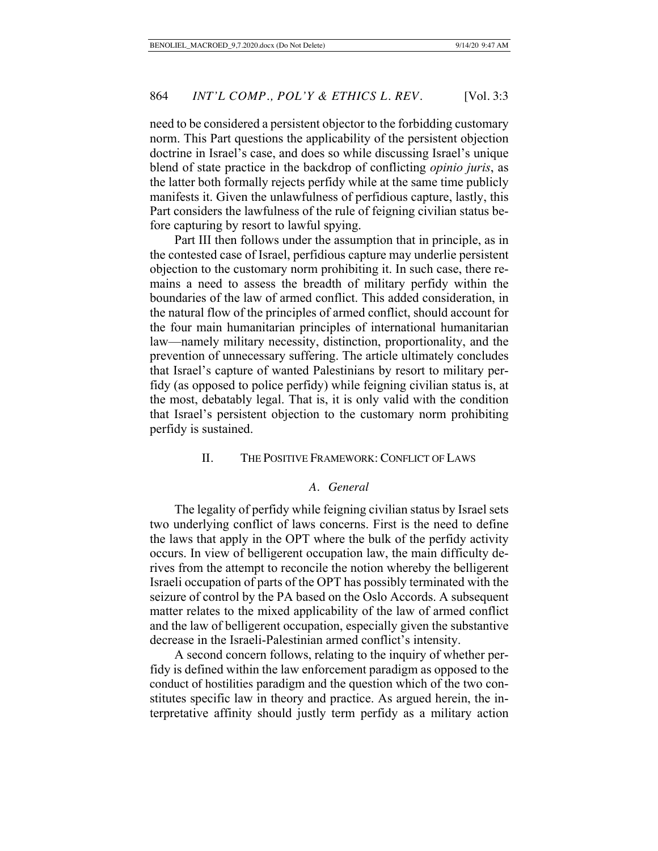need to be considered a persistent objector to the forbidding customary norm. This Part questions the applicability of the persistent objection doctrine in Israel's case, and does so while discussing Israel's unique blend of state practice in the backdrop of conflicting *opinio juris*, as the latter both formally rejects perfidy while at the same time publicly manifests it. Given the unlawfulness of perfidious capture, lastly, this Part considers the lawfulness of the rule of feigning civilian status before capturing by resort to lawful spying.

Part III then follows under the assumption that in principle, as in the contested case of Israel, perfidious capture may underlie persistent objection to the customary norm prohibiting it. In such case, there remains a need to assess the breadth of military perfidy within the boundaries of the law of armed conflict. This added consideration, in the natural flow of the principles of armed conflict, should account for the four main humanitarian principles of international humanitarian law—namely military necessity, distinction, proportionality, and the prevention of unnecessary suffering. The article ultimately concludes that Israel's capture of wanted Palestinians by resort to military perfidy (as opposed to police perfidy) while feigning civilian status is, at the most, debatably legal. That is, it is only valid with the condition that Israel's persistent objection to the customary norm prohibiting perfidy is sustained.

# II. THE POSITIVE FRAMEWORK: CONFLICT OF LAWS

#### *A. General*

The legality of perfidy while feigning civilian status by Israel sets two underlying conflict of laws concerns. First is the need to define the laws that apply in the OPT where the bulk of the perfidy activity occurs. In view of belligerent occupation law, the main difficulty derives from the attempt to reconcile the notion whereby the belligerent Israeli occupation of parts of the OPT has possibly terminated with the seizure of control by the PA based on the Oslo Accords. A subsequent matter relates to the mixed applicability of the law of armed conflict and the law of belligerent occupation, especially given the substantive decrease in the Israeli-Palestinian armed conflict's intensity.

A second concern follows, relating to the inquiry of whether perfidy is defined within the law enforcement paradigm as opposed to the conduct of hostilities paradigm and the question which of the two constitutes specific law in theory and practice. As argued herein, the interpretative affinity should justly term perfidy as a military action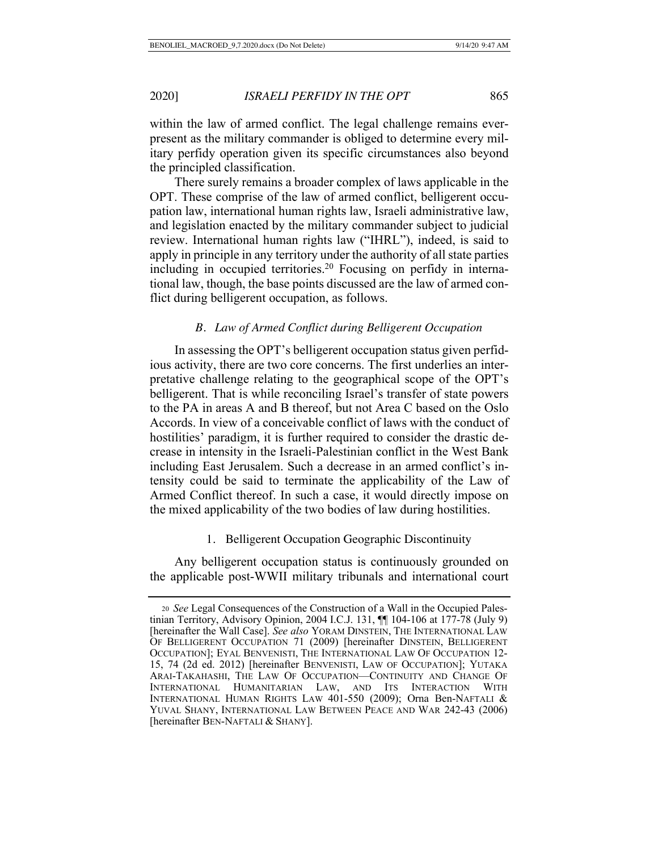within the law of armed conflict. The legal challenge remains everpresent as the military commander is obliged to determine every military perfidy operation given its specific circumstances also beyond the principled classification.

There surely remains a broader complex of laws applicable in the OPT. These comprise of the law of armed conflict, belligerent occupation law, international human rights law, Israeli administrative law, and legislation enacted by the military commander subject to judicial review. International human rights law ("IHRL"), indeed, is said to apply in principle in any territory under the authority of all state parties including in occupied territories.<sup>20</sup> Focusing on perfidy in international law, though, the base points discussed are the law of armed conflict during belligerent occupation, as follows.

## *B. Law of Armed Conflict during Belligerent Occupation*

In assessing the OPT's belligerent occupation status given perfidious activity, there are two core concerns. The first underlies an interpretative challenge relating to the geographical scope of the OPT's belligerent. That is while reconciling Israel's transfer of state powers to the PA in areas A and B thereof, but not Area C based on the Oslo Accords. In view of a conceivable conflict of laws with the conduct of hostilities' paradigm, it is further required to consider the drastic decrease in intensity in the Israeli-Palestinian conflict in the West Bank including East Jerusalem. Such a decrease in an armed conflict's intensity could be said to terminate the applicability of the Law of Armed Conflict thereof. In such a case, it would directly impose on the mixed applicability of the two bodies of law during hostilities.

#### 1. Belligerent Occupation Geographic Discontinuity

Any belligerent occupation status is continuously grounded on the applicable post-WWII military tribunals and international court

<sup>20</sup> *See* Legal Consequences of the Construction of a Wall in the Occupied Palestinian Territory, Advisory Opinion, 2004 I.C.J. 131, ¶¶ 104-106 at 177-78 (July 9) [hereinafter the Wall Case]. *See also* YORAM DINSTEIN, THE INTERNATIONAL LAW OF BELLIGERENT OCCUPATION 71 (2009) [hereinafter DINSTEIN, BELLIGERENT OCCUPATION]; EYAL BENVENISTI, THE INTERNATIONAL LAW OF OCCUPATION 12- 15, 74 (2d ed. 2012) [hereinafter BENVENISTI, LAW OF OCCUPATION]; YUTAKA ARAI-TAKAHASHI, THE LAW OF OCCUPATION—CONTINUITY AND CHANGE OF INTERNATIONAL HUMANITARIAN LAW, AND ITS INTERACTION WITH INTERNATIONAL HUMAN RIGHTS LAW 401-550 (2009); Orna Ben-NAFTALI & YUVAL SHANY, INTERNATIONAL LAW BETWEEN PEACE AND WAR 242-43 (2006) [hereinafter BEN-NAFTALI & SHANY].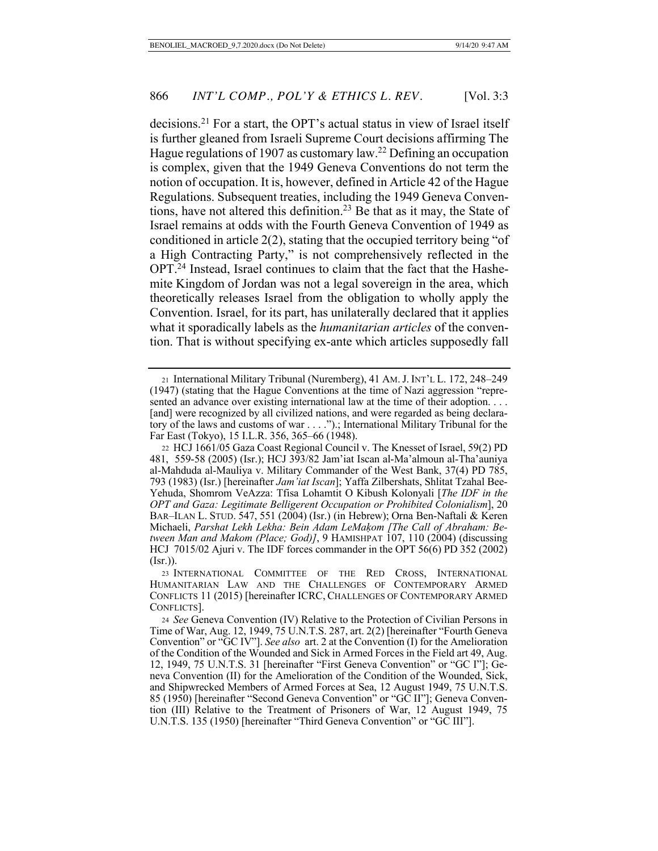decisions.21 For a start, the OPT's actual status in view of Israel itself is further gleaned from Israeli Supreme Court decisions affirming The Hague regulations of 1907 as customary law.22 Defining an occupation is complex, given that the 1949 Geneva Conventions do not term the notion of occupation. It is, however, defined in Article 42 of the Hague Regulations. Subsequent treaties, including the 1949 Geneva Conventions, have not altered this definition.<sup>23</sup> Be that as it may, the State of Israel remains at odds with the Fourth Geneva Convention of 1949 as conditioned in article 2(2), stating that the occupied territory being "of a High Contracting Party," is not comprehensively reflected in the OPT.24 Instead, Israel continues to claim that the fact that the Hashemite Kingdom of Jordan was not a legal sovereign in the area, which theoretically releases Israel from the obligation to wholly apply the Convention. Israel, for its part, has unilaterally declared that it applies what it sporadically labels as the *humanitarian articles* of the convention. That is without specifying ex-ante which articles supposedly fall

<sup>21</sup> International Military Tribunal (Nuremberg), 41 AM.J. INT'L L. 172, 248–249 (1947) (stating that the Hague Conventions at the time of Nazi aggression "represented an advance over existing international law at the time of their adoption. . . . [and] were recognized by all civilized nations, and were regarded as being declaratory of the laws and customs of war . . . .").; International Military Tribunal for the Far East (Tokyo), 15 I.L.R. 356, 365–66 (1948).

<sup>22</sup> HCJ 1661/05 Gaza Coast Regional Council v. The Knesset of Israel, 59(2) PD 481, 58 559- (2005) (Isr.); HCJ 393/82 Jam'iat Iscan al-Ma'almoun al-Tha'auniya al-Mahduda al-Mauliya v. Military Commander of the West Bank, 37(4) PD 785, 793 (1983) (Isr.) [hereinafter *Jam'iat Iscan*]; Yaffa Zilbershats, Shlitat Tzahal Bee-Yehuda, Shomrom VeAzza: Tfisa Lohamtit O Kibush Kolonyali [*The IDF in the OPT and Gaza: Legitimate Belligerent Occupation or Prohibited Colonialism*], 20 BAR–ILAN L. STUD. 547, 551 (2004) (Isr.) (in Hebrew); Orna Ben-Naftali & Keren Michaeli, *Parshat Lekh Lekha: Bein Adam LeMaḳom [The Call of Abraham: Between Man and Makom (Place; God)]*, 9 HAMISHPAT 107, 110 (2004) (discussing HCJ 7015/02 Ajuri v. The IDF forces commander in the OPT 56(6) PD 352 (2002) (Isr.)).

<sup>23</sup> INTERNATIONAL COMMITTEE OF THE RED CROSS, INTERNATIONAL HUMANITARIAN LAW AND THE CHALLENGES OF CONTEMPORARY ARMED CONFLICTS 11 (2015) [hereinafter ICRC, CHALLENGES OF CONTEMPORARY ARMED CONFLICTS].

<sup>24</sup> *See* Geneva Convention (IV) Relative to the Protection of Civilian Persons in Time of War, Aug. 12, 1949, 75 U.N.T.S. 287, art. 2(2) [hereinafter "Fourth Geneva Convention" or "GC IV"]. *See also* art. 2 at the Convention (I) for the Amelioration of the Condition of the Wounded and Sick in Armed Forces in the Field art 49, Aug. 12, 1949, 75 U.N.T.S. 31 [hereinafter "First Geneva Convention" or "GC I"]; Geneva Convention (II) for the Amelioration of the Condition of the Wounded, Sick, and Shipwrecked Members of Armed Forces at Sea, 12 August 1949, 75 U.N.T.S. 85 (1950) [hereinafter "Second Geneva Convention" or "GC II"]; Geneva Convention (III) Relative to the Treatment of Prisoners of War, 12 August 1949, 75 U.N.T.S. 135 (1950) [hereinafter "Third Geneva Convention" or "GC III"].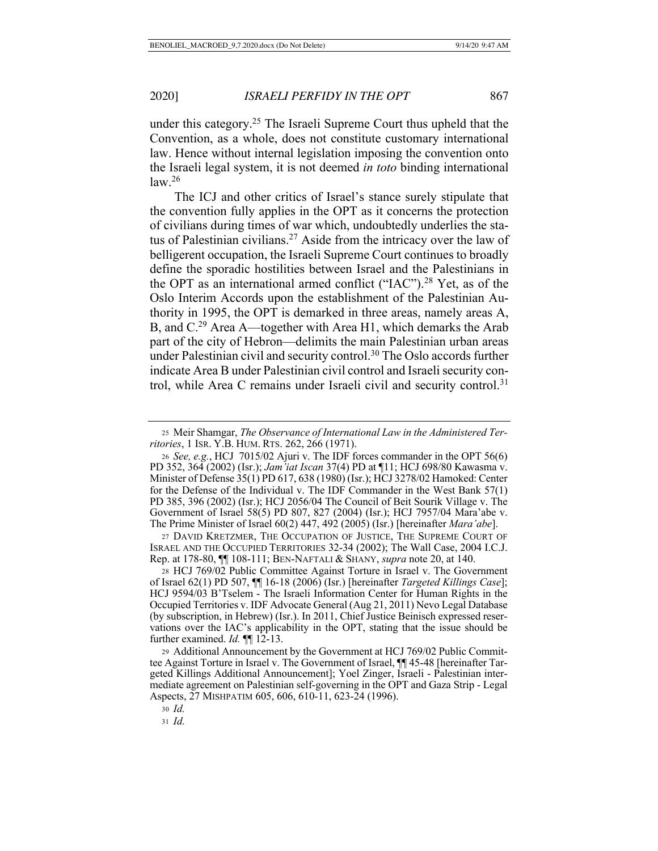under this category.<sup>25</sup> The Israeli Supreme Court thus upheld that the Convention, as a whole, does not constitute customary international law. Hence without internal legislation imposing the convention onto the Israeli legal system, it is not deemed *in toto* binding international  $law.<sup>26</sup>$ 

The ICJ and other critics of Israel's stance surely stipulate that the convention fully applies in the OPT as it concerns the protection of civilians during times of war which, undoubtedly underlies the status of Palestinian civilians.<sup>27</sup> Aside from the intricacy over the law of belligerent occupation, the Israeli Supreme Court continues to broadly define the sporadic hostilities between Israel and the Palestinians in the OPT as an international armed conflict ("IAC").<sup>28</sup> Yet, as of the Oslo Interim Accords upon the establishment of the Palestinian Authority in 1995, the OPT is demarked in three areas, namely areas A, B, and C.29 Area A—together with Area H1, which demarks the Arab part of the city of Hebron—delimits the main Palestinian urban areas under Palestinian civil and security control.30 The Oslo accords further indicate Area B under Palestinian civil control and Israeli security control, while Area C remains under Israeli civil and security control.<sup>31</sup>

27 DAVID KRETZMER, THE OCCUPATION OF JUSTICE, THE SUPREME COURT OF ISRAEL AND THE OCCUPIED TERRITORIES 32-34 (2002); The Wall Case, 2004 I.C.J. Rep. at 178-80, ¶¶ 108-111; BEN-NAFTALI & SHANY, *supra* note 20, at 140.

<sup>28</sup> HCJ 769/02 Public Committee Against Torture in Israel v. The Government of Israel 62(1) PD 507, ¶¶ 16-18 (2006) (Isr.) [hereinafter *Targeted Killings Case*]; HCJ 9594/03 B'Tselem - The Israeli Information Center for Human Rights in the Occupied Territories v. IDF Advocate General (Aug 21, 2011) Nevo Legal Database (by subscription, in Hebrew) (Isr.). In 2011, Chief Justice Beinisch expressed reservations over the IAC's applicability in the OPT, stating that the issue should be further examined. *Id.* **[14.** 12-13.

<sup>29</sup> Additional Announcement by the Government at HCJ 769/02 Public Committee Against Torture in Israel v. The Government of Israel, ¶¶ 45-48 [hereinafter Targeted Killings Additional Announcement]; Yoel Zinger, Israeli - Palestinian intermediate agreement on Palestinian self-governing in the OPT and Gaza Strip - Legal Aspects, 27 MISHPATIM 605, 606, 610-11, 623-24 (1996).

<sup>25</sup> Meir Shamgar, *The Observance of International Law in the Administered Territories*, 1 ISR. Y.B. HUM. RTS. 262, 266 (1971).

<sup>26</sup> *See, e.g.*, HCJ 7015/02 Ajuri v. The IDF forces commander in the OPT 56(6) PD 352, 364 (2002) (Isr.); *Jam'iat Iscan* 37(4) PD at ¶11; HCJ 698/80 Kawasma v. Minister of Defense 35(1) PD 617, 638 (1980) (Isr.); HCJ 3278/02 Hamoked: Center for the Defense of the Individual v. The IDF Commander in the West Bank 57(1) PD 385, 396 (2002) (Isr.); HCJ 2056/04 The Council of Beit Sourik Village v. The Government of Israel 58(5) PD 807, 827 (2004) (Isr.); HCJ 7957/04 Mara'abe v. The Prime Minister of Israel 60(2) 447, 492 (2005) (Isr.) [hereinafter *Mara'abe*].

<sup>30</sup> *Id.*

<sup>31</sup> *Id.*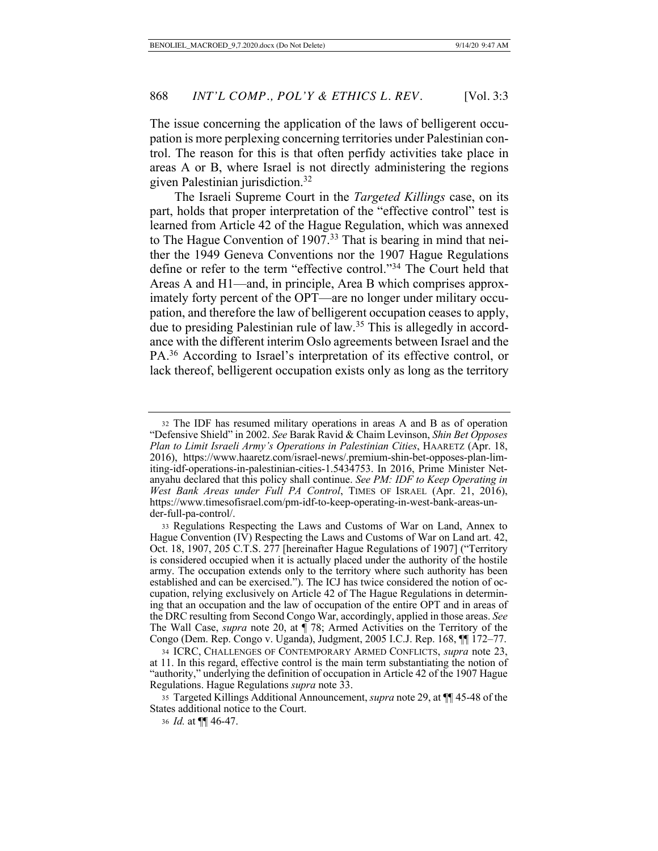The issue concerning the application of the laws of belligerent occupation is more perplexing concerning territories under Palestinian control. The reason for this is that often perfidy activities take place in areas A or B, where Israel is not directly administering the regions given Palestinian jurisdiction.32

The Israeli Supreme Court in the *Targeted Killings* case, on its part, holds that proper interpretation of the "effective control" test is learned from Article 42 of the Hague Regulation, which was annexed to The Hague Convention of 1907.<sup>33</sup> That is bearing in mind that neither the 1949 Geneva Conventions nor the 1907 Hague Regulations define or refer to the term "effective control."34 The Court held that Areas A and H1—and, in principle, Area B which comprises approximately forty percent of the OPT—are no longer under military occupation, and therefore the law of belligerent occupation ceases to apply, due to presiding Palestinian rule of law. <sup>35</sup> This is allegedly in accordance with the different interim Oslo agreements between Israel and the PA.36 According to Israel's interpretation of its effective control, or lack thereof, belligerent occupation exists only as long as the territory

<sup>32</sup> The IDF has resumed military operations in areas A and B as of operation "Defensive Shield" in 2002. *See* Barak Ravid & Chaim Levinson, *Shin Bet Opposes Plan to Limit Israeli Army's Operations in Palestinian Cities*, HAARETZ (Apr. 18, 2016), https://www.haaretz.com/israel-news/.premium-shin-bet-opposes-plan-limiting-idf-operations-in-palestinian-cities-1.5434753. In 2016, Prime Minister Netanyahu declared that this policy shall continue. *See PM: IDF to Keep Operating in West Bank Areas under Full PA Control*, TIMES OF ISRAEL (Apr. 21, 2016), https://www.timesofisrael.com/pm-idf-to-keep-operating-in-west-bank-areas-under-full-pa-control/.

<sup>33</sup> Regulations Respecting the Laws and Customs of War on Land, Annex to Hague Convention (IV) Respecting the Laws and Customs of War on Land art. 42, Oct. 18, 1907, 205 C.T.S. 277 [hereinafter Hague Regulations of 1907] ("Territory is considered occupied when it is actually placed under the authority of the hostile army. The occupation extends only to the territory where such authority has been established and can be exercised."). The ICJ has twice considered the notion of occupation, relying exclusively on Article 42 of The Hague Regulations in determining that an occupation and the law of occupation of the entire OPT and in areas of the DRC resulting from Second Congo War, accordingly, applied in those areas. *See* The Wall Case, *supra* note 20, at ¶ 78; Armed Activities on the Territory of the Congo (Dem. Rep. Congo v. Uganda), Judgment, 2005 I.C.J. Rep. 168, ¶¶ 172–77.

<sup>34</sup> ICRC, CHALLENGES OF CONTEMPORARY ARMED CONFLICTS, *supra* note 23, at 11. In this regard, effective control is the main term substantiating the notion of "authority," underlying the definition of occupation in Article 42 of the 1907 Hague Regulations. Hague Regulations *supra* note 33.

<sup>35</sup> Targeted Killings Additional Announcement, *supra* note 29, at ¶¶ 45-48 of the States additional notice to the Court.

<sup>36</sup> *Id.* at ¶¶ 46-47.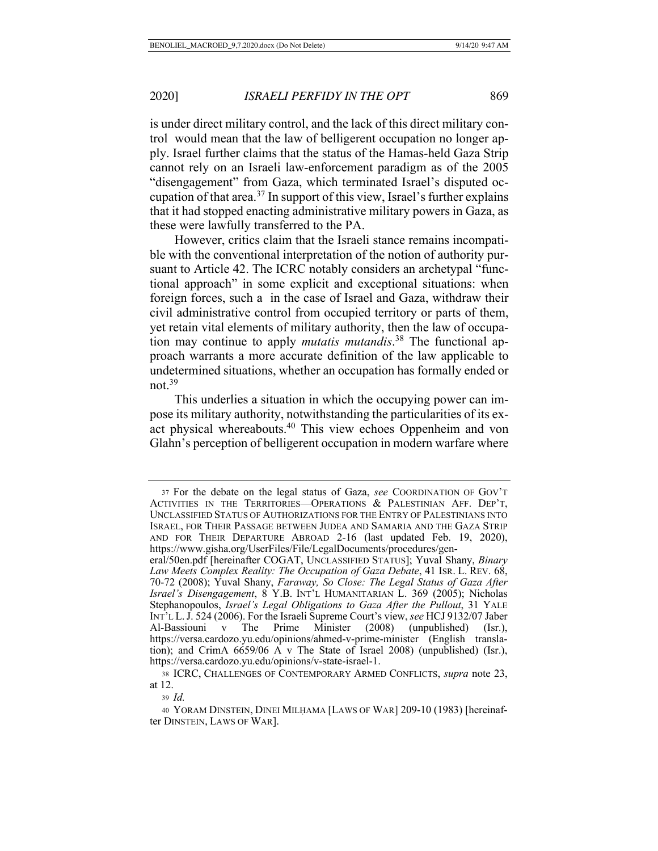is under direct military control, and the lack of this direct military control would mean that the law of belligerent occupation no longer apply. Israel further claims that the status of the Hamas-held Gaza Strip cannot rely on an Israeli law-enforcement paradigm as of the 2005 "disengagement" from Gaza, which terminated Israel's disputed occupation of that area.<sup>37</sup> In support of this view, Israel's further explains that it had stopped enacting administrative military powers in Gaza, as these were lawfully transferred to the PA.

However, critics claim that the Israeli stance remains incompatible with the conventional interpretation of the notion of authority pursuant to Article 42. The ICRC notably considers an archetypal "functional approach" in some explicit and exceptional situations: when foreign forces, such a in the case of Israel and Gaza, withdraw their civil administrative control from occupied territory or parts of them, yet retain vital elements of military authority, then the law of occupation may continue to apply *mutatis mutandis*. 38 The functional approach warrants a more accurate definition of the law applicable to undetermined situations, whether an occupation has formally ended or not.39

This underlies a situation in which the occupying power can impose its military authority, notwithstanding the particularities of its exact physical whereabouts.40 This view echoes Oppenheim and von Glahn's perception of belligerent occupation in modern warfare where

<sup>37</sup> For the debate on the legal status of Gaza, *see* COORDINATION OF GOV'T ACTIVITIES IN THE TERRITORIES—OPERATIONS & PALESTINIAN AFF. DEP'T, UNCLASSIFIED STATUS OF AUTHORIZATIONS FOR THE ENTRY OF PALESTINIANS INTO ISRAEL, FOR THEIR PASSAGE BETWEEN JUDEA AND SAMARIA AND THE GAZA STRIP AND FOR THEIR DEPARTURE ABROAD 2-16 (last updated Feb. 19, 2020), https://www.gisha.org/UserFiles/File/LegalDocuments/procedures/gen-

eral/50en.pdf [hereinafter COGAT, UNCLASSIFIED STATUS]; Yuval Shany, *Binary Law Meets Complex Reality: The Occupation of Gaza Debate*, 41 ISR. L. REV. 68, 70-72 (2008); Yuval Shany, *Faraway, So Close: The Legal Status of Gaza After Israel's Disengagement*, 8 Y.B. INT'L HUMANITARIAN L. 369 (2005); Nicholas Stephanopoulos, *Israel's Legal Obligations to Gaza After the Pullout*, 31 YALE INT'L L.J. 524 (2006). For the Israeli Supreme Court's view, *see* HCJ 9132/07 Jaber Al-Bassiouni v The Prime Minister (2008) (unpublished) (Isr.), https://versa.cardozo.yu.edu/opinions/ahmed-v-prime-minister (English translation); and CrimA 6659/06 A v The State of Israel 2008) (unpublished) (Isr.), https://versa.cardozo.yu.edu/opinions/v-state-israel-1.

<sup>38</sup> ICRC, CHALLENGES OF CONTEMPORARY ARMED CONFLICTS, *supra* note 23, at 12.

<sup>39</sup> *Id.* 

<sup>40</sup> YORAM DINSTEIN, DINEI MILḤAMA [LAWS OF WAR] 209-10 (1983) [hereinafter DINSTEIN, LAWS OF WAR].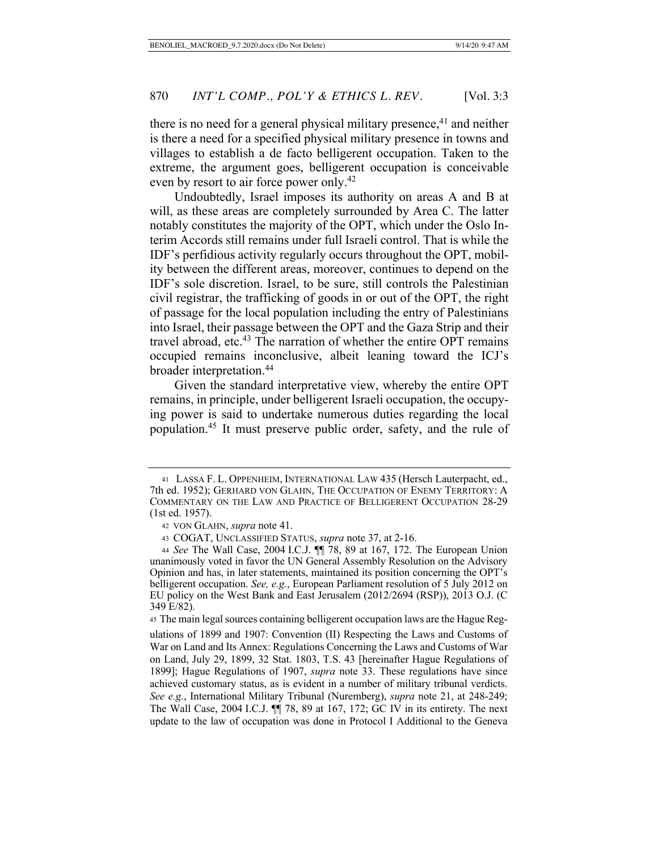there is no need for a general physical military presence,  $41$  and neither is there a need for a specified physical military presence in towns and villages to establish a de facto belligerent occupation. Taken to the extreme, the argument goes, belligerent occupation is conceivable even by resort to air force power only.<sup>42</sup>

Undoubtedly, Israel imposes its authority on areas A and B at will, as these areas are completely surrounded by Area C. The latter notably constitutes the majority of the OPT, which under the Oslo Interim Accords still remains under full Israeli control. That is while the IDF's perfidious activity regularly occurs throughout the OPT, mobility between the different areas, moreover, continues to depend on the IDF's sole discretion. Israel, to be sure, still controls the Palestinian civil registrar, the trafficking of goods in or out of the OPT, the right of passage for the local population including the entry of Palestinians into Israel, their passage between the OPT and the Gaza Strip and their travel abroad, etc.<sup>43</sup> The narration of whether the entire OPT remains occupied remains inconclusive, albeit leaning toward the ICJ's broader interpretation.44

Given the standard interpretative view, whereby the entire OPT remains, in principle, under belligerent Israeli occupation, the occupying power is said to undertake numerous duties regarding the local population.45 It must preserve public order, safety, and the rule of

<sup>45</sup> The main legal sources containing belligerent occupation laws are the Hague Reg-

ulations of 1899 and 1907: Convention (II) Respecting the Laws and Customs of War on Land and Its Annex: Regulations Concerning the Laws and Customs of War on Land, July 29, 1899, 32 Stat. 1803, T.S. 43 [hereinafter Hague Regulations of 1899]; Hague Regulations of 1907, *supra* note 33. These regulations have since achieved customary status, as is evident in a number of military tribunal verdicts. *See e.g.*, International Military Tribunal (Nuremberg), *supra* note 21, at 248-249; The Wall Case, 2004 I.C.J. ¶¶ 78, 89 at 167, 172; GC IV in its entirety. The next update to the law of occupation was done in Protocol I Additional to the Geneva

<sup>41</sup> LASSA F. L. OPPENHEIM, INTERNATIONAL LAW 435 (Hersch Lauterpacht, ed., 7th ed. 1952); GERHARD VON GLAHN, THE OCCUPATION OF ENEMY TERRITORY: A COMMENTARY ON THE LAW AND PRACTICE OF BELLIGERENT OCCUPATION 28-29 (1st ed. 1957).

<sup>42</sup> VON GLAHN, *supra* note 41.

<sup>43</sup> COGAT, UNCLASSIFIED STATUS, *supra* note 37, at 2-16.

<sup>44</sup> *See* The Wall Case, 2004 I.C.J. ¶¶ 78, 89 at 167, 172. The European Union unanimously voted in favor the UN General Assembly Resolution on the Advisory Opinion and has, in later statements, maintained its position concerning the OPT's belligerent occupation. *See, e.g.*, European Parliament resolution of 5 July 2012 on EU policy on the West Bank and East Jerusalem (2012/2694 (RSP)), 2013 O.J. (C 349 E/82).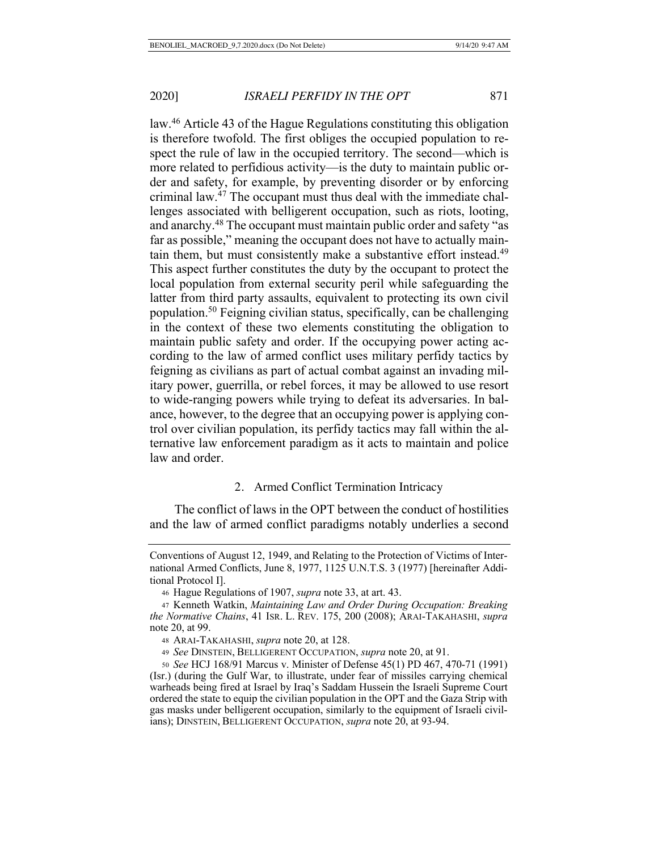law.46 Article 43 of the Hague Regulations constituting this obligation is therefore twofold. The first obliges the occupied population to respect the rule of law in the occupied territory. The second—which is more related to perfidious activity—is the duty to maintain public order and safety, for example, by preventing disorder or by enforcing criminal law.47 The occupant must thus deal with the immediate challenges associated with belligerent occupation, such as riots, looting, and anarchy.48 The occupant must maintain public order and safety "as far as possible," meaning the occupant does not have to actually maintain them, but must consistently make a substantive effort instead.<sup>49</sup> This aspect further constitutes the duty by the occupant to protect the local population from external security peril while safeguarding the latter from third party assaults, equivalent to protecting its own civil population.50 Feigning civilian status, specifically, can be challenging in the context of these two elements constituting the obligation to maintain public safety and order. If the occupying power acting according to the law of armed conflict uses military perfidy tactics by feigning as civilians as part of actual combat against an invading military power, guerrilla, or rebel forces, it may be allowed to use resort to wide-ranging powers while trying to defeat its adversaries. In balance, however, to the degree that an occupying power is applying control over civilian population, its perfidy tactics may fall within the alternative law enforcement paradigm as it acts to maintain and police law and order.

# 2. Armed Conflict Termination Intricacy

The conflict of laws in the OPT between the conduct of hostilities and the law of armed conflict paradigms notably underlies a second

Conventions of August 12, 1949, and Relating to the Protection of Victims of International Armed Conflicts, June 8, 1977, 1125 U.N.T.S. 3 (1977) [hereinafter Additional Protocol I].

<sup>46</sup> Hague Regulations of 1907, *supra* note 33, at art. 43.

<sup>47</sup> Kenneth Watkin, *Maintaining Law and Order During Occupation: Breaking the Normative Chains*, 41 ISR. L. REV. 175, 200 (2008); ARAI-TAKAHASHI, *supra*  note 20, at 99.

<sup>48</sup> ARAI-TAKAHASHI, *supra* note 20, at 128.

<sup>49</sup> *See* DINSTEIN, BELLIGERENT OCCUPATION, *supra* note 20, at 91.

<sup>50</sup> *See* HCJ 168/91 Marcus v. Minister of Defense 45(1) PD 467, 470-71 (1991) (Isr.) (during the Gulf War, to illustrate, under fear of missiles carrying chemical warheads being fired at Israel by Iraq's Saddam Hussein the Israeli Supreme Court ordered the state to equip the civilian population in the OPT and the Gaza Strip with gas masks under belligerent occupation, similarly to the equipment of Israeli civilians); DINSTEIN, BELLIGERENT OCCUPATION, *supra* note 20, at 93-94.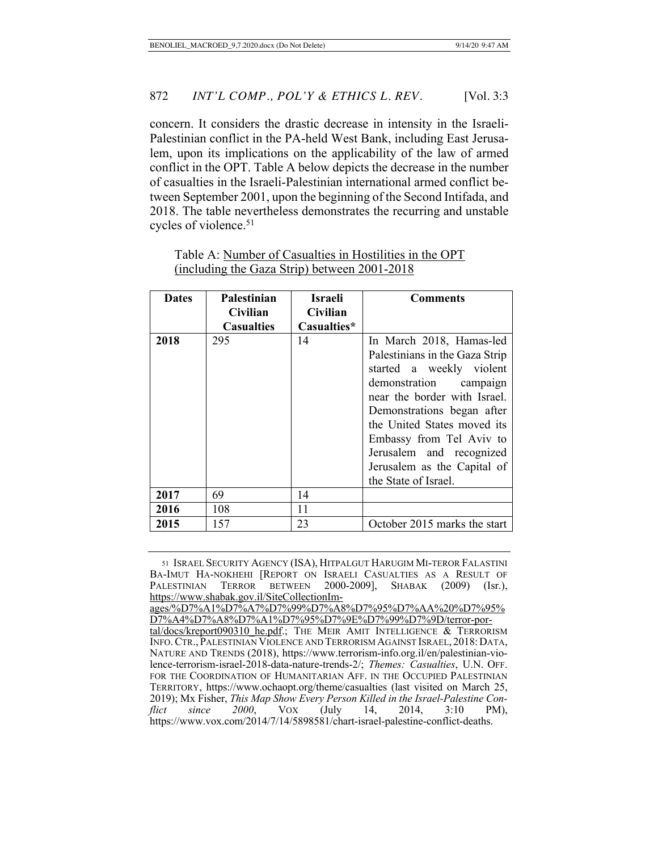concern. It considers the drastic decrease in intensity in the Israeli-Palestinian conflict in the PA-held West Bank, including East Jerusalem, upon its implications on the applicability of the law of armed conflict in the OPT. Table A below depicts the decrease in the number of casualties in the Israeli-Palestinian international armed conflict between September 2001, upon the beginning of the Second Intifada, and 2018. The table nevertheless demonstrates the recurring and unstable cycles of violence.<sup>51</sup>

| <b>Dates</b> | Palestinian       | Israeli     | <b>Comments</b>                                                                                                                                                                                                                                                                                  |
|--------------|-------------------|-------------|--------------------------------------------------------------------------------------------------------------------------------------------------------------------------------------------------------------------------------------------------------------------------------------------------|
|              | Civilian          | Civilian    |                                                                                                                                                                                                                                                                                                  |
|              | <b>Casualties</b> | Casualties* |                                                                                                                                                                                                                                                                                                  |
| 2018         | 295               | 14          | In March 2018, Hamas-led                                                                                                                                                                                                                                                                         |
|              |                   |             | Palestinians in the Gaza Strip<br>started a weekly violent<br>demonstration campaign<br>near the border with Israel.<br>Demonstrations began after<br>the United States moved its<br>Embassy from Tel Aviv to<br>Jerusalem and recognized<br>Jerusalem as the Capital of<br>the State of Israel. |
| 2017         | 69                | 14          |                                                                                                                                                                                                                                                                                                  |
| 2016         | 108               | 11          |                                                                                                                                                                                                                                                                                                  |
| 2015         | 157               | 23          | October 2015 marks the start                                                                                                                                                                                                                                                                     |

Table A: Number of Casualties in Hostilities in the OPT (including the Gaza Strip) between 2001-2018

<sup>51</sup> ISRAEL SECURITY AGENCY (ISA), HITPALGUT HARUGIM MI-TEROR FALASTINI BA-IMUT HA-NOKHEHI [REPORT ON ISRAELI CASUALTIES AS A RESULT OF PALESTINIAN TERROR BETWEEN 2000-2009], SHABAK (2009) (Isr.), https://www.shabak.gov.il/SiteCollectionIm-

ages/%D7%A1%D7%A7%D7%99%D7%A8%D7%95%D7%AA%20%D7%95% D7%A4%D7%A8%D7%A1%D7%95%D7%9E%D7%99%D7%9D/terror-por-

tal/docs/kreport090310\_he.pdf.; THE MEIR AMIT INTELLIGENCE & TERRORISM INFO.CTR., PALESTINIAN VIOLENCE AND TERRORISM AGAINST ISRAEL, 2018: DATA, NATURE AND TRENDS (2018), https://www.terrorism-info.org.il/en/palestinian-violence-terrorism-israel-2018-data-nature-trends-2/; *Themes: Casualties*, U.N. OFF. FOR THE COORDINATION OF HUMANITARIAN AFF. IN THE OCCUPIED PALESTINIAN TERRITORY, https://www.ochaopt.org/theme/casualties (last visited on March 25, 2019); Mx Fisher, *This Map Show Every Person Killed in the Israel-Palestine Conflict since 2000*, VOX (July 14, 2014, 3:10 PM), https://www.vox.com/2014/7/14/5898581/chart-israel-palestine-conflict-deaths.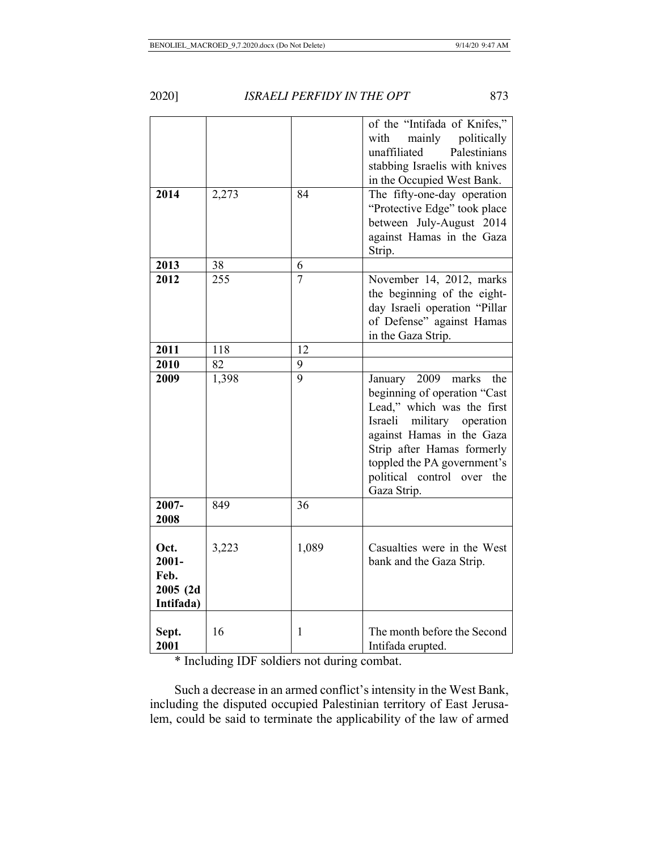|--|

**ISRAELI PERFIDY IN THE OPT** 873

|                                                   |       |                | of the "Intifada of Knifes,"<br>mainly<br>politically<br>with<br>unaffiliated<br>Palestinians<br>stabbing Israelis with knives<br>in the Occupied West Bank.                                                                                                          |
|---------------------------------------------------|-------|----------------|-----------------------------------------------------------------------------------------------------------------------------------------------------------------------------------------------------------------------------------------------------------------------|
| 2014                                              | 2,273 | 84             | The fifty-one-day operation<br>"Protective Edge" took place<br>between July-August 2014<br>against Hamas in the Gaza<br>Strip.                                                                                                                                        |
| 2013                                              | 38    | 6              |                                                                                                                                                                                                                                                                       |
| 2012                                              | 255   | $\overline{7}$ | November 14, 2012, marks<br>the beginning of the eight-<br>day Israeli operation "Pillar<br>of Defense" against Hamas<br>in the Gaza Strip.                                                                                                                           |
| 2011                                              | 118   | 12             |                                                                                                                                                                                                                                                                       |
| 2010                                              | 82    | 9              |                                                                                                                                                                                                                                                                       |
| 2009                                              | 1,398 | $\overline{9}$ | January<br>2009<br>marks the<br>beginning of operation "Cast<br>Lead," which was the first<br>Israeli<br>military operation<br>against Hamas in the Gaza<br>Strip after Hamas formerly<br>toppled the PA government's<br>political control over<br>the<br>Gaza Strip. |
| 2007-<br>2008                                     | 849   | 36             |                                                                                                                                                                                                                                                                       |
| Oct.<br>$2001 -$<br>Feb.<br>2005(2d)<br>Intifada) | 3,223 | 1,089          | Casualties were in the West<br>bank and the Gaza Strip.                                                                                                                                                                                                               |
| Sept.<br>2001                                     | 16    | 1              | The month before the Second<br>Intifada erupted.                                                                                                                                                                                                                      |

\* Including IDF soldiers not during combat.

Such a decrease in an armed conflict's intensity in the West Bank, including the disputed occupied Palestinian territory of East Jerusalem, could be said to terminate the applicability of the law of armed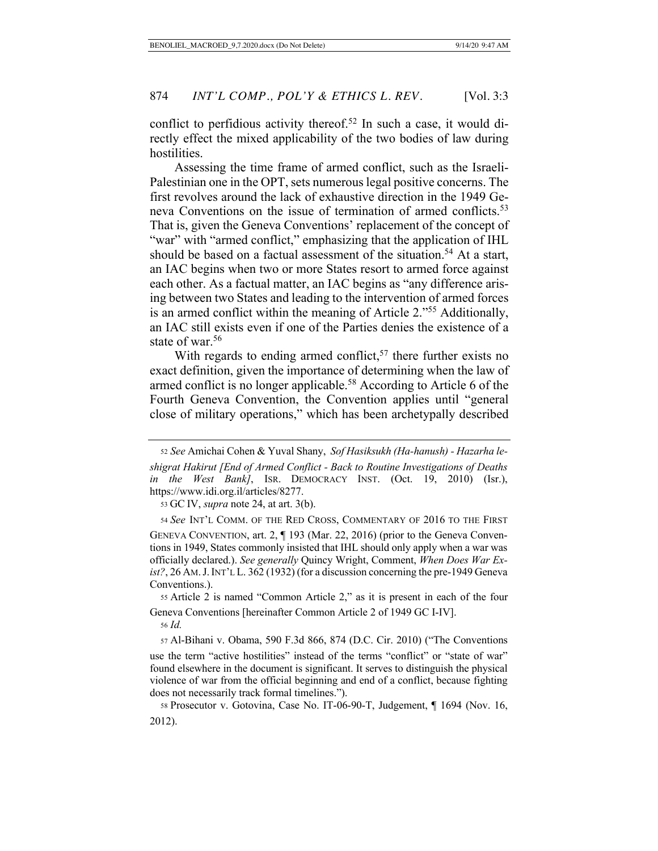conflict to perfidious activity thereof.<sup>52</sup> In such a case, it would directly effect the mixed applicability of the two bodies of law during hostilities.

Assessing the time frame of armed conflict, such as the Israeli-Palestinian one in the OPT, sets numerous legal positive concerns. The first revolves around the lack of exhaustive direction in the 1949 Geneva Conventions on the issue of termination of armed conflicts.<sup>53</sup> That is, given the Geneva Conventions' replacement of the concept of "war" with "armed conflict," emphasizing that the application of IHL should be based on a factual assessment of the situation.<sup>54</sup> At a start, an IAC begins when two or more States resort to armed force against each other. As a factual matter, an IAC begins as "any difference arising between two States and leading to the intervention of armed forces is an armed conflict within the meaning of Article 2."55 Additionally, an IAC still exists even if one of the Parties denies the existence of a state of war.<sup>56</sup>

With regards to ending armed conflict,  $57$  there further exists no exact definition, given the importance of determining when the law of armed conflict is no longer applicable.<sup>58</sup> According to Article 6 of the Fourth Geneva Convention, the Convention applies until "general close of military operations," which has been archetypally described

53 GC IV, *supra* note 24, at art. 3(b).

<sup>54</sup> *See* INT'L COMM. OF THE RED CROSS, COMMENTARY OF 2016 TO THE FIRST

 55 Article 2 is named "Common Article 2," as it is present in each of the four Geneva Conventions [hereinafter Common Article 2 of 1949 GC I-IV].

<sup>56</sup> *Id.* 

57 Al-Bihani v. Obama, 590 F.3d 866, 874 (D.C. Cir. 2010) ("The Conventions

 <sup>52</sup> *See* Amichai Cohen & Yuval Shany, *Sof Hasiksukh (Ha-hanush) - Hazarha leshigrat Hakirut [End of Armed Conflict - Back to Routine Investigations of Deaths in the West Bank]*, ISR. DEMOCRACY INST. (Oct. 19, 2010) (Isr.), https://www.idi.org.il/articles/8277.

GENEVA CONVENTION, art. 2, ¶ 193 (Mar. 22, 2016) (prior to the Geneva Conventions in 1949, States commonly insisted that IHL should only apply when a war was officially declared.). *See generally* Quincy Wright, Comment, *When Does War Exist?*, 26 AM.J.INT'L L. 362 (1932) (for a discussion concerning the pre-1949 Geneva Conventions.).

use the term "active hostilities" instead of the terms "conflict" or "state of war" found elsewhere in the document is significant. It serves to distinguish the physical violence of war from the official beginning and end of a conflict, because fighting does not necessarily track formal timelines.").

 <sup>58</sup> Prosecutor v. Gotovina, Case No. IT-06-90-T, Judgement, ¶ 1694 (Nov. 16, 2012).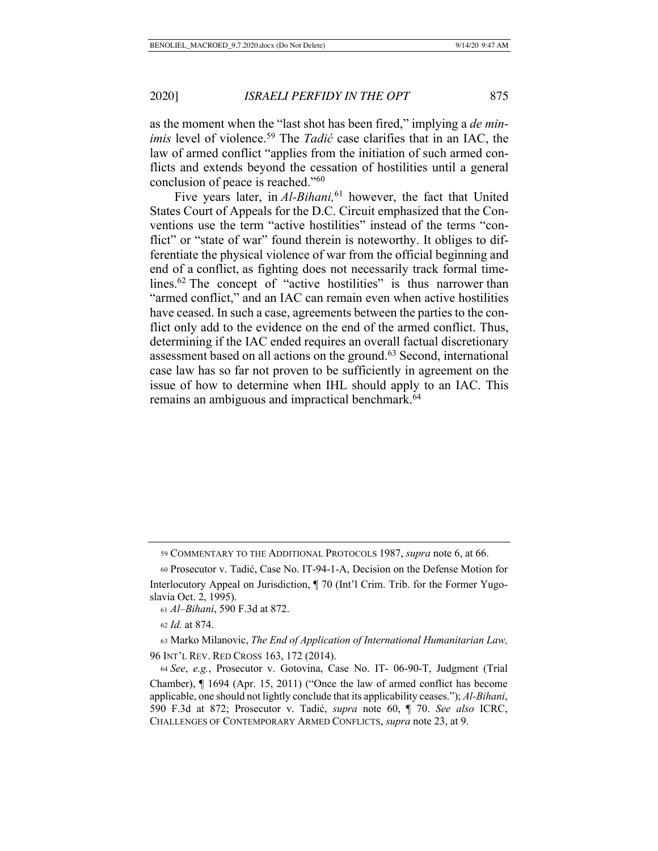as the moment when the "last shot has been fired," implying a *de minimis* level of violence.<sup>59</sup> The *Tadić* case clarifies that in an IAC, the law of armed conflict "applies from the initiation of such armed conflicts and extends beyond the cessation of hostilities until a general conclusion of peace is reached."60

Five years later, in *Al-Bihani*,<sup>61</sup> however, the fact that United States Court of Appeals for the D.C. Circuit emphasized that the Conventions use the term "active hostilities" instead of the terms "conflict" or "state of war" found therein is noteworthy. It obliges to differentiate the physical violence of war from the official beginning and end of a conflict, as fighting does not necessarily track formal timelines.<sup>62</sup> The concept of "active hostilities" is thus narrower than "armed conflict," and an IAC can remain even when active hostilities have ceased. In such a case, agreements between the parties to the conflict only add to the evidence on the end of the armed conflict. Thus, determining if the IAC ended requires an overall factual discretionary assessment based on all actions on the ground.<sup>63</sup> Second, international case law has so far not proven to be sufficiently in agreement on the issue of how to determine when IHL should apply to an IAC. This remains an ambiguous and impractical benchmark.<sup>64</sup>

<sup>62</sup> *Id.* at 874.

 63 Marko Milanovic, *The End of Application of International Humanitarian Law,* 96 INT'L REV. RED CROSS 163, 172 (2014).

 <sup>59</sup> COMMENTARY TO THE ADDITIONAL PROTOCOLS 1987, *supra* note 6, at 66.

 <sup>60</sup> Prosecutor v. Tadić, Case No. IT-94-1-A, Decision on the Defense Motion for

Interlocutory Appeal on Jurisdiction, ¶ 70 (Int'l Crim. Trib. for the Former Yugoslavia Oct. 2, 1995).

 <sup>61</sup> *Al–Bihani*, 590 F.3d at 872.

<sup>64</sup> *See*, *e.g.*, Prosecutor v. Gotovina, Case No. IT- 06-90-T, Judgment (Trial Chamber), ¶ 1694 (Apr. 15, 2011) ("Once the law of armed conflict has become applicable, one should not lightly conclude that its applicability ceases."); *Al-Bihani*, 590 F.3d at 872; Prosecutor v. Tadić, *supra* note 60, ¶ 70. *See also* ICRC, CHALLENGES OF CONTEMPORARY ARMED CONFLICTS, *supra* note 23, at 9.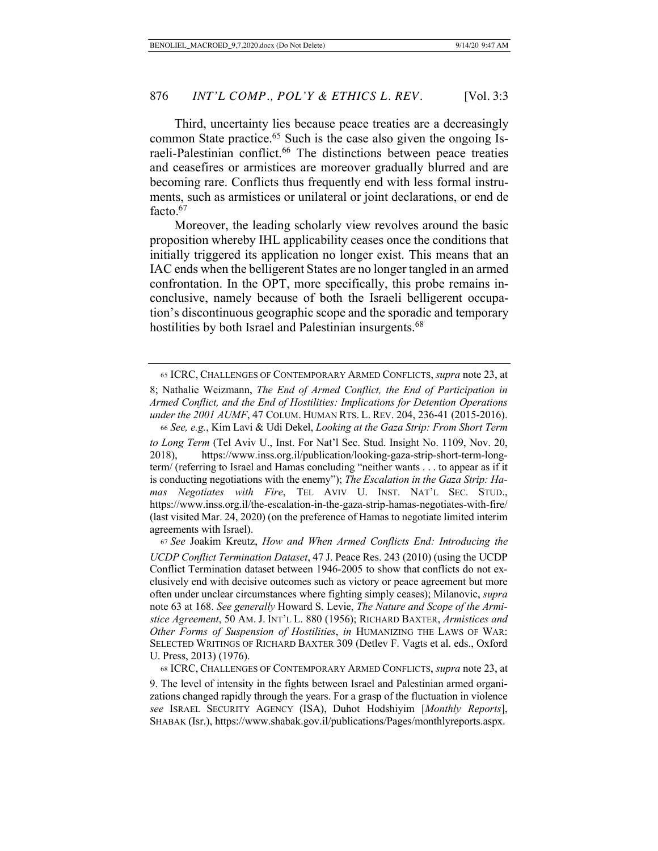Third, uncertainty lies because peace treaties are a decreasingly common State practice.<sup>65</sup> Such is the case also given the ongoing Israeli-Palestinian conflict.<sup>66</sup> The distinctions between peace treaties and ceasefires or armistices are moreover gradually blurred and are becoming rare. Conflicts thus frequently end with less formal instruments, such as armistices or unilateral or joint declarations, or end de facto.<sup>67</sup>

Moreover, the leading scholarly view revolves around the basic proposition whereby IHL applicability ceases once the conditions that initially triggered its application no longer exist. This means that an IAC ends when the belligerent States are no longer tangled in an armed confrontation. In the OPT, more specifically, this probe remains inconclusive, namely because of both the Israeli belligerent occupation's discontinuous geographic scope and the sporadic and temporary hostilities by both Israel and Palestinian insurgents.<sup>68</sup>

 <sup>65</sup> ICRC, CHALLENGES OF CONTEMPORARY ARMED CONFLICTS,*supra* note 23, at

<sup>8;</sup> Nathalie Weizmann, *The End of Armed Conflict, the End of Participation in Armed Conflict, and the End of Hostilities: Implications for Detention Operations under the 2001 AUMF*, 47 COLUM. HUMAN RTS. L. REV. 204, 236-41 (2015-2016). <sup>66</sup> *See, e.g.*, Kim Lavi & Udi Dekel, *Looking at the Gaza Strip: From Short Term* 

*to Long Term* (Tel Aviv U., Inst. For Nat'l Sec. Stud. Insight No. 1109, Nov. 20, 2018), https://www.inss.org.il/publication/looking-gaza-strip-short-term-longterm/ (referring to Israel and Hamas concluding "neither wants . . . to appear as if it is conducting negotiations with the enemy"); *The Escalation in the Gaza Strip: Hamas Negotiates with Fire*, TEL AVIV U. INST. NAT'L SEC. STUD., https://www.inss.org.il/the-escalation-in-the-gaza-strip-hamas-negotiates-with-fire/ (last visited Mar. 24, 2020) (on the preference of Hamas to negotiate limited interim agreements with Israel).

<sup>67</sup> *See* Joakim Kreutz, *How and When Armed Conflicts End: Introducing the UCDP Conflict Termination Dataset*, 47 J. Peace Res. 243 (2010) (using the UCDP Conflict Termination dataset between 1946-2005 to show that conflicts do not exclusively end with decisive outcomes such as victory or peace agreement but more often under unclear circumstances where fighting simply ceases); Milanovic, *supra*  note 63 at 168. *See generally* Howard S. Levie, *The Nature and Scope of the Armistice Agreement*, 50 AM. J. INT'L L. 880 (1956); RICHARD BAXTER, *Armistices and Other Forms of Suspension of Hostilities*, *in* HUMANIZING THE LAWS OF WAR: SELECTED WRITINGS OF RICHARD BAXTER 309 (Detlev F. Vagts et al. eds., Oxford U. Press, 2013) (1976).

 <sup>68</sup> ICRC, CHALLENGES OF CONTEMPORARY ARMED CONFLICTS, *supra* note 23, at 9. The level of intensity in the fights between Israel and Palestinian armed organizations changed rapidly through the years. For a grasp of the fluctuation in violence *see* ISRAEL SECURITY AGENCY (ISA), Duhot Hodshiyim [*Monthly Reports*], SHABAK (Isr.), https://www.shabak.gov.il/publications/Pages/monthlyreports.aspx.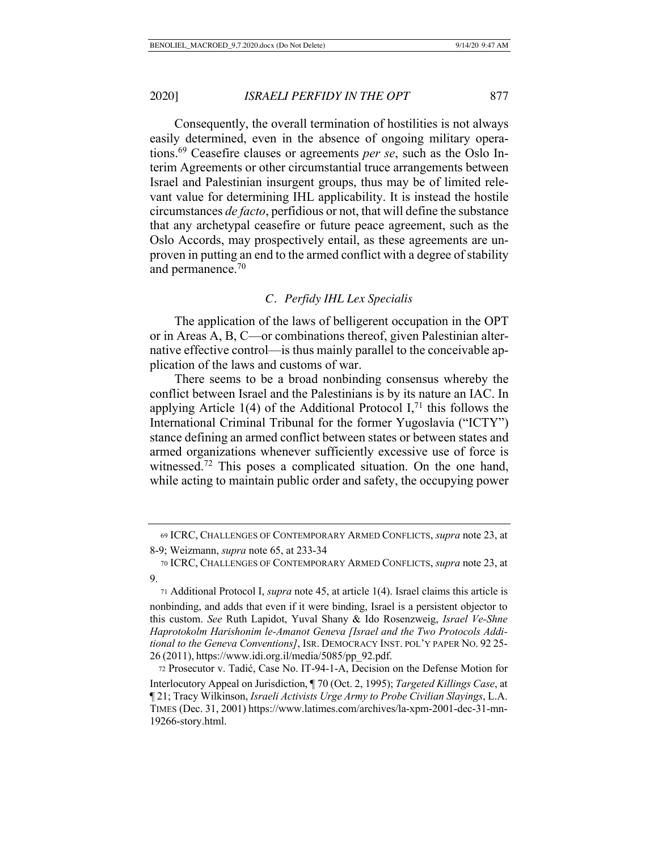Consequently, the overall termination of hostilities is not always easily determined, even in the absence of ongoing military operations.69 Ceasefire clauses or agreements *per se*, such as the Oslo Interim Agreements or other circumstantial truce arrangements between Israel and Palestinian insurgent groups, thus may be of limited relevant value for determining IHL applicability. It is instead the hostile circumstances *de facto*, perfidious or not, that will define the substance that any archetypal ceasefire or future peace agreement, such as the Oslo Accords, may prospectively entail, as these agreements are unproven in putting an end to the armed conflict with a degree of stability and permanence.<sup>70</sup>

# *C. Perfidy IHL Lex Specialis*

The application of the laws of belligerent occupation in the OPT or in Areas A, B, C—or combinations thereof, given Palestinian alternative effective control—is thus mainly parallel to the conceivable application of the laws and customs of war.

There seems to be a broad nonbinding consensus whereby the conflict between Israel and the Palestinians is by its nature an IAC. In applying Article 1(4) of the Additional Protocol I,<sup>71</sup> this follows the International Criminal Tribunal for the former Yugoslavia ("ICTY") stance defining an armed conflict between states or between states and armed organizations whenever sufficiently excessive use of force is witnessed.<sup>72</sup> This poses a complicated situation. On the one hand, while acting to maintain public order and safety, the occupying power

 <sup>69</sup> ICRC, CHALLENGES OF CONTEMPORARY ARMED CONFLICTS, *supra* note 23, at

<sup>8-9;</sup> Weizmann, *supra* note 65, at 233-34

 <sup>70</sup> ICRC, CHALLENGES OF CONTEMPORARY ARMED CONFLICTS, *supra* note 23, at 9.

 <sup>71</sup> Additional Protocol I, *supra* note 45, at article 1(4). Israel claims this article is nonbinding, and adds that even if it were binding, Israel is a persistent objector to this custom. *See* Ruth Lapidot, Yuval Shany & Ido Rosenzweig, *Israel Ve-Shne Haprotokolm Harishonim le-Amanot Geneva [Israel and the Two Protocols Additional to the Geneva Conventions]*, ISR. DEMOCRACY INST. POL'Y PAPER NO. 92 25- <sup>26</sup> (2011), https://www.idi.org.il/media/5085/pp\_92.pdf.

 <sup>72</sup> Prosecutor v. Tadić, Case No. IT-94-1-A, Decision on the Defense Motion for Interlocutory Appeal on Jurisdiction, ¶ 70 (Oct. 2, 1995); *Targeted Killings Case*, at ¶ 21; Tracy Wilkinson, *Israeli Activists Urge Army to Probe Civilian Slayings*, L.A. TIMES (Dec. 31, 2001) https://www.latimes.com/archives/la-xpm-2001-dec-31-mn-19266-story.html.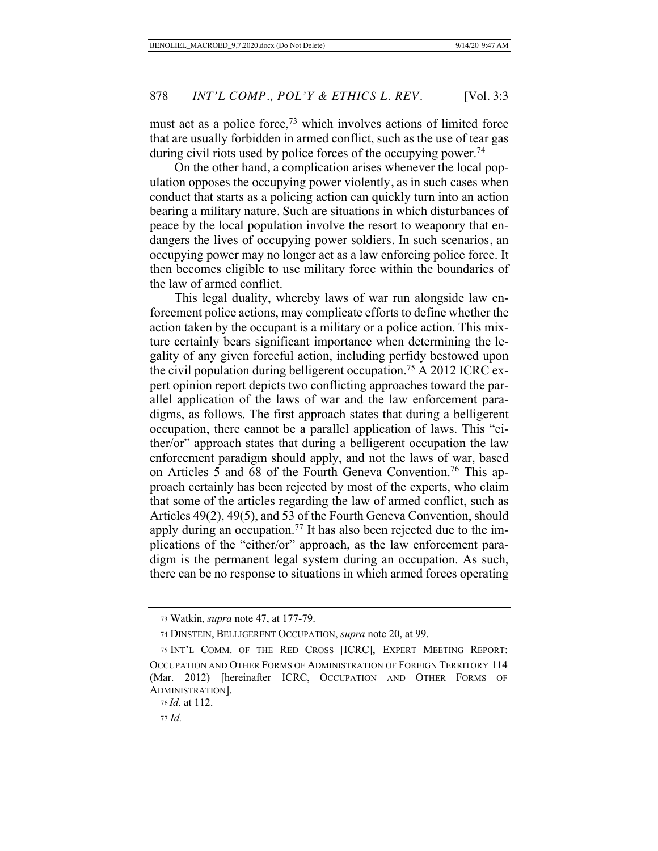must act as a police force, $73$  which involves actions of limited force that are usually forbidden in armed conflict, such as the use of tear gas during civil riots used by police forces of the occupying power.<sup>74</sup>

On the other hand, a complication arises whenever the local population opposes the occupying power violently, as in such cases when conduct that starts as a policing action can quickly turn into an action bearing a military nature. Such are situations in which disturbances of peace by the local population involve the resort to weaponry that endangers the lives of occupying power soldiers. In such scenarios, an occupying power may no longer act as a law enforcing police force. It then becomes eligible to use military force within the boundaries of the law of armed conflict.

This legal duality, whereby laws of war run alongside law enforcement police actions, may complicate efforts to define whether the action taken by the occupant is a military or a police action. This mixture certainly bears significant importance when determining the legality of any given forceful action, including perfidy bestowed upon the civil population during belligerent occupation.75 A 2012 ICRC expert opinion report depicts two conflicting approaches toward the parallel application of the laws of war and the law enforcement paradigms, as follows. The first approach states that during a belligerent occupation, there cannot be a parallel application of laws. This "either/or" approach states that during a belligerent occupation the law enforcement paradigm should apply, and not the laws of war, based on Articles 5 and 68 of the Fourth Geneva Convention.<sup>76</sup> This approach certainly has been rejected by most of the experts, who claim that some of the articles regarding the law of armed conflict, such as Articles 49(2), 49(5), and 53 of the Fourth Geneva Convention, should apply during an occupation.<sup>77</sup> It has also been rejected due to the implications of the "either/or" approach, as the law enforcement paradigm is the permanent legal system during an occupation. As such, there can be no response to situations in which armed forces operating

 <sup>73</sup> Watkin, *supra* note 47, at 177-79.

 <sup>74</sup> DINSTEIN, BELLIGERENT OCCUPATION, *supra* note 20, at 99.

 <sup>75</sup> INT'L COMM. OF THE RED CROSS [ICRC], EXPERT MEETING REPORT: OCCUPATION AND OTHER FORMS OF ADMINISTRATION OF FOREIGN TERRITORY 114 (Mar. 2012) [hereinafter ICRC, OCCUPATION AND OTHER FORMS OF ADMINISTRATION].

 <sup>76</sup> *Id.* at 112.

 <sup>77</sup> *Id.*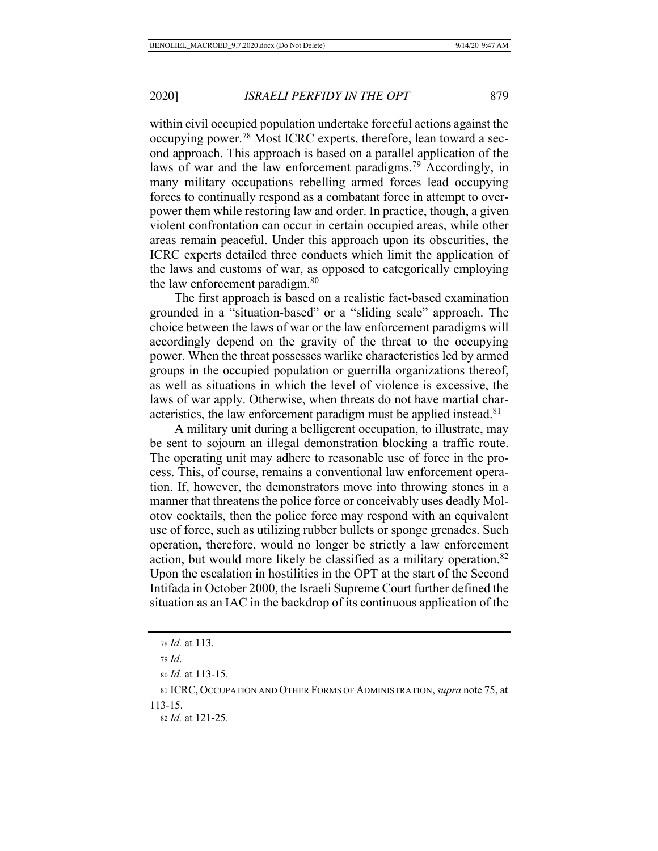within civil occupied population undertake forceful actions against the occupying power.78 Most ICRC experts, therefore, lean toward a second approach. This approach is based on a parallel application of the laws of war and the law enforcement paradigms.<sup>79</sup> Accordingly, in many military occupations rebelling armed forces lead occupying forces to continually respond as a combatant force in attempt to overpower them while restoring law and order. In practice, though, a given violent confrontation can occur in certain occupied areas, while other areas remain peaceful. Under this approach upon its obscurities, the ICRC experts detailed three conducts which limit the application of the laws and customs of war, as opposed to categorically employing the law enforcement paradigm.<sup>80</sup>

The first approach is based on a realistic fact-based examination grounded in a "situation-based" or a "sliding scale" approach. The choice between the laws of war or the law enforcement paradigms will accordingly depend on the gravity of the threat to the occupying power. When the threat possesses warlike characteristics led by armed groups in the occupied population or guerrilla organizations thereof, as well as situations in which the level of violence is excessive, the laws of war apply. Otherwise, when threats do not have martial characteristics, the law enforcement paradigm must be applied instead.<sup>81</sup>

A military unit during a belligerent occupation, to illustrate, may be sent to sojourn an illegal demonstration blocking a traffic route. The operating unit may adhere to reasonable use of force in the process. This, of course, remains a conventional law enforcement operation. If, however, the demonstrators move into throwing stones in a manner that threatens the police force or conceivably uses deadly Molotov cocktails, then the police force may respond with an equivalent use of force, such as utilizing rubber bullets or sponge grenades. Such operation, therefore, would no longer be strictly a law enforcement action, but would more likely be classified as a military operation.<sup>82</sup> Upon the escalation in hostilities in the OPT at the start of the Second Intifada in October 2000, the Israeli Supreme Court further defined the situation as an IAC in the backdrop of its continuous application of the

 <sup>78</sup> *Id.* at 113.

<sup>79</sup> *Id*.

<sup>80</sup> *Id.* at 113-15.

<sup>81</sup> ICRC, OCCUPATION AND OTHER FORMS OF ADMINISTRATION,*supra* note 75, at 113-15.

 <sup>82</sup> *Id.* at 121-25.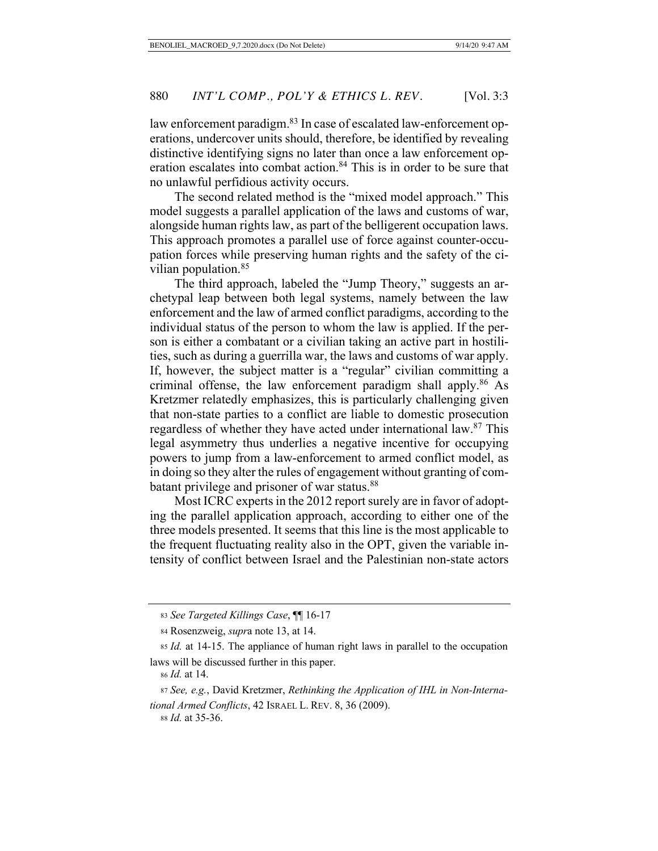law enforcement paradigm.<sup>83</sup> In case of escalated law-enforcement operations, undercover units should, therefore, be identified by revealing distinctive identifying signs no later than once a law enforcement operation escalates into combat action.<sup>84</sup> This is in order to be sure that no unlawful perfidious activity occurs.

The second related method is the "mixed model approach." This model suggests a parallel application of the laws and customs of war, alongside human rights law, as part of the belligerent occupation laws. This approach promotes a parallel use of force against counter-occupation forces while preserving human rights and the safety of the civilian population.<sup>85</sup>

The third approach, labeled the "Jump Theory," suggests an archetypal leap between both legal systems, namely between the law enforcement and the law of armed conflict paradigms, according to the individual status of the person to whom the law is applied. If the person is either a combatant or a civilian taking an active part in hostilities, such as during a guerrilla war, the laws and customs of war apply. If, however, the subject matter is a "regular" civilian committing a criminal offense, the law enforcement paradigm shall apply. $86$  As Kretzmer relatedly emphasizes, this is particularly challenging given that non-state parties to a conflict are liable to domestic prosecution regardless of whether they have acted under international law.<sup>87</sup> This legal asymmetry thus underlies a negative incentive for occupying powers to jump from a law-enforcement to armed conflict model, as in doing so they alter the rules of engagement without granting of combatant privilege and prisoner of war status.<sup>88</sup>

Most ICRC experts in the 2012 report surely are in favor of adopting the parallel application approach, according to either one of the three models presented. It seems that this line is the most applicable to the frequent fluctuating reality also in the OPT, given the variable intensity of conflict between Israel and the Palestinian non-state actors

<sup>83</sup> *See Targeted Killings Case*, ¶¶ 16-17

 <sup>84</sup> Rosenzweig, *supr*a note 13, at 14.

<sup>85</sup> *Id.* at 14-15. The appliance of human right laws in parallel to the occupation laws will be discussed further in this paper.

<sup>86</sup> *Id.* at 14.

<sup>87</sup> *See, e.g.*, David Kretzmer, *Rethinking the Application of IHL in Non-International Armed Conflicts*, 42 ISRAEL L. REV. 8, 36 (2009).

<sup>88</sup> *Id.* at 35-36.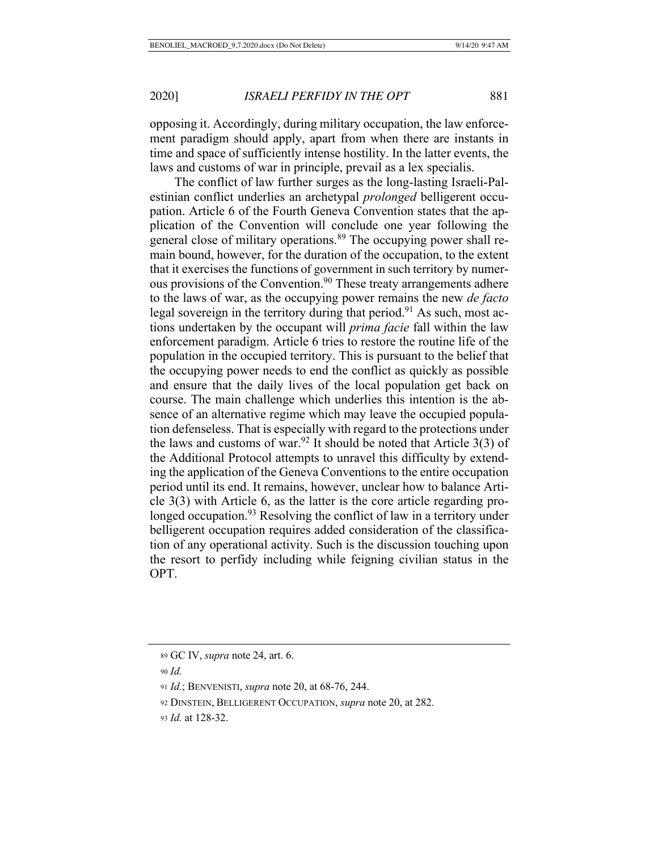opposing it. Accordingly, during military occupation, the law enforcement paradigm should apply, apart from when there are instants in time and space of sufficiently intense hostility. In the latter events, the laws and customs of war in principle, prevail as a lex specialis.

The conflict of law further surges as the long-lasting Israeli-Palestinian conflict underlies an archetypal *prolonged* belligerent occupation. Article 6 of the Fourth Geneva Convention states that the application of the Convention will conclude one year following the general close of military operations.<sup>89</sup> The occupying power shall remain bound, however, for the duration of the occupation, to the extent that it exercises the functions of government in such territory by numerous provisions of the Convention.<sup>90</sup> These treaty arrangements adhere to the laws of war, as the occupying power remains the new *de facto* legal sovereign in the territory during that period.<sup>91</sup> As such, most actions undertaken by the occupant will *prima facie* fall within the law enforcement paradigm. Article 6 tries to restore the routine life of the population in the occupied territory. This is pursuant to the belief that the occupying power needs to end the conflict as quickly as possible and ensure that the daily lives of the local population get back on course. The main challenge which underlies this intention is the absence of an alternative regime which may leave the occupied population defenseless. That is especially with regard to the protections under the laws and customs of war.<sup>92</sup> It should be noted that Article  $3(3)$  of the Additional Protocol attempts to unravel this difficulty by extending the application of the Geneva Conventions to the entire occupation period until its end. It remains, however, unclear how to balance Article 3(3) with Article 6, as the latter is the core article regarding prolonged occupation.<sup>93</sup> Resolving the conflict of law in a territory under belligerent occupation requires added consideration of the classification of any operational activity. Such is the discussion touching upon the resort to perfidy including while feigning civilian status in the OPT.

 <sup>89</sup> GC IV, *supra* note 24, art. 6.

<sup>90</sup> *Id.* 

<sup>91</sup> *Id.*; BENVENISTI, *supra* note 20, at 68-76, 244.

 <sup>92</sup> DINSTEIN, BELLIGERENT OCCUPATION, *supra* note 20, at 282.

<sup>93</sup> *Id.* at 128-32.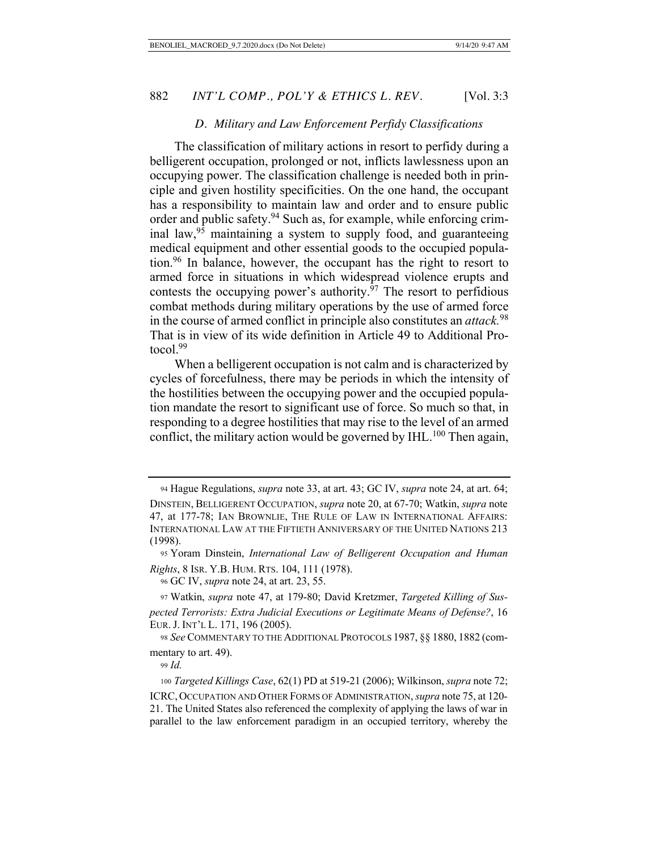#### *D. Military and Law Enforcement Perfidy Classifications*

The classification of military actions in resort to perfidy during a belligerent occupation, prolonged or not, inflicts lawlessness upon an occupying power. The classification challenge is needed both in principle and given hostility specificities. On the one hand, the occupant has a responsibility to maintain law and order and to ensure public order and public safety.<sup>94</sup> Such as, for example, while enforcing criminal law,  $95$  maintaining a system to supply food, and guaranteeing medical equipment and other essential goods to the occupied population.96 In balance, however, the occupant has the right to resort to armed force in situations in which widespread violence erupts and contests the occupying power's authority.<sup>97</sup> The resort to perfidious combat methods during military operations by the use of armed force in the course of armed conflict in principle also constitutes an *attack.*<sup>98</sup> That is in view of its wide definition in Article 49 to Additional Protocol.99

When a belligerent occupation is not calm and is characterized by cycles of forcefulness, there may be periods in which the intensity of the hostilities between the occupying power and the occupied population mandate the resort to significant use of force. So much so that, in responding to a degree hostilities that may rise to the level of an armed conflict, the military action would be governed by  $IHL$ .<sup>100</sup> Then again,

 <sup>94</sup> Hague Regulations, *supra* note 33, at art. 43; GC IV, *supra* note 24, at art. 64; DINSTEIN, BELLIGERENT OCCUPATION, *supra* note 20, at 67-70; Watkin, *supra* note 47, at 177-78; IAN BROWNLIE, THE RULE OF LAW IN INTERNATIONAL AFFAIRS: INTERNATIONAL LAW AT THE FIFTIETH ANNIVERSARY OF THE UNITED NATIONS 213 (1998).

 <sup>95</sup> Yoram Dinstein, *International Law of Belligerent Occupation and Human Rights*, 8 ISR. Y.B. HUM. RTS. 104, 111 (1978).

 <sup>96</sup> GC IV, *supra* note 24, at art. 23, 55.

 <sup>97</sup> Watkin, *supra* note 47, at 179-80; David Kretzmer, *Targeted Killing of Suspected Terrorists: Extra Judicial Executions or Legitimate Means of Defense?*, 16 EUR. J. INT'L L. 171, 196 (2005).

<sup>98</sup> *See* COMMENTARY TO THE ADDITIONAL PROTOCOLS 1987, §§ 1880, 1882 (commentary to art. 49).

<sup>99</sup> *Id.* 

 <sup>100</sup> *Targeted Killings Case*, 62(1) PD at 519-21 (2006); Wilkinson, *supra* note 72; ICRC, OCCUPATION AND OTHER FORMS OF ADMINISTRATION, *supra* note 75, at 120- 21. The United States also referenced the complexity of applying the laws of war in parallel to the law enforcement paradigm in an occupied territory, whereby the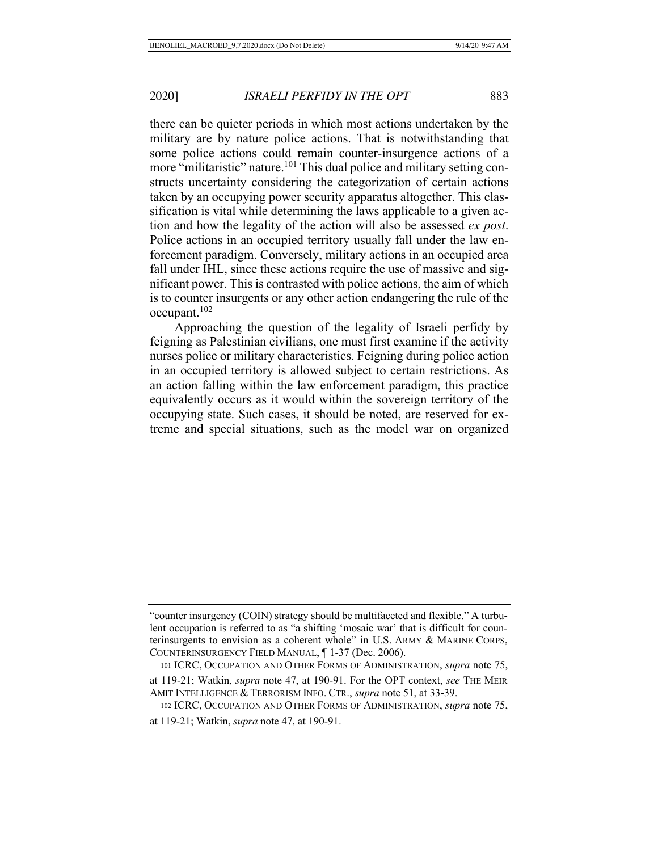there can be quieter periods in which most actions undertaken by the military are by nature police actions. That is notwithstanding that some police actions could remain counter-insurgence actions of a more "militaristic" nature.<sup>101</sup> This dual police and military setting constructs uncertainty considering the categorization of certain actions taken by an occupying power security apparatus altogether. This classification is vital while determining the laws applicable to a given action and how the legality of the action will also be assessed *ex post*. Police actions in an occupied territory usually fall under the law enforcement paradigm. Conversely, military actions in an occupied area fall under IHL, since these actions require the use of massive and significant power. This is contrasted with police actions, the aim of which is to counter insurgents or any other action endangering the rule of the occupant.102

Approaching the question of the legality of Israeli perfidy by feigning as Palestinian civilians, one must first examine if the activity nurses police or military characteristics. Feigning during police action in an occupied territory is allowed subject to certain restrictions. As an action falling within the law enforcement paradigm, this practice equivalently occurs as it would within the sovereign territory of the occupying state. Such cases, it should be noted, are reserved for extreme and special situations, such as the model war on organized

<sup>&</sup>quot;counter insurgency (COIN) strategy should be multifaceted and flexible." A turbulent occupation is referred to as "a shifting 'mosaic war' that is difficult for counterinsurgents to envision as a coherent whole" in U.S. ARMY & MARINE CORPS, COUNTERINSURGENCY FIELD MANUAL, ¶ 1-37 (Dec. 2006).

 <sup>101</sup> ICRC, OCCUPATION AND OTHER FORMS OF ADMINISTRATION, *supra* note 75, at 119-21; Watkin, *supra* note 47, at 190-91. For the OPT context, *see* THE MEIR AMIT INTELLIGENCE & TERRORISM INFO. CTR., *supra* note 51, at 33-39.

 <sup>102</sup> ICRC, OCCUPATION AND OTHER FORMS OF ADMINISTRATION, *supra* note 75, at 119-21; Watkin, *supra* note 47, at 190-91.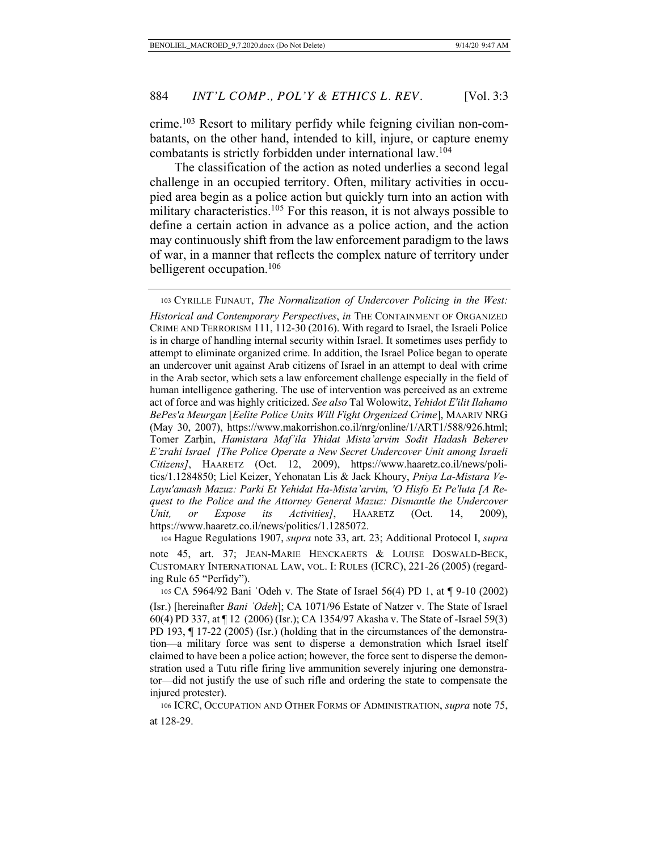crime.103 Resort to military perfidy while feigning civilian non-combatants, on the other hand, intended to kill, injure, or capture enemy combatants is strictly forbidden under international law.104

The classification of the action as noted underlies a second legal challenge in an occupied territory. Often, military activities in occupied area begin as a police action but quickly turn into an action with military characteristics.<sup>105</sup> For this reason, it is not always possible to define a certain action in advance as a police action, and the action may continuously shift from the law enforcement paradigm to the laws of war, in a manner that reflects the complex nature of territory under belligerent occupation.<sup>106</sup>

 104 Hague Regulations 1907, *supra* note 33, art. 23; Additional Protocol I, *supra*  note 45, art. 37; JEAN-MARIE HENCKAERTS & LOUISE DOSWALD-BECK, CUSTOMARY INTERNATIONAL LAW, VOL. I: RULES (ICRC), 221-26 (2005) (regarding Rule 65 "Perfidy").

 106 ICRC, OCCUPATION AND OTHER FORMS OF ADMINISTRATION, *supra* note 75, at 128-29.

 <sup>103</sup> CYRILLE FIJNAUT, *The Normalization of Undercover Policing in the West: Historical and Contemporary Perspectives*, *in* THE CONTAINMENT OF ORGANIZED CRIME AND TERRORISM 111, 112-30 (2016). With regard to Israel, the Israeli Police is in charge of handling internal security within Israel. It sometimes uses perfidy to attempt to eliminate organized crime. In addition, the Israel Police began to operate an undercover unit against Arab citizens of Israel in an attempt to deal with crime in the Arab sector, which sets a law enforcement challenge especially in the field of human intelligence gathering. The use of intervention was perceived as an extreme act of force and was highly criticized. *See also* Tal Wolowitz, *Yehidot E'ilit Ilahamo BePes'a Meurgan* [*Eelite Police Units Will Fight Orgenized Crime*], MAARIV NRG (May 30, 2007), https://www.makorrishon.co.il/nrg/online/1/ART1/588/926.html; Tomer Zarhin, *Hamistara Maf'ila Yhidat Mista'arvim Sodit Hadash Bekerev E'zrahi Israel [The Police Operate a New Secret Undercover Unit among Israeli Citizens]*, HAARETZ (Oct. 12, 2009), https://www.haaretz.co.il/news/politics/1.1284850; Liel Keizer, Yehonatan Lis & Jack Khoury, *Pniya La-Mistara Ve-Layu'amash Mazuz: Parki Et Yehidat Ha-Mista'arvim, 'O Hisfo Et Pe'luta [A Request to the Police and the Attorney General Mazuz: Dismantle the Undercover Unit, or Expose its Activities]*, HAARETZ (Oct. 14, 2009), https://www.haaretz.co.il/news/politics/1.1285072.

 <sup>105</sup> CA 5964/92 Bani ʿOdeh v. The State of Israel 56(4) PD 1, at ¶ 9-10 (2002) (Isr.) [hereinafter *Bani ʿOdeh*]; CA 1071/96 Estate of Natzer v. The State of Israel 60(4) PD 337, at ¶ 12 (2006) (Isr.); CA 1354/97 Akasha v. The State of -Israel 59(3) PD 193, ¶ 17-22 (2005) (Isr.) (holding that in the circumstances of the demonstration—a military force was sent to disperse a demonstration which Israel itself claimed to have been a police action; however, the force sent to disperse the demonstration used a Tutu rifle firing live ammunition severely injuring one demonstrator—did not justify the use of such rifle and ordering the state to compensate the injured protester).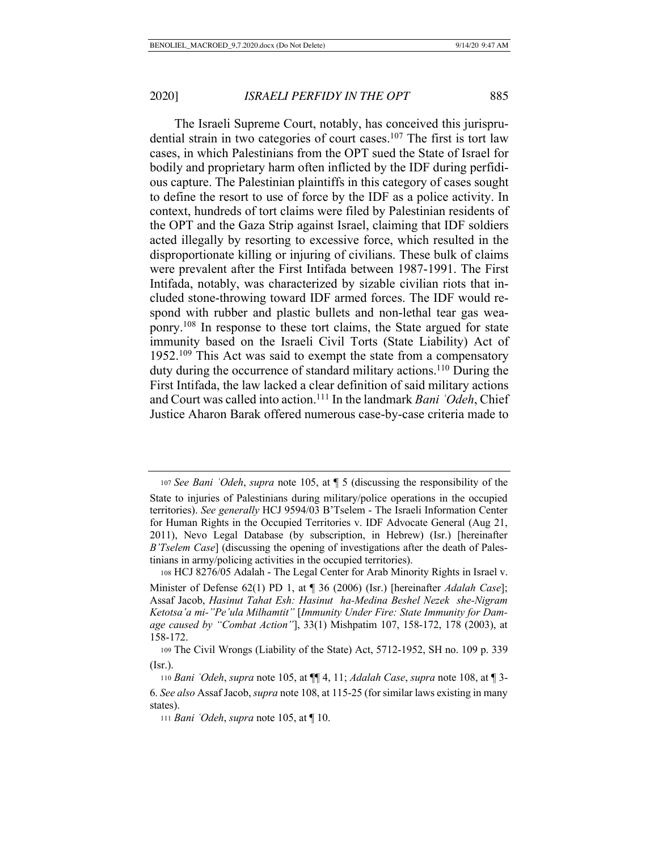The Israeli Supreme Court, notably, has conceived this jurisprudential strain in two categories of court cases.<sup>107</sup> The first is tort law cases, in which Palestinians from the OPT sued the State of Israel for bodily and proprietary harm often inflicted by the IDF during perfidious capture. The Palestinian plaintiffs in this category of cases sought to define the resort to use of force by the IDF as a police activity. In context, hundreds of tort claims were filed by Palestinian residents of the OPT and the Gaza Strip against Israel, claiming that IDF soldiers acted illegally by resorting to excessive force, which resulted in the disproportionate killing or injuring of civilians. These bulk of claims were prevalent after the First Intifada between 1987-1991. The First Intifada, notably, was characterized by sizable civilian riots that included stone-throwing toward IDF armed forces. The IDF would respond with rubber and plastic bullets and non-lethal tear gas weaponry.108 In response to these tort claims, the State argued for state immunity based on the Israeli Civil Torts (State Liability) Act of 1952.109 This Act was said to exempt the state from a compensatory duty during the occurrence of standard military actions.110 During the First Intifada, the law lacked a clear definition of said military actions and Court was called into action.111 In the landmark *Bani ʿOdeh*, Chief Justice Aharon Barak offered numerous case-by-case criteria made to

<sup>107</sup> *See Bani ʿOdeh*, *supra* note 105, at ¶ 5 (discussing the responsibility of the State to injuries of Palestinians during military/police operations in the occupied territories). *See generally* HCJ 9594/03 B'Tselem - The Israeli Information Center for Human Rights in the Occupied Territories v. IDF Advocate General (Aug 21, 2011), Nevo Legal Database (by subscription, in Hebrew) (Isr.) [hereinafter *B'Tselem Case*] (discussing the opening of investigations after the death of Palestinians in army/policing activities in the occupied territories).

 <sup>108</sup> HCJ 8276/05 Adalah - The Legal Center for Arab Minority Rights in Israel v. Minister of Defense 62(1) PD 1, at ¶ 36 (2006) (Isr.) [hereinafter *Adalah Case*]; Assaf Jacob, *Hasinut Tahat Esh: Hasinut ha-Medina Beshel Nezek she-Nigram Ketotsa'a mi-"Pe'ula Milhamtit"* [*Immunity Under Fire: State Immunity for Damage caused by "Combat Action"*], 33(1) Mishpatim 107, 158-172, 178 (2003), at 158-172.

 <sup>109</sup> The Civil Wrongs (Liability of the State) Act, 5712-1952, SH no. 109 p. 339 (Isr.).

 <sup>110</sup> *Bani ʿOdeh*, *supra* note 105, at ¶¶ 4, 11; *Adalah Case*, *supra* note 108, at ¶ 3- 6. *See also* Assaf Jacob, *supra* note 108, at 115-25 (for similar laws existing in many states).

 <sup>111</sup> *Bani ʿOdeh*, *supra* note 105, at ¶ 10.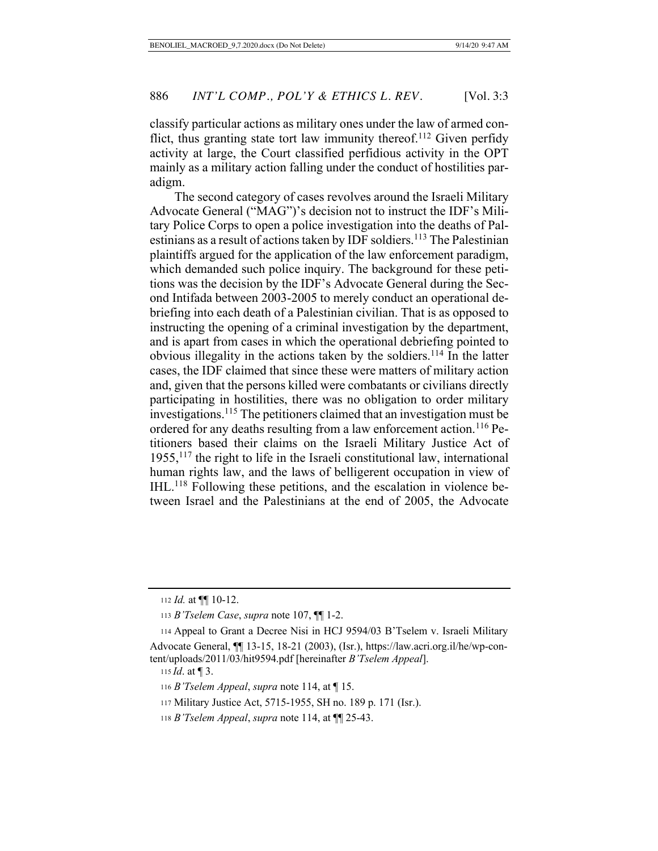classify particular actions as military ones under the law of armed conflict, thus granting state tort law immunity thereof.<sup>112</sup> Given perfidy activity at large, the Court classified perfidious activity in the OPT mainly as a military action falling under the conduct of hostilities paradigm.

The second category of cases revolves around the Israeli Military Advocate General ("MAG")'s decision not to instruct the IDF's Military Police Corps to open a police investigation into the deaths of Palestinians as a result of actions taken by IDF soldiers.<sup>113</sup> The Palestinian plaintiffs argued for the application of the law enforcement paradigm, which demanded such police inquiry. The background for these petitions was the decision by the IDF's Advocate General during the Second Intifada between 2003-2005 to merely conduct an operational debriefing into each death of a Palestinian civilian. That is as opposed to instructing the opening of a criminal investigation by the department, and is apart from cases in which the operational debriefing pointed to obvious illegality in the actions taken by the soldiers.114 In the latter cases, the IDF claimed that since these were matters of military action and, given that the persons killed were combatants or civilians directly participating in hostilities, there was no obligation to order military investigations.115 The petitioners claimed that an investigation must be ordered for any deaths resulting from a law enforcement action.<sup>116</sup> Petitioners based their claims on the Israeli Military Justice Act of  $1955$ ,  $117$  the right to life in the Israeli constitutional law, international human rights law, and the laws of belligerent occupation in view of IHL.118 Following these petitions, and the escalation in violence between Israel and the Palestinians at the end of 2005, the Advocate

115 *Id*. at ¶ 3.

<sup>112</sup> *Id.* at ¶¶ 10-12.

 <sup>113</sup> *B'Tselem Case*, *supra* note 107, ¶¶ 1-2.

 <sup>114</sup> Appeal to Grant a Decree Nisi in HCJ 9594/03 B'Tselem v. Israeli Military Advocate General, ¶¶ 13-15, 18-21 (2003), (Isr.), https://law.acri.org.il/he/wp-content/uploads/2011/03/hit9594.pdf [hereinafter *B'Tselem Appeal*].

 <sup>116</sup> *B'Tselem Appeal*, *supra* note 114, at ¶ 15.

 <sup>117</sup> Military Justice Act, 5715-1955, SH no. 189 p. 171 (Isr.).

 <sup>118</sup> *B'Tselem Appeal*, *supra* note 114, at ¶¶ 25-43.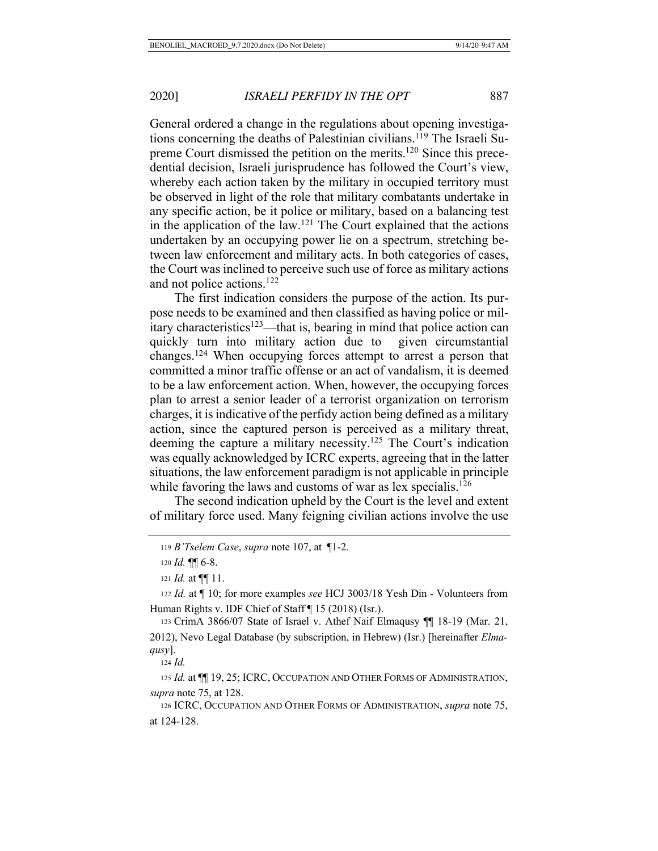General ordered a change in the regulations about opening investigations concerning the deaths of Palestinian civilians.<sup>119</sup> The Israeli Supreme Court dismissed the petition on the merits.<sup>120</sup> Since this precedential decision, Israeli jurisprudence has followed the Court's view, whereby each action taken by the military in occupied territory must be observed in light of the role that military combatants undertake in any specific action, be it police or military, based on a balancing test in the application of the law.<sup>121</sup> The Court explained that the actions undertaken by an occupying power lie on a spectrum, stretching between law enforcement and military acts. In both categories of cases, the Court was inclined to perceive such use of force as military actions and not police actions.122

The first indication considers the purpose of the action. Its purpose needs to be examined and then classified as having police or military characteristics<sup>123</sup>—that is, bearing in mind that police action can quickly turn into military action due to given circumstantial changes.124 When occupying forces attempt to arrest a person that committed a minor traffic offense or an act of vandalism, it is deemed to be a law enforcement action. When, however, the occupying forces plan to arrest a senior leader of a terrorist organization on terrorism charges, it is indicative of the perfidy action being defined as a military action, since the captured person is perceived as a military threat, deeming the capture a military necessity.125 The Court's indication was equally acknowledged by ICRC experts, agreeing that in the latter situations, the law enforcement paradigm is not applicable in principle while favoring the laws and customs of war as lex specialis.<sup>126</sup>

The second indication upheld by the Court is the level and extent of military force used. Many feigning civilian actions involve the use

<sup>124</sup> *Id.*

<sup>125</sup> *Id.* at ¶¶ 19, 25; ICRC, OCCUPATION AND OTHER FORMS OF ADMINISTRATION, *supra* note 75, at 128.

 126 ICRC, OCCUPATION AND OTHER FORMS OF ADMINISTRATION, *supra* note 75, at 124-128.

 <sup>119</sup> *B'Tselem Case*, *supra* note 107, at ¶1-2.

<sup>120</sup> *Id.* ¶¶ 6-8.

<sup>121</sup> *Id.* at ¶¶ 11.

 <sup>122</sup> *Id.* at ¶ 10; for more examples *see* HCJ 3003/18 Yesh Din - Volunteers from Human Rights v. IDF Chief of Staff ¶ 15 (2018) (Isr.).

 <sup>123</sup> CrimA 3866/07 State of Israel v. Athef Naif Elmaqusy ¶¶ 18-19 (Mar. 21, 2012), Nevo Legal Database (by subscription, in Hebrew) (Isr.) [hereinafter *Elmaqusy*].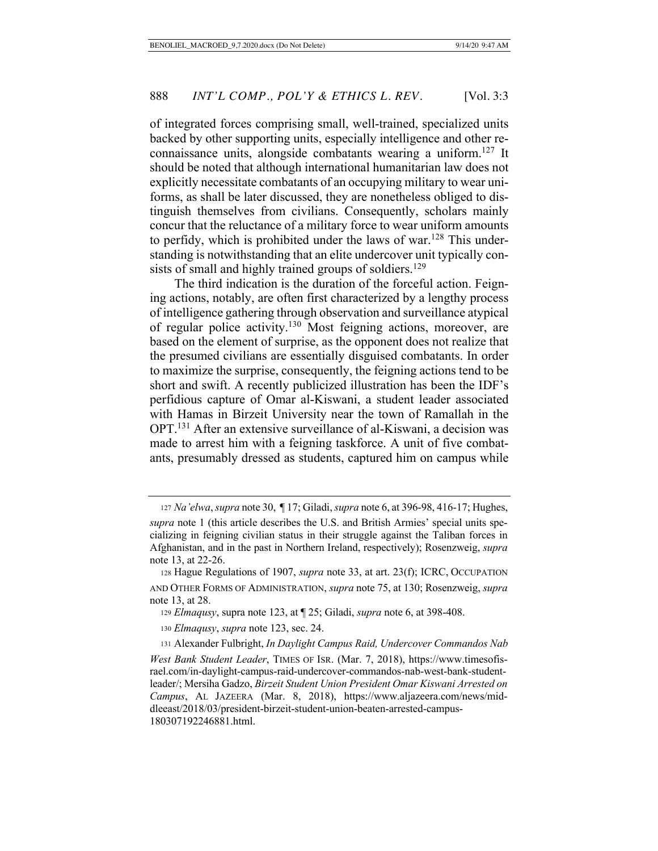of integrated forces comprising small, well-trained, specialized units backed by other supporting units, especially intelligence and other reconnaissance units, alongside combatants wearing a uniform.127 It should be noted that although international humanitarian law does not explicitly necessitate combatants of an occupying military to wear uniforms, as shall be later discussed, they are nonetheless obliged to distinguish themselves from civilians. Consequently, scholars mainly concur that the reluctance of a military force to wear uniform amounts to perfidy, which is prohibited under the laws of war.<sup>128</sup> This understanding is notwithstanding that an elite undercover unit typically consists of small and highly trained groups of soldiers.<sup>129</sup>

The third indication is the duration of the forceful action. Feigning actions, notably, are often first characterized by a lengthy process of intelligence gathering through observation and surveillance atypical of regular police activity.<sup>130</sup> Most feigning actions, moreover, are based on the element of surprise, as the opponent does not realize that the presumed civilians are essentially disguised combatants. In order to maximize the surprise, consequently, the feigning actions tend to be short and swift. A recently publicized illustration has been the IDF's perfidious capture of Omar al-Kiswani, a student leader associated with Hamas in Birzeit University near the town of Ramallah in the OPT.131 After an extensive surveillance of al-Kiswani, a decision was made to arrest him with a feigning taskforce. A unit of five combatants, presumably dressed as students, captured him on campus while

 <sup>127</sup> *Na'elwa*, *supra* note 30, ¶ 17; Giladi, *supra* note 6, at 396-98, 416-17; Hughes,

*supra* note 1 (this article describes the U.S. and British Armies' special units specializing in feigning civilian status in their struggle against the Taliban forces in Afghanistan, and in the past in Northern Ireland, respectively); Rosenzweig, *supra* note 13, at 22-26.

 <sup>128</sup> Hague Regulations of 1907, *supra* note 33, at art. 23(f); ICRC, OCCUPATION AND OTHER FORMS OF ADMINISTRATION, *supra* note 75, at 130; Rosenzweig, *supra* note 13, at 28.

 <sup>129</sup> *Elmaqusy*, supra note 123, at ¶ 25; Giladi, *supra* note 6, at 398-408.

 <sup>130</sup> *Elmaqusy*, *supra* note 123, sec. 24.

 <sup>131</sup> Alexander Fulbright, *In Daylight Campus Raid, Undercover Commandos Nab West Bank Student Leader*, TIMES OF ISR. (Mar. 7, 2018), https://www.timesofisrael.com/in-daylight-campus-raid-undercover-commandos-nab-west-bank-studentleader/; Mersiha Gadzo, *Birzeit Student Union President Omar Kiswani Arrested on Campus*, AL JAZEERA (Mar. 8, 2018), https://www.aljazeera.com/news/middleeast/2018/03/president-birzeit-student-union-beaten-arrested-campus-180307192246881.html.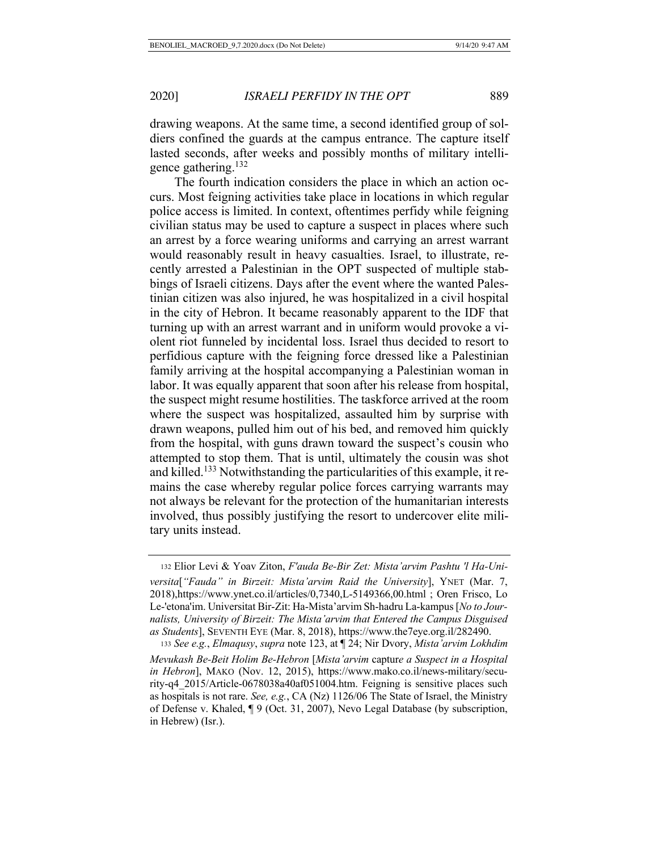drawing weapons. At the same time, a second identified group of soldiers confined the guards at the campus entrance. The capture itself lasted seconds, after weeks and possibly months of military intelligence gathering.132

The fourth indication considers the place in which an action occurs. Most feigning activities take place in locations in which regular police access is limited. In context, oftentimes perfidy while feigning civilian status may be used to capture a suspect in places where such an arrest by a force wearing uniforms and carrying an arrest warrant would reasonably result in heavy casualties. Israel, to illustrate, recently arrested a Palestinian in the OPT suspected of multiple stabbings of Israeli citizens. Days after the event where the wanted Palestinian citizen was also injured, he was hospitalized in a civil hospital in the city of Hebron. It became reasonably apparent to the IDF that turning up with an arrest warrant and in uniform would provoke a violent riot funneled by incidental loss. Israel thus decided to resort to perfidious capture with the feigning force dressed like a Palestinian family arriving at the hospital accompanying a Palestinian woman in labor. It was equally apparent that soon after his release from hospital, the suspect might resume hostilities. The taskforce arrived at the room where the suspect was hospitalized, assaulted him by surprise with drawn weapons, pulled him out of his bed, and removed him quickly from the hospital, with guns drawn toward the suspect's cousin who attempted to stop them. That is until, ultimately the cousin was shot and killed.<sup>133</sup> Notwithstanding the particularities of this example, it remains the case whereby regular police forces carrying warrants may not always be relevant for the protection of the humanitarian interests involved, thus possibly justifying the resort to undercover elite military units instead.

 <sup>132</sup> Elior Levi & Yoav Ziton, *F'auda Be-Bir Zet: Mista'arvim Pashtu 'l Ha-Universita*[*"Fauda" in Birzeit: Mista'arvim Raid the University*], YNET (Mar. 7, 2018),https://www.ynet.co.il/articles/0,7340,L-5149366,00.html ; Oren Frisco, Lo Le-'etona'im. Universitat Bir-Zit: Ha-Mista'arvim Sh-hadru La-kampus [*No to Journalists, University of Birzeit: The Mista'arvim that Entered the Campus Disguised as Students*], SEVENTH EYE (Mar. 8, 2018), https://www.the7eye.org.il/282490.

<sup>133</sup> *See e.g.*, *Elmaqusy*, *supra* note 123, at ¶ 24; Nir Dvory, *Mista'arvim Lokhdim Mevukash Be-Beit Holim Be-Hebron* [*Mista'arvim* captur*e a Suspect in a Hospital in Hebron*], MAKO (Nov. 12, 2015), https://www.mako.co.il/news-military/security-q4\_2015/Article-0678038a40af051004.htm. Feigning is sensitive places such as hospitals is not rare. *See, e.g.*, CA (Nz) 1126/06 The State of Israel, the Ministry of Defense v. Khaled, ¶ 9 (Oct. 31, 2007), Nevo Legal Database (by subscription, in Hebrew) (Isr.).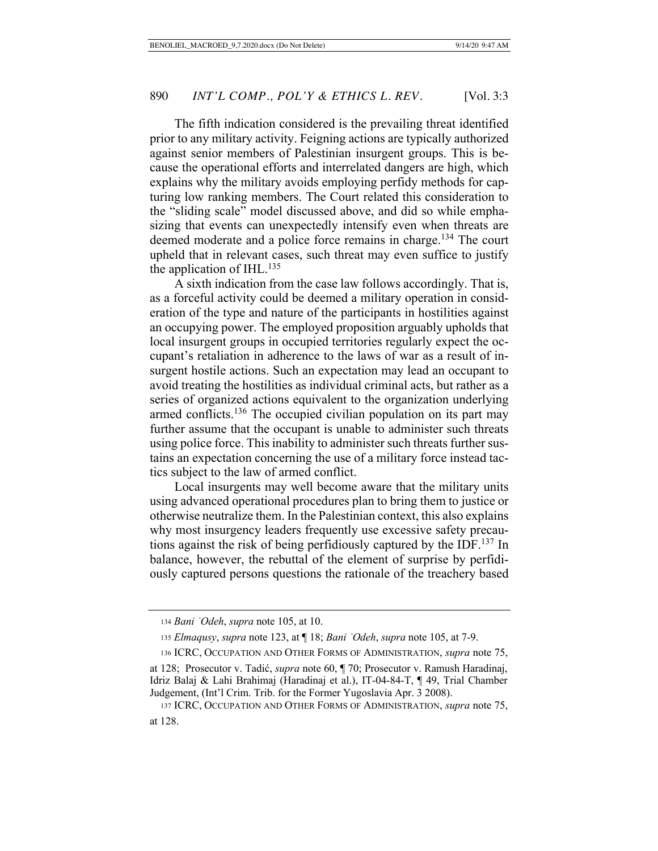The fifth indication considered is the prevailing threat identified prior to any military activity. Feigning actions are typically authorized against senior members of Palestinian insurgent groups. This is because the operational efforts and interrelated dangers are high, which explains why the military avoids employing perfidy methods for capturing low ranking members. The Court related this consideration to the "sliding scale" model discussed above, and did so while emphasizing that events can unexpectedly intensify even when threats are deemed moderate and a police force remains in charge.<sup>134</sup> The court upheld that in relevant cases, such threat may even suffice to justify the application of IHL. $^{135}$ 

A sixth indication from the case law follows accordingly. That is, as a forceful activity could be deemed a military operation in consideration of the type and nature of the participants in hostilities against an occupying power. The employed proposition arguably upholds that local insurgent groups in occupied territories regularly expect the occupant's retaliation in adherence to the laws of war as a result of insurgent hostile actions. Such an expectation may lead an occupant to avoid treating the hostilities as individual criminal acts, but rather as a series of organized actions equivalent to the organization underlying armed conflicts.<sup>136</sup> The occupied civilian population on its part may further assume that the occupant is unable to administer such threats using police force. This inability to administer such threats further sustains an expectation concerning the use of a military force instead tactics subject to the law of armed conflict.

Local insurgents may well become aware that the military units using advanced operational procedures plan to bring them to justice or otherwise neutralize them. In the Palestinian context, this also explains why most insurgency leaders frequently use excessive safety precautions against the risk of being perfidiously captured by the IDF.137 In balance, however, the rebuttal of the element of surprise by perfidiously captured persons questions the rationale of the treachery based

 <sup>134</sup> *Bani ʿOdeh*, *supra* note 105, at 10.

 <sup>135</sup> *Elmaqusy*, *supra* note 123, at ¶ 18; *Bani ʿOdeh*, *supra* note 105, at 7-9.

 <sup>136</sup> ICRC, OCCUPATION AND OTHER FORMS OF ADMINISTRATION, *supra* note 75,

at 128; Prosecutor v. Tadić, *supra* note 60, ¶ 70; Prosecutor v. Ramush Haradinaj, Idriz Balaj & Lahi Brahimaj (Haradinaj et al.), IT-04-84-T, ¶ 49, Trial Chamber Judgement, (Int'l Crim. Trib. for the Former Yugoslavia Apr. 3 2008).

 <sup>137</sup> ICRC, OCCUPATION AND OTHER FORMS OF ADMINISTRATION, *supra* note 75, at 128.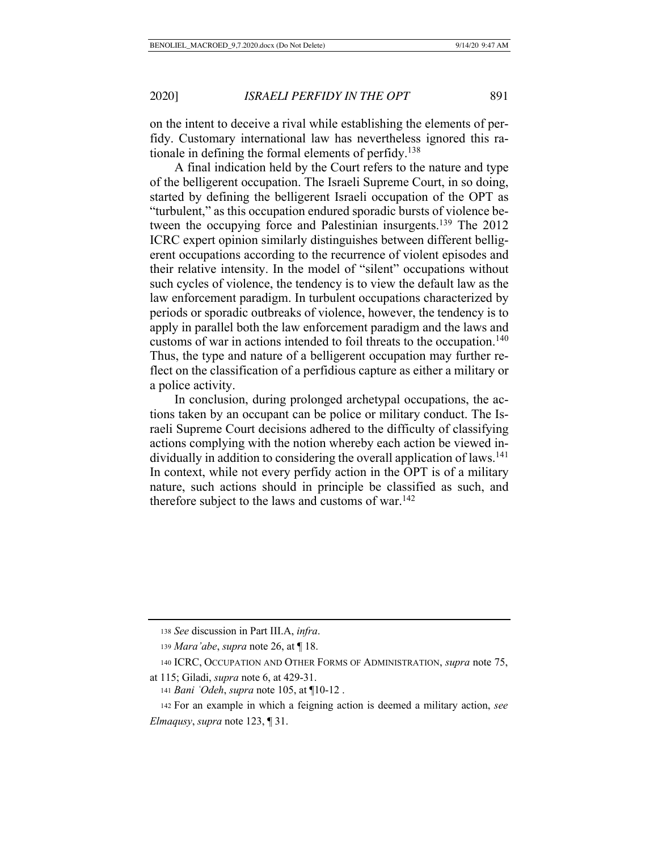on the intent to deceive a rival while establishing the elements of perfidy. Customary international law has nevertheless ignored this rationale in defining the formal elements of perfidy.138

A final indication held by the Court refers to the nature and type of the belligerent occupation. The Israeli Supreme Court, in so doing, started by defining the belligerent Israeli occupation of the OPT as "turbulent," as this occupation endured sporadic bursts of violence between the occupying force and Palestinian insurgents.<sup>139</sup> The 2012 ICRC expert opinion similarly distinguishes between different belligerent occupations according to the recurrence of violent episodes and their relative intensity. In the model of "silent" occupations without such cycles of violence, the tendency is to view the default law as the law enforcement paradigm. In turbulent occupations characterized by periods or sporadic outbreaks of violence, however, the tendency is to apply in parallel both the law enforcement paradigm and the laws and customs of war in actions intended to foil threats to the occupation.<sup>140</sup> Thus, the type and nature of a belligerent occupation may further reflect on the classification of a perfidious capture as either a military or a police activity.

In conclusion, during prolonged archetypal occupations, the actions taken by an occupant can be police or military conduct. The Israeli Supreme Court decisions adhered to the difficulty of classifying actions complying with the notion whereby each action be viewed individually in addition to considering the overall application of laws.<sup>141</sup> In context, while not every perfidy action in the OPT is of a military nature, such actions should in principle be classified as such, and therefore subject to the laws and customs of war.<sup>142</sup>

<sup>138</sup> *See* discussion in Part III.A, *infra*.

 <sup>139</sup> *Mara'abe*, *supra* note 26, at ¶ 18.

 <sup>140</sup> ICRC, OCCUPATION AND OTHER FORMS OF ADMINISTRATION, *supra* note 75,

at 115; Giladi, *supra* note 6, at 429-31.

<sup>141</sup> *Bani ʿOdeh*, *supra* note 105, at ¶10-12 .

 <sup>142</sup> For an example in which a feigning action is deemed a military action, *see Elmaqusy*, *supra* note 123, ¶ 31.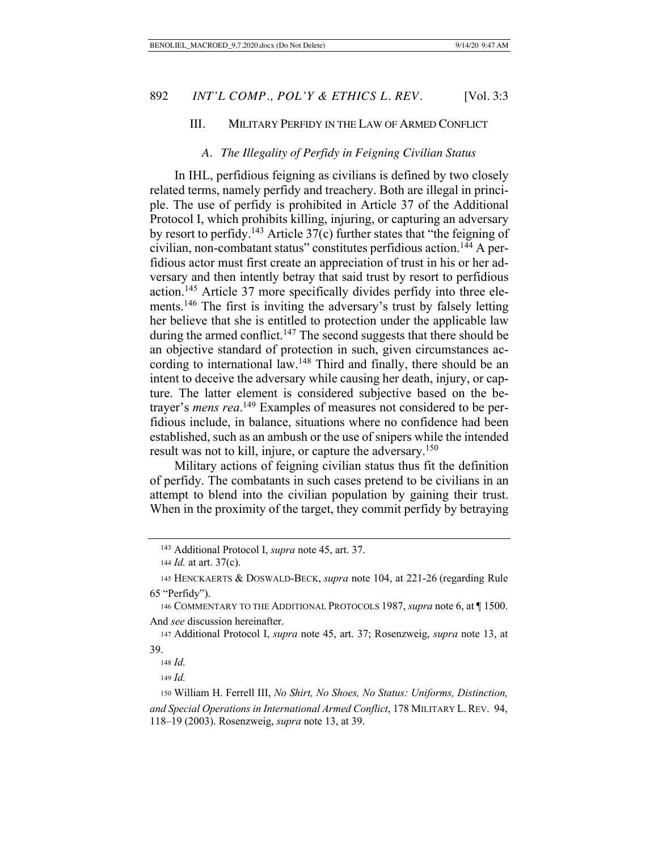# III. MILITARY PERFIDY IN THE LAW OF ARMED CONFLICT

#### *A. The Illegality of Perfidy in Feigning Civilian Status*

In IHL, perfidious feigning as civilians is defined by two closely related terms, namely perfidy and treachery. Both are illegal in principle. The use of perfidy is prohibited in Article 37 of the Additional Protocol I, which prohibits killing, injuring, or capturing an adversary by resort to perfidy.<sup>143</sup> Article  $37(c)$  further states that "the feigning of civilian, non-combatant status" constitutes perfidious action.144 A perfidious actor must first create an appreciation of trust in his or her adversary and then intently betray that said trust by resort to perfidious action.145 Article 37 more specifically divides perfidy into three elements.146 The first is inviting the adversary's trust by falsely letting her believe that she is entitled to protection under the applicable law during the armed conflict.<sup>147</sup> The second suggests that there should be an objective standard of protection in such, given circumstances according to international law.<sup>148</sup> Third and finally, there should be an intent to deceive the adversary while causing her death, injury, or capture. The latter element is considered subjective based on the betrayer's *mens rea*. 149 Examples of measures not considered to be perfidious include, in balance, situations where no confidence had been established, such as an ambush or the use of snipers while the intended result was not to kill, injure, or capture the adversary.<sup>150</sup>

Military actions of feigning civilian status thus fit the definition of perfidy. The combatants in such cases pretend to be civilians in an attempt to blend into the civilian population by gaining their trust. When in the proximity of the target, they commit perfidy by betraying

<sup>149</sup> *Id.*

 <sup>143</sup> Additional Protocol I, *supra* note 45, art. 37.

 <sup>144</sup> *Id.* at art. 37(c).

 <sup>145</sup> HENCKAERTS & DOSWALD-BECK, *supra* note 104, at 221-26 (regarding Rule 65 "Perfidy").

 <sup>146</sup> COMMENTARY TO THE ADDITIONAL PROTOCOLS 1987, *supra* note 6, at ¶ 1500. And *see* discussion hereinafter.

 <sup>147</sup> Additional Protocol I, *supra* note 45, art. 37; Rosenzweig, *supra* note 13, at 39.

<sup>148</sup> *Id.*

 <sup>150</sup> William H. Ferrell III, *No Shirt, No Shoes, No Status: Uniforms, Distinction,* 

*and Special Operations in International Armed Conflict*, 178 MILITARY L. REV. 94, 118–19 (2003). Rosenzweig, *supra* note 13, at 39.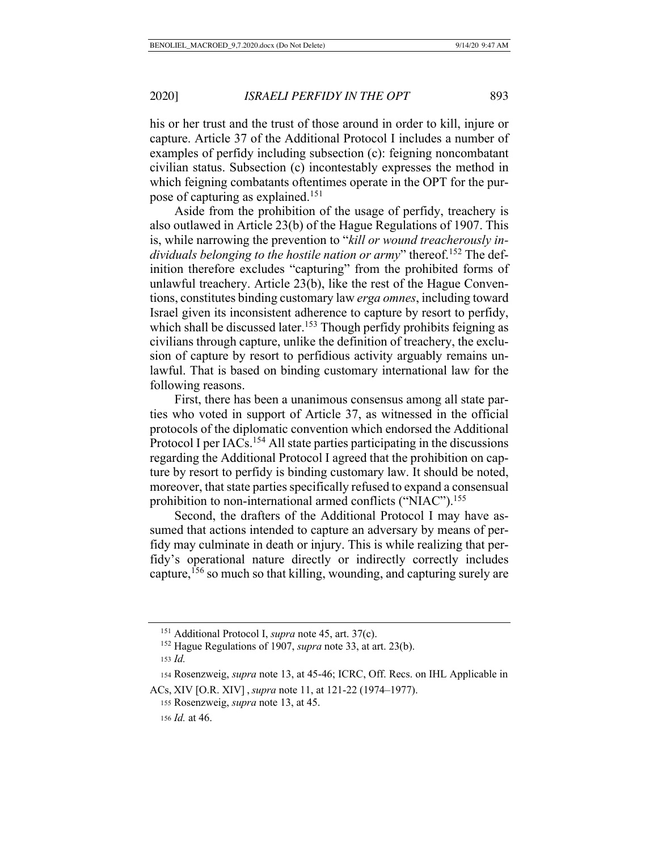his or her trust and the trust of those around in order to kill, injure or capture. Article 37 of the Additional Protocol I includes a number of examples of perfidy including subsection (c): feigning noncombatant civilian status. Subsection (c) incontestably expresses the method in which feigning combatants oftentimes operate in the OPT for the purpose of capturing as explained.151

Aside from the prohibition of the usage of perfidy, treachery is also outlawed in Article 23(b) of the Hague Regulations of 1907. This is, while narrowing the prevention to "*kill or wound treacherously in*dividuals belonging to the hostile nation or army" thereof.<sup>152</sup> The definition therefore excludes "capturing" from the prohibited forms of unlawful treachery. Article 23(b), like the rest of the Hague Conventions, constitutes binding customary law *erga omnes*, including toward Israel given its inconsistent adherence to capture by resort to perfidy, which shall be discussed later.<sup>153</sup> Though perfidy prohibits feigning as civilians through capture, unlike the definition of treachery, the exclusion of capture by resort to perfidious activity arguably remains unlawful. That is based on binding customary international law for the following reasons.

First, there has been a unanimous consensus among all state parties who voted in support of Article 37, as witnessed in the official protocols of the diplomatic convention which endorsed the Additional Protocol I per IACs.<sup>154</sup> All state parties participating in the discussions regarding the Additional Protocol I agreed that the prohibition on capture by resort to perfidy is binding customary law. It should be noted, moreover, that state parties specifically refused to expand a consensual prohibition to non-international armed conflicts ("NIAC").<sup>155</sup>

Second, the drafters of the Additional Protocol I may have assumed that actions intended to capture an adversary by means of perfidy may culminate in death or injury. This is while realizing that perfidy's operational nature directly or indirectly correctly includes capture,  $156$  so much so that killing, wounding, and capturing surely are

 <sup>151</sup> Additional Protocol I, *supra* note 45, art. 37(c).

 <sup>152</sup> Hague Regulations of 1907, *supra* note 33, at art. 23(b).

 <sup>153</sup> *Id.*

 <sup>154</sup> Rosenzweig, *supra* note 13, at 45-46; ICRC, Off. Recs. on IHL Applicable in

ACs, XIV [O.R. XIV] , *supra* note 11, at 121-22 (1974–1977).

 <sup>155</sup> Rosenzweig, *supra* note 13, at 45.

<sup>156</sup> *Id.* at 46.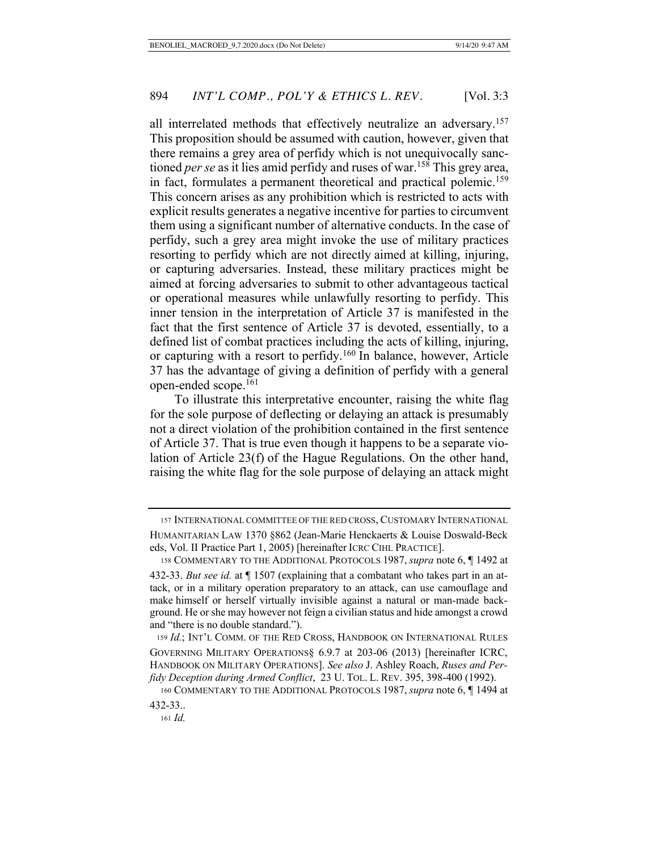all interrelated methods that effectively neutralize an adversary.<sup>157</sup> This proposition should be assumed with caution, however, given that there remains a grey area of perfidy which is not unequivocally sanctioned *per se* as it lies amid perfidy and ruses of war.<sup>158</sup> This grey area, in fact, formulates a permanent theoretical and practical polemic.<sup>159</sup> This concern arises as any prohibition which is restricted to acts with explicit results generates a negative incentive for parties to circumvent them using a significant number of alternative conducts. In the case of perfidy, such a grey area might invoke the use of military practices resorting to perfidy which are not directly aimed at killing, injuring, or capturing adversaries. Instead, these military practices might be aimed at forcing adversaries to submit to other advantageous tactical or operational measures while unlawfully resorting to perfidy. This inner tension in the interpretation of Article 37 is manifested in the fact that the first sentence of Article 37 is devoted, essentially, to a defined list of combat practices including the acts of killing, injuring, or capturing with a resort to perfidy.<sup>160</sup> In balance, however, Article 37 has the advantage of giving a definition of perfidy with a general open-ended scope.161

To illustrate this interpretative encounter, raising the white flag for the sole purpose of deflecting or delaying an attack is presumably not a direct violation of the prohibition contained in the first sentence of Article 37. That is true even though it happens to be a separate violation of Article 23(f) of the Hague Regulations. On the other hand, raising the white flag for the sole purpose of delaying an attack might

 <sup>157</sup> INTERNATIONAL COMMITTEE OF THE RED CROSS, CUSTOMARY INTERNATIONAL HUMANITARIAN LAW 1370 §862 (Jean-Marie Henckaerts & Louise Doswald-Beck eds, Vol. II Practice Part 1, 2005) [hereinafter ICRC CIHL PRACTICE].

 <sup>158</sup> COMMENTARY TO THE ADDITIONAL PROTOCOLS 1987, *supra* note 6, ¶ 1492 at 432-33. *But see id.* at ¶ 1507 (explaining that a combatant who takes part in an attack, or in a military operation preparatory to an attack, can use camouflage and make himself or herself virtually invisible against a natural or man-made background. He or she may however not feign a civilian status and hide amongst a crowd and "there is no double standard.").

 <sup>159</sup> *Id.*; INT'L COMM. OF THE RED CROSS, HANDBOOK ON INTERNATIONAL RULES GOVERNING MILITARY OPERATIONS§ 6.9.7 at 203-06 (2013) [hereinafter ICRC, HANDBOOK ON MILITARY OPERATIONS]. *See also* J. Ashley Roach, *Ruses and Perfidy Deception during Armed Conflict, 23 U. TOL. L. REV. 395, 398-400 (1992).* 

 <sup>160</sup> COMMENTARY TO THE ADDITIONAL PROTOCOLS 1987, *supra* note 6, ¶ 1494 at 432-33..

<sup>161</sup> *Id.*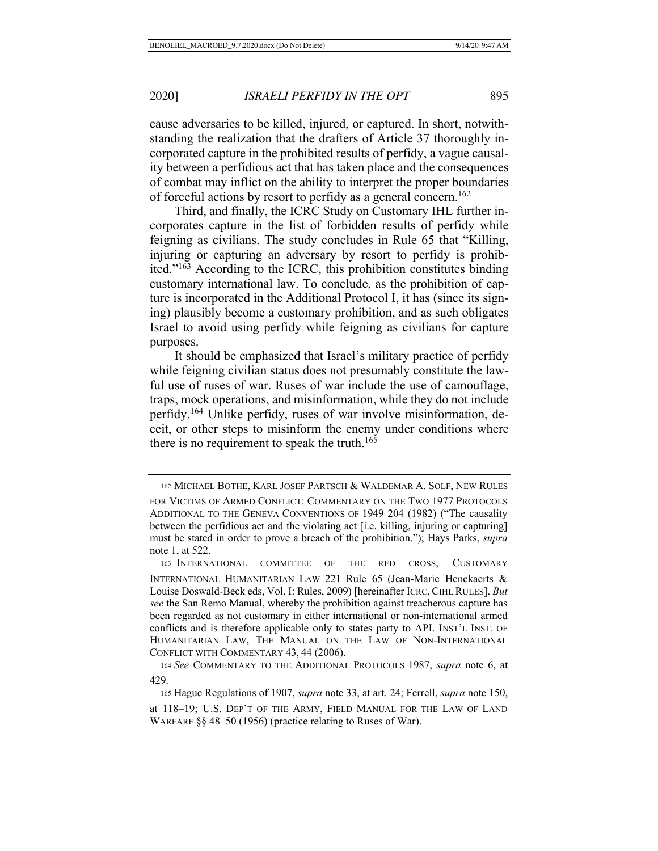cause adversaries to be killed, injured, or captured. In short, notwithstanding the realization that the drafters of Article 37 thoroughly incorporated capture in the prohibited results of perfidy, a vague causality between a perfidious act that has taken place and the consequences of combat may inflict on the ability to interpret the proper boundaries of forceful actions by resort to perfidy as a general concern.<sup>162</sup>

Third, and finally, the ICRC Study on Customary IHL further incorporates capture in the list of forbidden results of perfidy while feigning as civilians. The study concludes in Rule 65 that "Killing, injuring or capturing an adversary by resort to perfidy is prohibited."163 According to the ICRC, this prohibition constitutes binding customary international law. To conclude, as the prohibition of capture is incorporated in the Additional Protocol I, it has (since its signing) plausibly become a customary prohibition, and as such obligates Israel to avoid using perfidy while feigning as civilians for capture purposes.

It should be emphasized that Israel's military practice of perfidy while feigning civilian status does not presumably constitute the lawful use of ruses of war. Ruses of war include the use of camouflage, traps, mock operations, and misinformation, while they do not include perfidy.164 Unlike perfidy, ruses of war involve misinformation, deceit, or other steps to misinform the enemy under conditions where there is no requirement to speak the truth.<sup>165</sup>

 <sup>162</sup> MICHAEL BOTHE, KARL JOSEF PARTSCH & WALDEMAR A. SOLF, NEW RULES

FOR VICTIMS OF ARMED CONFLICT: COMMENTARY ON THE TWO 1977 PROTOCOLS ADDITIONAL TO THE GENEVA CONVENTIONS OF 1949 204 (1982) ("The causality between the perfidious act and the violating act [i.e. killing, injuring or capturing] must be stated in order to prove a breach of the prohibition."); Hays Parks, *supra* note 1, at 522.

 <sup>163</sup> INTERNATIONAL COMMITTEE OF THE RED CROSS, CUSTOMARY INTERNATIONAL HUMANITARIAN LAW 221 Rule 65 (Jean-Marie Henckaerts & Louise Doswald-Beck eds, Vol. I: Rules, 2009) [hereinafter ICRC, CIHL RULES]. *But see* the San Remo Manual, whereby the prohibition against treacherous capture has been regarded as not customary in either international or non-international armed conflicts and is therefore applicable only to states party to API. INST'L INST. OF HUMANITARIAN LAW, THE MANUAL ON THE LAW OF NON-INTERNATIONAL CONFLICT WITH COMMENTARY 43, 44 (2006).

<sup>164</sup> *See* COMMENTARY TO THE ADDITIONAL PROTOCOLS 1987, *supra* note 6, at 429.

 <sup>165</sup> Hague Regulations of 1907, *supra* note 33, at art. 24; Ferrell, *supra* note 150,

at 118–19; U.S. DEP'T OF THE ARMY, FIELD MANUAL FOR THE LAW OF LAND WARFARE §§ 48–50 (1956) (practice relating to Ruses of War).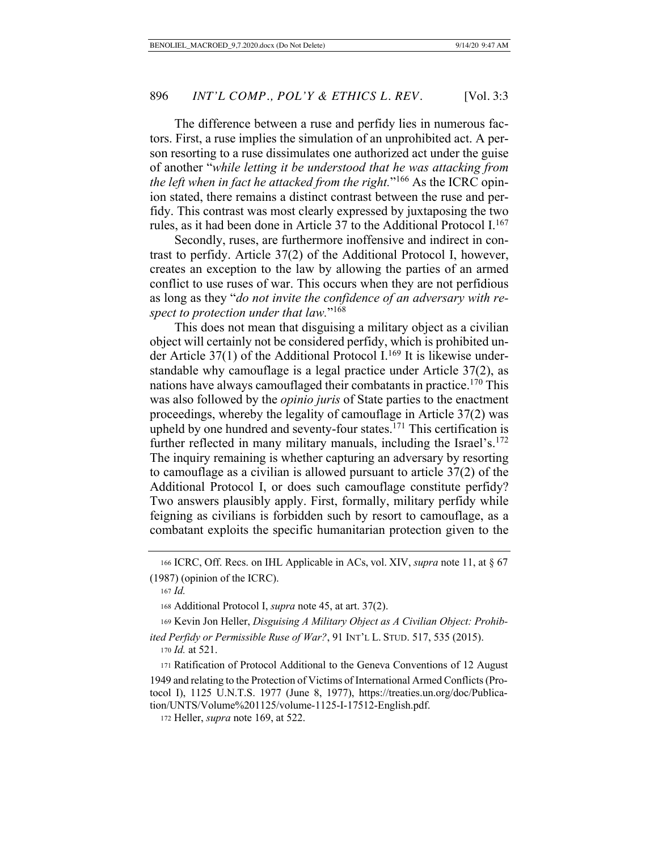The difference between a ruse and perfidy lies in numerous factors. First, a ruse implies the simulation of an unprohibited act. A person resorting to a ruse dissimulates one authorized act under the guise of another "*while letting it be understood that he was attacking from the left when in fact he attacked from the right.*"166 As the ICRC opinion stated, there remains a distinct contrast between the ruse and perfidy. This contrast was most clearly expressed by juxtaposing the two rules, as it had been done in Article 37 to the Additional Protocol  $I^{167}$ 

Secondly, ruses, are furthermore inoffensive and indirect in contrast to perfidy. Article 37(2) of the Additional Protocol I, however, creates an exception to the law by allowing the parties of an armed conflict to use ruses of war. This occurs when they are not perfidious as long as they "*do not invite the confidence of an adversary with respect to protection under that law.*"168

This does not mean that disguising a military object as a civilian object will certainly not be considered perfidy, which is prohibited under Article 37(1) of the Additional Protocol I.<sup>169</sup> It is likewise understandable why camouflage is a legal practice under Article 37(2), as nations have always camouflaged their combatants in practice.<sup>170</sup> This was also followed by the *opinio juris* of State parties to the enactment proceedings, whereby the legality of camouflage in Article 37(2) was upheld by one hundred and seventy-four states.<sup>171</sup> This certification is further reflected in many military manuals, including the Israel's. $172$ The inquiry remaining is whether capturing an adversary by resorting to camouflage as a civilian is allowed pursuant to article 37(2) of the Additional Protocol I, or does such camouflage constitute perfidy? Two answers plausibly apply. First, formally, military perfidy while feigning as civilians is forbidden such by resort to camouflage, as a combatant exploits the specific humanitarian protection given to the

 <sup>166</sup> ICRC, Off. Recs. on IHL Applicable in ACs, vol. XIV, *supra* note 11, at § 67 (1987) (opinion of the ICRC).

<sup>167</sup> *Id.*

 <sup>168</sup> Additional Protocol I, *supra* note 45, at art. 37(2).

 <sup>169</sup> Kevin Jon Heller, *Disguising A Military Object as A Civilian Object: Prohibited Perfidy or Permissible Ruse of War?*, 91 INT'L L. STUD. 517, 535 (2015).

<sup>170</sup> *Id.* at 521.

<sup>171</sup> Ratification of Protocol Additional to the Geneva Conventions of 12 August 1949 and relating to the Protection of Victims of International Armed Conflicts (Protocol I), 1125 U.N.T.S. 1977 (June 8, 1977), https://treaties.un.org/doc/Publication/UNTS/Volume%201125/volume-1125-I-17512-English.pdf.

 <sup>172</sup> Heller, *supra* note 169, at 522.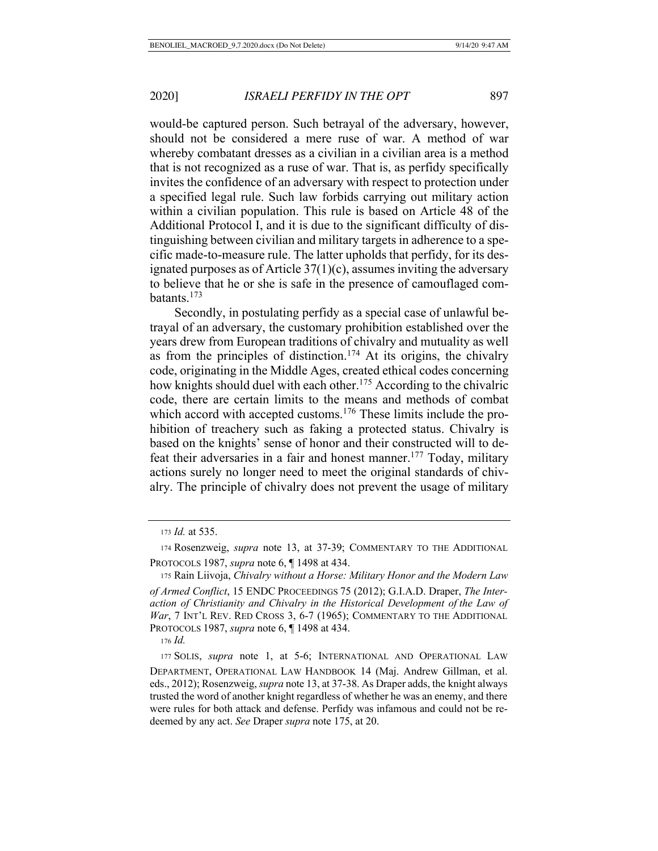would-be captured person. Such betrayal of the adversary, however, should not be considered a mere ruse of war. A method of war whereby combatant dresses as a civilian in a civilian area is a method that is not recognized as a ruse of war. That is, as perfidy specifically invites the confidence of an adversary with respect to protection under a specified legal rule. Such law forbids carrying out military action within a civilian population. This rule is based on Article 48 of the Additional Protocol I, and it is due to the significant difficulty of distinguishing between civilian and military targets in adherence to a specific made-to-measure rule. The latter upholds that perfidy, for its designated purposes as of Article  $37(1)(c)$ , assumes inviting the adversary to believe that he or she is safe in the presence of camouflaged combatants.173

Secondly, in postulating perfidy as a special case of unlawful betrayal of an adversary, the customary prohibition established over the years drew from European traditions of chivalry and mutuality as well as from the principles of distinction.<sup>174</sup> At its origins, the chivalry code, originating in the Middle Ages, created ethical codes concerning how knights should duel with each other.<sup>175</sup> According to the chivalric code, there are certain limits to the means and methods of combat which accord with accepted customs.<sup>176</sup> These limits include the prohibition of treachery such as faking a protected status. Chivalry is based on the knights' sense of honor and their constructed will to defeat their adversaries in a fair and honest manner.<sup>177</sup> Today, military actions surely no longer need to meet the original standards of chivalry. The principle of chivalry does not prevent the usage of military

<sup>173</sup> *Id.* at 535.

 <sup>174</sup> Rosenzweig, *supra* note 13, at 37-39; COMMENTARY TO THE ADDITIONAL PROTOCOLS 1987, *supra* note 6, ¶ 1498 at 434.

 <sup>175</sup> Rain Liivoja, *Chivalry without a Horse: Military Honor and the Modern Law* 

*of Armed Conflict*, 15 ENDC PROCEEDINGS 75 (2012); G.I.A.D. Draper, *The Interaction of Christianity and Chivalry in the Historical Development of the Law of*  War, 7 INT'L REV. RED CROSS 3, 6-7 (1965); COMMENTARY TO THE ADDITIONAL PROTOCOLS 1987, *supra* note 6, ¶ 1498 at 434.

<sup>176</sup> *Id.*

 <sup>177</sup> SOLIS, *supra* note 1, at 5-6; INTERNATIONAL AND OPERATIONAL LAW DEPARTMENT, OPERATIONAL LAW HANDBOOK 14 (Maj. Andrew Gillman, et al. eds., 2012); Rosenzweig, *supra* note 13, at 37-38. As Draper adds, the knight always trusted the word of another knight regardless of whether he was an enemy, and there were rules for both attack and defense. Perfidy was infamous and could not be redeemed by any act. *See* Draper *supra* note 175, at 20.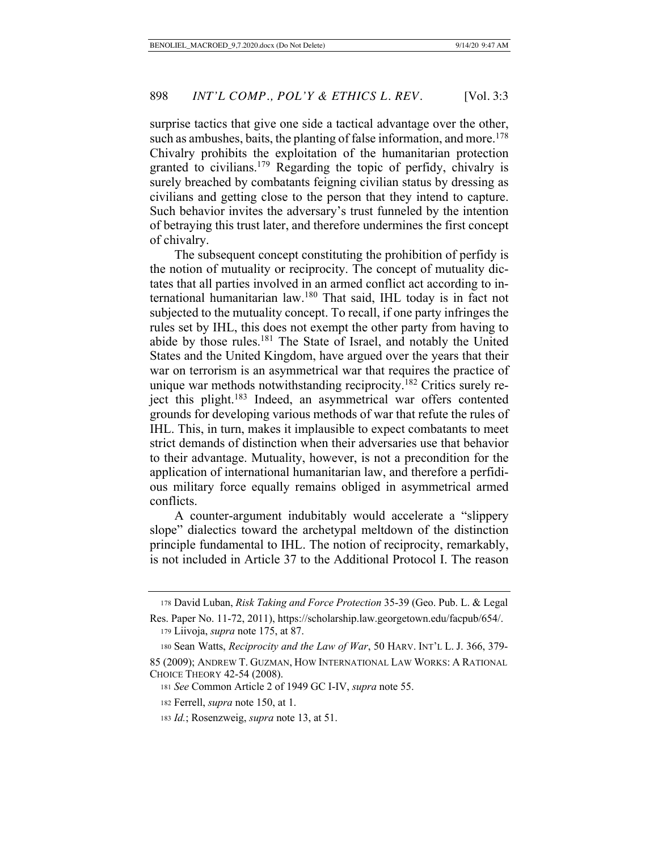surprise tactics that give one side a tactical advantage over the other, such as ambushes, baits, the planting of false information, and more.<sup>178</sup> Chivalry prohibits the exploitation of the humanitarian protection granted to civilians.<sup>179</sup> Regarding the topic of perfidy, chivalry is surely breached by combatants feigning civilian status by dressing as civilians and getting close to the person that they intend to capture. Such behavior invites the adversary's trust funneled by the intention of betraying this trust later, and therefore undermines the first concept of chivalry.

The subsequent concept constituting the prohibition of perfidy is the notion of mutuality or reciprocity. The concept of mutuality dictates that all parties involved in an armed conflict act according to international humanitarian law.180 That said, IHL today is in fact not subjected to the mutuality concept. To recall, if one party infringes the rules set by IHL, this does not exempt the other party from having to abide by those rules.<sup>181</sup> The State of Israel, and notably the United States and the United Kingdom, have argued over the years that their war on terrorism is an asymmetrical war that requires the practice of unique war methods notwithstanding reciprocity.<sup>182</sup> Critics surely reject this plight.<sup>183</sup> Indeed, an asymmetrical war offers contented grounds for developing various methods of war that refute the rules of IHL. This, in turn, makes it implausible to expect combatants to meet strict demands of distinction when their adversaries use that behavior to their advantage. Mutuality, however, is not a precondition for the application of international humanitarian law, and therefore a perfidious military force equally remains obliged in asymmetrical armed conflicts.

A counter-argument indubitably would accelerate a "slippery slope" dialectics toward the archetypal meltdown of the distinction principle fundamental to IHL. The notion of reciprocity, remarkably, is not included in Article 37 to the Additional Protocol I. The reason

 <sup>178</sup> David Luban, *Risk Taking and Force Protection* 35-39 (Geo. Pub. L. & Legal

Res. Paper No. 11-72, 2011), https://scholarship.law.georgetown.edu/facpub/654/. 179 Liivoja, *supra* note 175, at 87.

 <sup>180</sup> Sean Watts, *Reciprocity and the Law of War*, 50 HARV. INT'L L. J. 366, 379-

<sup>85 (2009);</sup> ANDREW T. GUZMAN, HOW INTERNATIONAL LAW WORKS: A RATIONAL CHOICE THEORY 42-54 (2008).

 <sup>181</sup> *See* Common Article 2 of 1949 GC I-IV, *supra* note 55.

 <sup>182</sup> Ferrell, *supra* note 150, at 1.

<sup>183</sup> *Id.*; Rosenzweig, *supra* note 13, at 51.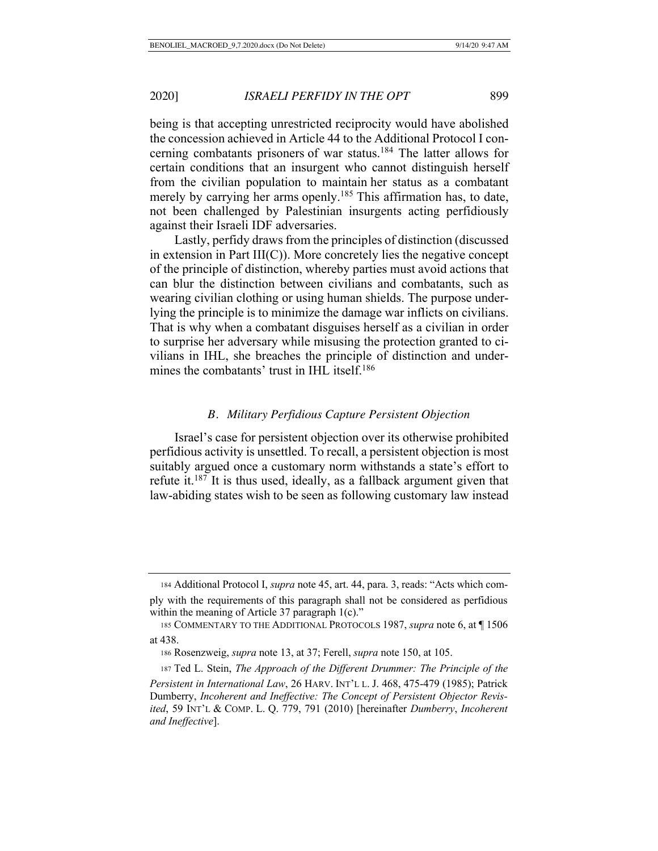being is that accepting unrestricted reciprocity would have abolished the concession achieved in Article 44 to the Additional Protocol I concerning combatants prisoners of war status.<sup>184</sup> The latter allows for certain conditions that an insurgent who cannot distinguish herself from the civilian population to maintain her status as a combatant merely by carrying her arms openly.<sup>185</sup> This affirmation has, to date, not been challenged by Palestinian insurgents acting perfidiously against their Israeli IDF adversaries.

Lastly, perfidy draws from the principles of distinction (discussed in extension in Part III(C)). More concretely lies the negative concept of the principle of distinction, whereby parties must avoid actions that can blur the distinction between civilians and combatants, such as wearing civilian clothing or using human shields. The purpose underlying the principle is to minimize the damage war inflicts on civilians. That is why when a combatant disguises herself as a civilian in order to surprise her adversary while misusing the protection granted to civilians in IHL, she breaches the principle of distinction and undermines the combatants' trust in IHL itself.<sup>186</sup>

## *B. Military Perfidious Capture Persistent Objection*

Israel's case for persistent objection over its otherwise prohibited perfidious activity is unsettled. To recall, a persistent objection is most suitably argued once a customary norm withstands a state's effort to refute it. $187$  It is thus used, ideally, as a fallback argument given that law-abiding states wish to be seen as following customary law instead

 <sup>184</sup> Additional Protocol I, *supra* note 45, art. 44, para. 3, reads: "Acts which comply with the requirements of this paragraph shall not be considered as perfidious within the meaning of Article 37 paragraph 1(c)."

 <sup>185</sup> COMMENTARY TO THE ADDITIONAL PROTOCOLS 1987, *supra* note 6, at ¶ 1506 at 438.

 <sup>186</sup> Rosenzweig, *supra* note 13, at 37; Ferell, *supra* note 150, at 105.

 <sup>187</sup> Ted L. Stein, *The Approach of the Different Drummer: The Principle of the Persistent in International Law*, 26 HARV. INT'L L. J. 468, 475-479 (1985); Patrick Dumberry, *Incoherent and Ineffective: The Concept of Persistent Objector Revisited*, 59 INT'L & COMP. L. Q. 779, 791 (2010) [hereinafter *Dumberry*, *Incoherent and Ineffective*].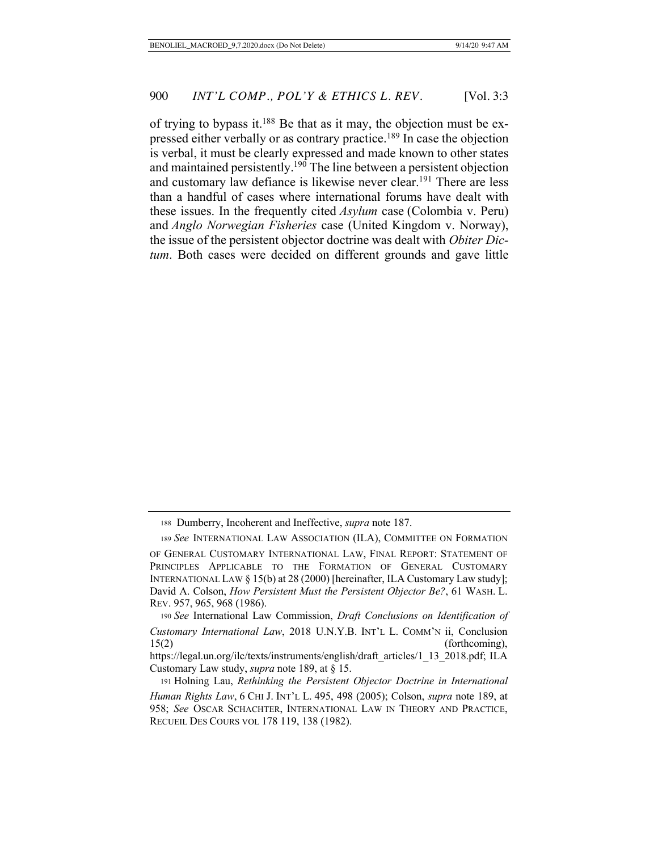of trying to bypass it.<sup>188</sup> Be that as it may, the objection must be expressed either verbally or as contrary practice.<sup>189</sup> In case the objection is verbal, it must be clearly expressed and made known to other states and maintained persistently.<sup>190</sup> The line between a persistent objection and customary law defiance is likewise never clear.<sup>191</sup> There are less than a handful of cases where international forums have dealt with these issues. In the frequently cited *Asylum* case (Colombia v. Peru) and *Anglo Norwegian Fisheries* case (United Kingdom v. Norway), the issue of the persistent objector doctrine was dealt with *Obiter Dictum*. Both cases were decided on different grounds and gave little

<sup>188</sup> Dumberry, Incoherent and Ineffective, *supra* note 187.

<sup>189</sup> *See* INTERNATIONAL LAW ASSOCIATION (ILA), COMMITTEE ON FORMATION

OF GENERAL CUSTOMARY INTERNATIONAL LAW, FINAL REPORT: STATEMENT OF PRINCIPLES APPLICABLE TO THE FORMATION OF GENERAL CUSTOMARY INTERNATIONAL LAW § 15(b) at 28 (2000) [hereinafter, ILA Customary Law study]; David A. Colson, *How Persistent Must the Persistent Objector Be?*, 61 WASH. L. REV. 957, 965, 968 (1986).

 <sup>190</sup> *See* International Law Commission, *Draft Conclusions on Identification of Customary International Law*, 2018 U.N.Y.B. INT'L L. COMM'N ii, Conclusion

<sup>15(2) (</sup>forthcoming), https://legal.un.org/ilc/texts/instruments/english/draft\_articles/1\_13\_2018.pdf; ILA

Customary Law study, *supra* note 189, at § 15.

 <sup>191</sup> Holning Lau, *Rethinking the Persistent Objector Doctrine in International Human Rights Law*, 6 CHI J. INT'L L. 495, 498 (2005); Colson, *supra* note 189, at 958; *See* OSCAR SCHACHTER, INTERNATIONAL LAW IN THEORY AND PRACTICE, RECUEIL DES COURS VOL 178 119, 138 (1982).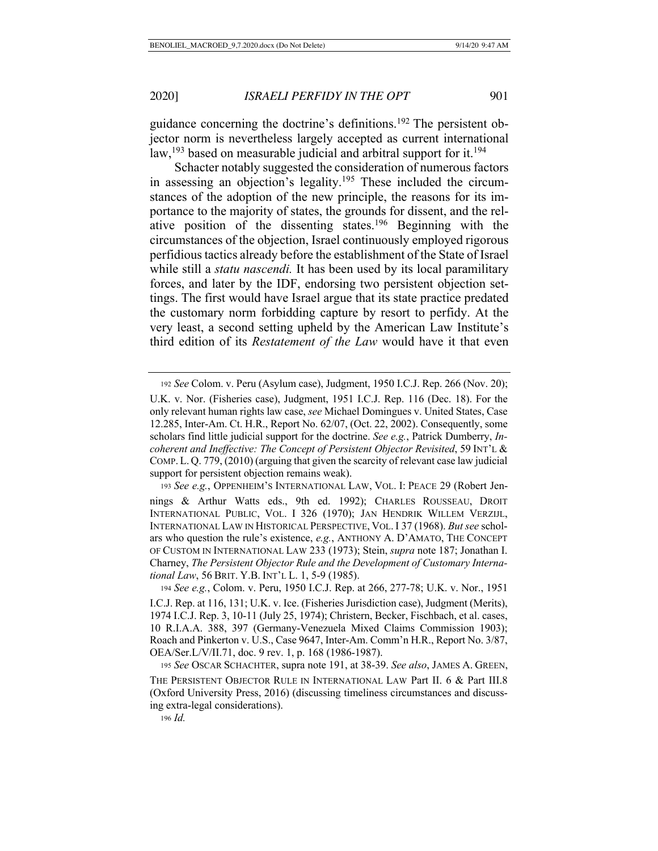guidance concerning the doctrine's definitions.192 The persistent objector norm is nevertheless largely accepted as current international law,<sup>193</sup> based on measurable judicial and arbitral support for it.<sup>194</sup>

Schacter notably suggested the consideration of numerous factors in assessing an objection's legality.<sup>195</sup> These included the circumstances of the adoption of the new principle, the reasons for its importance to the majority of states, the grounds for dissent, and the relative position of the dissenting states.196 Beginning with the circumstances of the objection, Israel continuously employed rigorous perfidious tactics already before the establishment of the State of Israel while still a *statu nascendi*. It has been used by its local paramilitary forces, and later by the IDF, endorsing two persistent objection settings. The first would have Israel argue that its state practice predated the customary norm forbidding capture by resort to perfidy. At the very least, a second setting upheld by the American Law Institute's third edition of its *Restatement of the Law* would have it that even

193 *See e.g.*, OPPENHEIM'S INTERNATIONAL LAW, VOL. I: PEACE 29 (Robert Jen-

<sup>192</sup> *See* Colom. v. Peru (Asylum case), Judgment, 1950 I.C.J. Rep. 266 (Nov. 20); U.K. v. Nor. (Fisheries case), Judgment, 1951 I.C.J. Rep. 116 (Dec. 18). For the only relevant human rights law case, *see* Michael Domingues v. United States, Case

<sup>12.285,</sup> Inter-Am. Ct. H.R., Report No. 62/07, (Oct. 22, 2002). Consequently, some scholars find little judicial support for the doctrine. *See e.g.*, Patrick Dumberry, *Incoherent and Ineffective: The Concept of Persistent Objector Revisited*, 59 INT'L & COMP. L. Q. 779, (2010) (arguing that given the scarcity of relevant case law judicial support for persistent objection remains weak).

nings & Arthur Watts eds., 9th ed. 1992); CHARLES ROUSSEAU, DROIT INTERNATIONAL PUBLIC, VOL. I 326 (1970); JAN HENDRIK WILLEM VERZIJL, INTERNATIONAL LAW IN HISTORICAL PERSPECTIVE, VOL. I 37 (1968). *But see* scholars who question the rule's existence, *e.g.*, ANTHONY A. D'AMATO, THE CONCEPT OF CUSTOM IN INTERNATIONAL LAW 233 (1973); Stein, *supra* note 187; Jonathan I. Charney, *The Persistent Objector Rule and the Development of Customary International Law*, 56 BRIT. Y.B. INT'L L. 1, 5-9 (1985).

 <sup>194</sup> *See e.g.*, Colom. v. Peru, 1950 I.C.J. Rep. at 266, 277-78; U.K. v. Nor., 1951 I.C.J. Rep. at 116, 131; U.K. v. Ice. (Fisheries Jurisdiction case), Judgment (Merits), 1974 I.C.J. Rep. 3, 10-11 (July 25, 1974); Christern, Becker, Fischbach, et al. cases, 10 R.I.A.A. 388, 397 (Germany-Venezuela Mixed Claims Commission 1903); Roach and Pinkerton v. U.S., Case 9647, Inter-Am. Comm'n H.R., Report No. 3/87, OEA/Ser.L/V/II.71, doc. 9 rev. 1, p. 168 (1986-1987).

<sup>195</sup> *See* OSCAR SCHACHTER, supra note 191, at 38-39. *See also*, JAMES A. GREEN, THE PERSISTENT OBJECTOR RULE IN INTERNATIONAL LAW Part II. 6 & Part III.8 (Oxford University Press, 2016) (discussing timeliness circumstances and discussing extra-legal considerations).

<sup>196</sup> *Id.*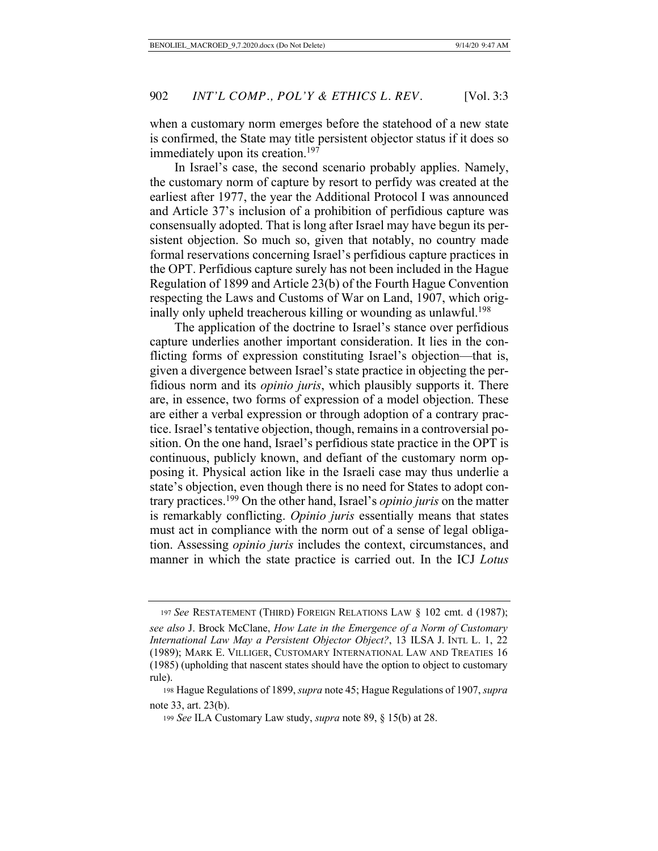when a customary norm emerges before the statehood of a new state is confirmed, the State may title persistent objector status if it does so immediately upon its creation.<sup>197</sup>

In Israel's case, the second scenario probably applies. Namely, the customary norm of capture by resort to perfidy was created at the earliest after 1977, the year the Additional Protocol I was announced and Article 37's inclusion of a prohibition of perfidious capture was consensually adopted. That is long after Israel may have begun its persistent objection. So much so, given that notably, no country made formal reservations concerning Israel's perfidious capture practices in the OPT. Perfidious capture surely has not been included in the Hague Regulation of 1899 and Article 23(b) of the Fourth Hague Convention respecting the Laws and Customs of War on Land, 1907, which originally only upheld treacherous killing or wounding as unlawful.<sup>198</sup>

The application of the doctrine to Israel's stance over perfidious capture underlies another important consideration. It lies in the conflicting forms of expression constituting Israel's objection—that is, given a divergence between Israel's state practice in objecting the perfidious norm and its *opinio juris*, which plausibly supports it. There are, in essence, two forms of expression of a model objection. These are either a verbal expression or through adoption of a contrary practice. Israel's tentative objection, though, remains in a controversial position. On the one hand, Israel's perfidious state practice in the OPT is continuous, publicly known, and defiant of the customary norm opposing it. Physical action like in the Israeli case may thus underlie a state's objection, even though there is no need for States to adopt contrary practices.199 On the other hand, Israel's *opinio juris* on the matter is remarkably conflicting. *Opinio juris* essentially means that states must act in compliance with the norm out of a sense of legal obligation. Assessing *opinio juris* includes the context, circumstances, and manner in which the state practice is carried out. In the ICJ *Lotus* 

<sup>197</sup> *See* RESTATEMENT (THIRD) FOREIGN RELATIONS LAW § 102 cmt. d (1987);

*see also* J. Brock McClane, *How Late in the Emergence of a Norm of Customary International Law May a Persistent Objector Object?*, 13 ILSA J. INTL L. 1, 22 (1989); MARK E. VILLIGER, CUSTOMARY INTERNATIONAL LAW AND TREATIES 16 (1985) (upholding that nascent states should have the option to object to customary rule).

 <sup>198</sup> Hague Regulations of 1899, *supra* note 45; Hague Regulations of 1907, *supra*  note 33, art. 23(b).

<sup>199</sup> *See* ILA Customary Law study, *supra* note 89, § 15(b) at 28.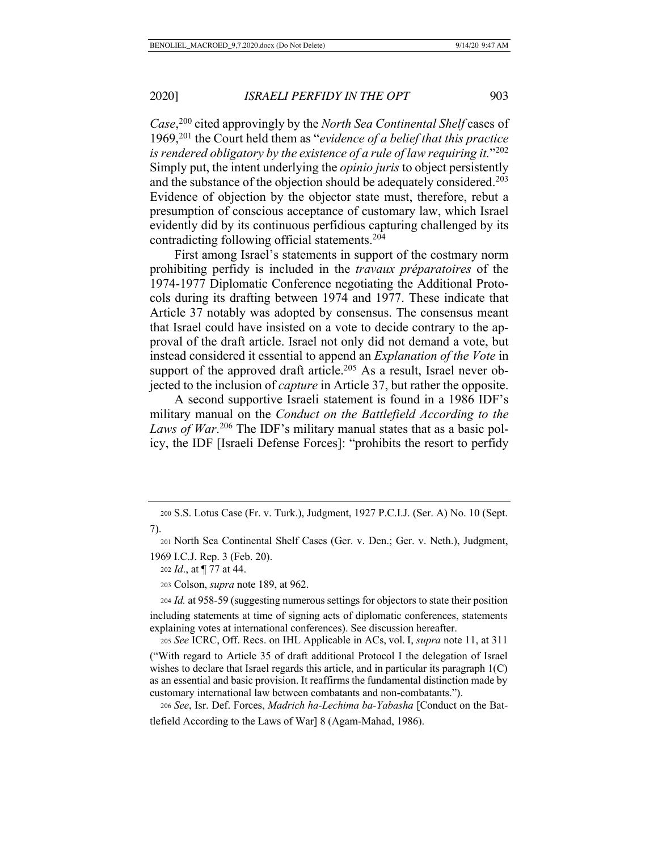*Case*, 200 cited approvingly by the *North Sea Continental Shelf* cases of 1969,201 the Court held them as "*evidence of a belief that this practice is rendered obligatory by the existence of a rule of law requiring it.*"202 Simply put, the intent underlying the *opinio juris* to object persistently and the substance of the objection should be adequately considered.<sup>203</sup> Evidence of objection by the objector state must, therefore, rebut a presumption of conscious acceptance of customary law, which Israel evidently did by its continuous perfidious capturing challenged by its contradicting following official statements.204

First among Israel's statements in support of the costmary norm prohibiting perfidy is included in the *travaux préparatoires* of the 1974-1977 Diplomatic Conference negotiating the Additional Protocols during its drafting between 1974 and 1977. These indicate that Article 37 notably was adopted by consensus. The consensus meant that Israel could have insisted on a vote to decide contrary to the approval of the draft article. Israel not only did not demand a vote, but instead considered it essential to append an *Explanation of the Vote* in support of the approved draft article.<sup>205</sup> As a result, Israel never objected to the inclusion of *capture* in Article 37, but rather the opposite.

A second supportive Israeli statement is found in a 1986 IDF's military manual on the *Conduct on the Battlefield According to the*  Laws of War.<sup>206</sup> The IDF's military manual states that as a basic policy, the IDF [Israeli Defense Forces]: "prohibits the resort to perfidy

<sup>205</sup> *See* ICRC, Off. Recs. on IHL Applicable in ACs, vol. I, *supra* note 11, at 311

("With regard to Article 35 of draft additional Protocol I the delegation of Israel wishes to declare that Israel regards this article, and in particular its paragraph  $1(C)$ as an essential and basic provision. It reaffirms the fundamental distinction made by customary international law between combatants and non-combatants.").

<sup>206</sup> *See*, Isr. Def. Forces, *Madrich ha-Lechima ba-Yabasha* [Conduct on the Battlefield According to the Laws of War] 8 (Agam-Mahad, 1986).

 <sup>200</sup> S.S. Lotus Case (Fr. v. Turk.), Judgment, 1927 P.C.I.J. (Ser. A) No. 10 (Sept. 7).

 <sup>201</sup> North Sea Continental Shelf Cases (Ger. v. Den.; Ger. v. Neth.), Judgment, 1969 I.C.J. Rep. 3 (Feb. 20).

<sup>202</sup> *Id*., at ¶ 77 at 44.

 <sup>203</sup> Colson, *supra* note 189, at 962.

<sup>204</sup> *Id.* at 958-59 (suggesting numerous settings for objectors to state their position including statements at time of signing acts of diplomatic conferences, statements explaining votes at international conferences). See discussion hereafter.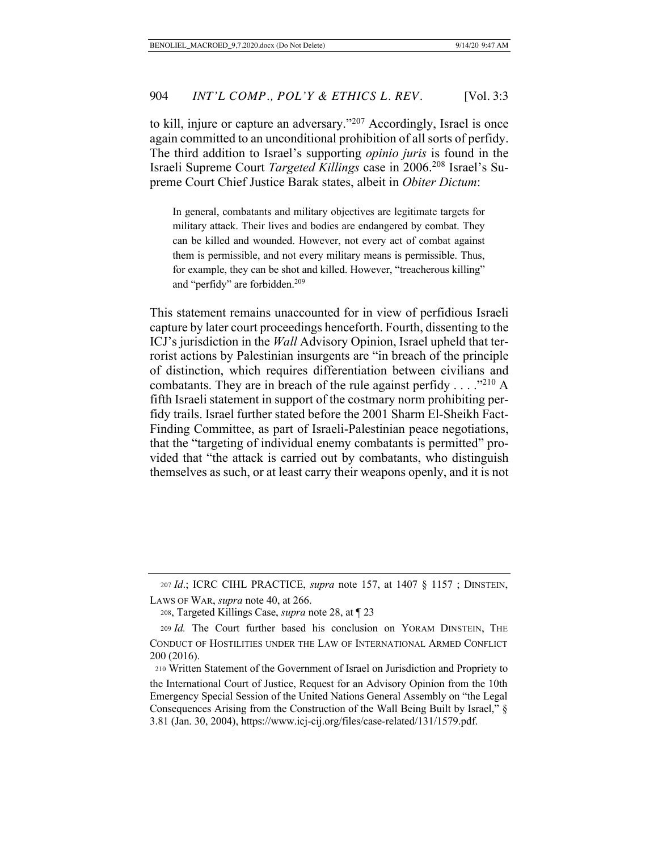to kill, injure or capture an adversary."207 Accordingly, Israel is once again committed to an unconditional prohibition of all sorts of perfidy. The third addition to Israel's supporting *opinio juris* is found in the Israeli Supreme Court *Targeted Killings* case in 2006.208 Israel's Supreme Court Chief Justice Barak states, albeit in *Obiter Dictum*:

In general, combatants and military objectives are legitimate targets for military attack. Their lives and bodies are endangered by combat. They can be killed and wounded. However, not every act of combat against them is permissible, and not every military means is permissible. Thus, for example, they can be shot and killed. However, "treacherous killing" and "perfidy" are forbidden.<sup>209</sup>

This statement remains unaccounted for in view of perfidious Israeli capture by later court proceedings henceforth. Fourth, dissenting to the ICJ's jurisdiction in the *Wall* Advisory Opinion, Israel upheld that terrorist actions by Palestinian insurgents are "in breach of the principle of distinction, which requires differentiation between civilians and combatants. They are in breach of the rule against perfidy  $\dots$  ."210 A fifth Israeli statement in support of the costmary norm prohibiting perfidy trails. Israel further stated before the 2001 Sharm El-Sheikh Fact-Finding Committee, as part of Israeli-Palestinian peace negotiations, that the "targeting of individual enemy combatants is permitted" provided that "the attack is carried out by combatants, who distinguish themselves as such, or at least carry their weapons openly, and it is not

<sup>207</sup> *Id*.; ICRC CIHL PRACTICE, *supra* note 157, at 1407 § 1157 ; DINSTEIN, LAWS OF WAR, *supra* note 40, at 266.

 <sup>208,</sup> Targeted Killings Case, *supra* note 28, at ¶ 23

<sup>209</sup> *Id.* The Court further based his conclusion on YORAM DINSTEIN, THE CONDUCT OF HOSTILITIES UNDER THE LAW OF INTERNATIONAL ARMED CONFLICT 200 (2016).

<sup>210</sup> Written Statement of the Government of Israel on Jurisdiction and Propriety to the International Court of Justice, Request for an Advisory Opinion from the 10th Emergency Special Session of the United Nations General Assembly on "the Legal Consequences Arising from the Construction of the Wall Being Built by Israel," § 3.81 (Jan. 30, 2004), https://www.icj-cij.org/files/case-related/131/1579.pdf.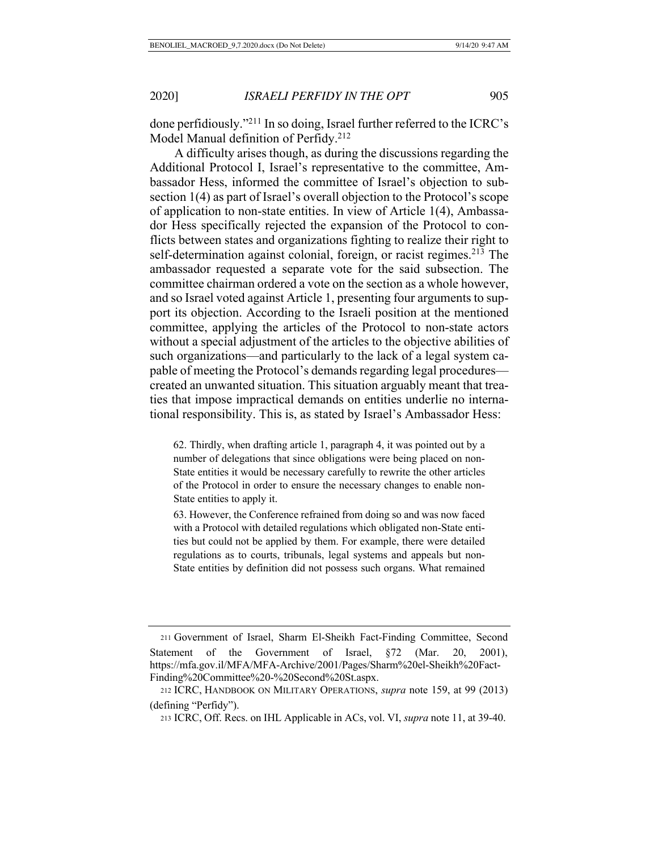done perfidiously."211 In so doing, Israel further referred to the ICRC's Model Manual definition of Perfidy.<sup>212</sup>

A difficulty arises though, as during the discussions regarding the Additional Protocol I, Israel's representative to the committee, Ambassador Hess, informed the committee of Israel's objection to subsection 1(4) as part of Israel's overall objection to the Protocol's scope of application to non-state entities. In view of Article 1(4), Ambassador Hess specifically rejected the expansion of the Protocol to conflicts between states and organizations fighting to realize their right to self-determination against colonial, foreign, or racist regimes.<sup>213</sup> The ambassador requested a separate vote for the said subsection. The committee chairman ordered a vote on the section as a whole however, and so Israel voted against Article 1, presenting four arguments to support its objection. According to the Israeli position at the mentioned committee, applying the articles of the Protocol to non-state actors without a special adjustment of the articles to the objective abilities of such organizations—and particularly to the lack of a legal system capable of meeting the Protocol's demands regarding legal procedures created an unwanted situation. This situation arguably meant that treaties that impose impractical demands on entities underlie no international responsibility. This is, as stated by Israel's Ambassador Hess:

62. Thirdly, when drafting article 1, paragraph 4, it was pointed out by a number of delegations that since obligations were being placed on non-State entities it would be necessary carefully to rewrite the other articles of the Protocol in order to ensure the necessary changes to enable non-State entities to apply it.

63. However, the Conference refrained from doing so and was now faced with a Protocol with detailed regulations which obligated non-State entities but could not be applied by them. For example, there were detailed regulations as to courts, tribunals, legal systems and appeals but non-State entities by definition did not possess such organs. What remained

<sup>211</sup> Government of Israel, Sharm El-Sheikh Fact-Finding Committee, Second Statement of the Government of Israel, §72 (Mar. 20, 2001), https://mfa.gov.il/MFA/MFA-Archive/2001/Pages/Sharm%20el-Sheikh%20Fact-Finding%20Committee%20-%20Second%20St.aspx.

 <sup>212</sup> ICRC, HANDBOOK ON MILITARY OPERATIONS, *supra* note 159, at 99 (2013) (defining "Perfidy").

 <sup>213</sup> ICRC, Off. Recs. on IHL Applicable in ACs, vol. VI, *supra* note 11, at 39-40.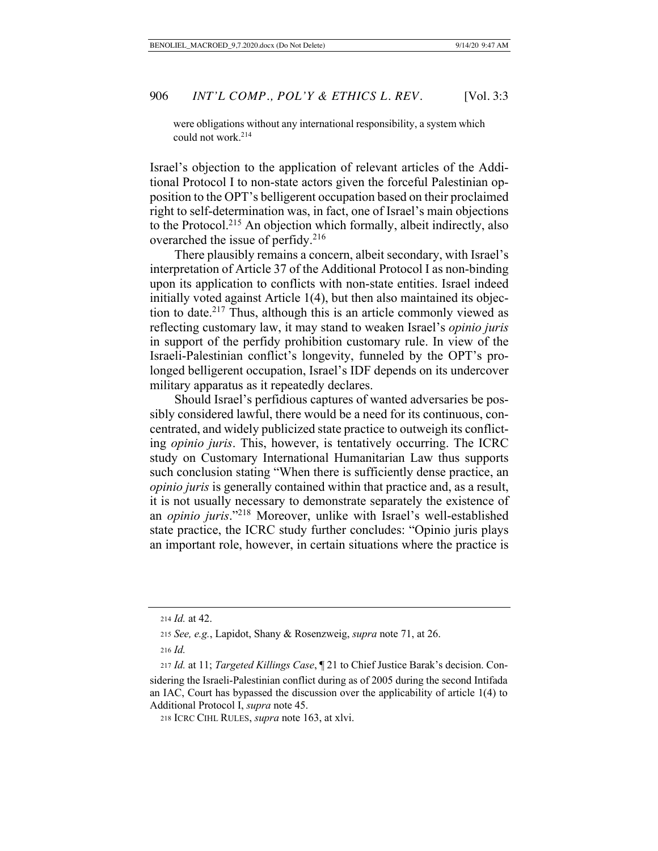were obligations without any international responsibility, a system which could not work. 214

Israel's objection to the application of relevant articles of the Additional Protocol I to non-state actors given the forceful Palestinian opposition to the OPT's belligerent occupation based on their proclaimed right to self-determination was, in fact, one of Israel's main objections to the Protocol.215 An objection which formally, albeit indirectly, also overarched the issue of perfidy.<sup>216</sup>

There plausibly remains a concern, albeit secondary, with Israel's interpretation of Article 37 of the Additional Protocol I as non-binding upon its application to conflicts with non-state entities. Israel indeed initially voted against Article 1(4), but then also maintained its objection to date.<sup>217</sup> Thus, although this is an article commonly viewed as reflecting customary law, it may stand to weaken Israel's *opinio juris* in support of the perfidy prohibition customary rule. In view of the Israeli-Palestinian conflict's longevity, funneled by the OPT's prolonged belligerent occupation, Israel's IDF depends on its undercover military apparatus as it repeatedly declares.

Should Israel's perfidious captures of wanted adversaries be possibly considered lawful, there would be a need for its continuous, concentrated, and widely publicized state practice to outweigh its conflicting *opinio juris*. This, however, is tentatively occurring. The ICRC study on Customary International Humanitarian Law thus supports such conclusion stating "When there is sufficiently dense practice, an *opinio juris* is generally contained within that practice and, as a result, it is not usually necessary to demonstrate separately the existence of an *opinio juris*."218 Moreover, unlike with Israel's well-established state practice, the ICRC study further concludes: "Opinio juris plays an important role, however, in certain situations where the practice is

<sup>214</sup> *Id.* at 42.

 <sup>215</sup> *See, e.g.*, Lapidot, Shany & Rosenzweig, *supra* note 71, at 26.

<sup>216</sup> *Id.*

<sup>217</sup> *Id.* at 11; *Targeted Killings Case*, ¶ 21 to Chief Justice Barak's decision. Considering the Israeli-Palestinian conflict during as of 2005 during the second Intifada an IAC, Court has bypassed the discussion over the applicability of article 1(4) to Additional Protocol I, *supra* note 45.

 <sup>218</sup> ICRC CIHL RULES, *supra* note 163, at xlvi.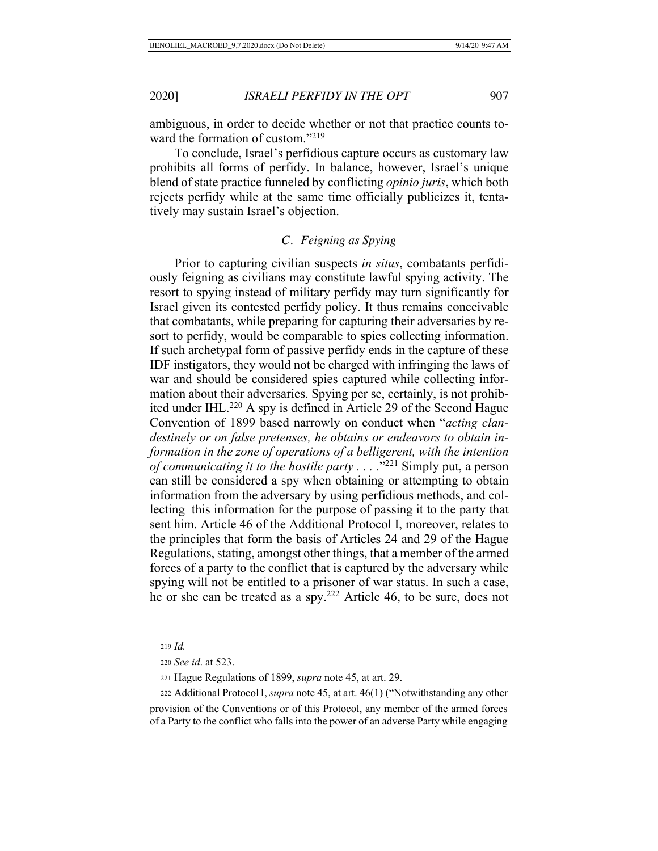ambiguous, in order to decide whether or not that practice counts toward the formation of custom."<sup>219</sup>

To conclude, Israel's perfidious capture occurs as customary law prohibits all forms of perfidy. In balance, however, Israel's unique blend of state practice funneled by conflicting *opinio juris*, which both rejects perfidy while at the same time officially publicizes it, tentatively may sustain Israel's objection.

# *C. Feigning as Spying*

Prior to capturing civilian suspects *in situs*, combatants perfidiously feigning as civilians may constitute lawful spying activity. The resort to spying instead of military perfidy may turn significantly for Israel given its contested perfidy policy. It thus remains conceivable that combatants, while preparing for capturing their adversaries by resort to perfidy, would be comparable to spies collecting information. If such archetypal form of passive perfidy ends in the capture of these IDF instigators, they would not be charged with infringing the laws of war and should be considered spies captured while collecting information about their adversaries. Spying per se, certainly, is not prohibited under IHL.<sup>220</sup> A spy is defined in Article 29 of the Second Hague Convention of 1899 based narrowly on conduct when "*acting clandestinely or on false pretenses, he obtains or endeavors to obtain information in the zone of operations of a belligerent, with the intention of communicating it to the hostile party . . . .*"221 Simply put, a person can still be considered a spy when obtaining or attempting to obtain information from the adversary by using perfidious methods, and collecting this information for the purpose of passing it to the party that sent him. Article 46 of the Additional Protocol I, moreover, relates to the principles that form the basis of Articles 24 and 29 of the Hague Regulations, stating, amongst other things, that a member of the armed forces of a party to the conflict that is captured by the adversary while spying will not be entitled to a prisoner of war status. In such a case, he or she can be treated as a spy.222 Article 46, to be sure, does not

<sup>219</sup> *Id.*

<sup>220</sup> *See id*. at 523.

 <sup>221</sup> Hague Regulations of 1899, *supra* note 45, at art. 29.

 <sup>222</sup> Additional Protocol I, *supra* note 45, at art. 46(1) ("Notwithstanding any other

provision of the Conventions or of this Protocol, any member of the armed forces of a Party to the conflict who falls into the power of an adverse Party while engaging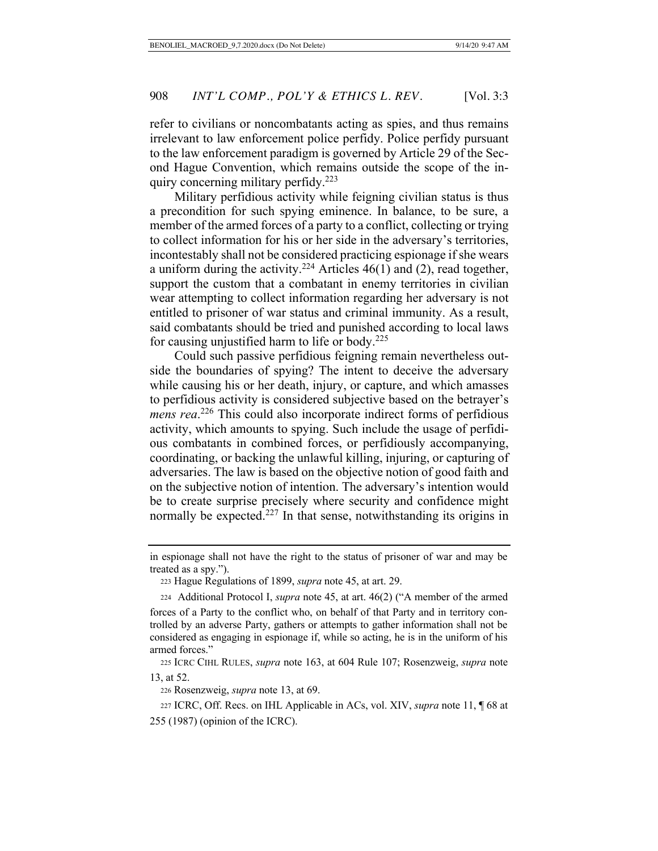refer to civilians or noncombatants acting as spies, and thus remains irrelevant to law enforcement police perfidy. Police perfidy pursuant to the law enforcement paradigm is governed by Article 29 of the Second Hague Convention, which remains outside the scope of the inquiry concerning military perfidy.223

Military perfidious activity while feigning civilian status is thus a precondition for such spying eminence. In balance, to be sure, a member of the armed forces of a party to a conflict, collecting or trying to collect information for his or her side in the adversary's territories, incontestably shall not be considered practicing espionage if she wears a uniform during the activity.<sup>224</sup> Articles  $46(1)$  and (2), read together, support the custom that a combatant in enemy territories in civilian wear attempting to collect information regarding her adversary is not entitled to prisoner of war status and criminal immunity. As a result, said combatants should be tried and punished according to local laws for causing unjustified harm to life or body.<sup>225</sup>

Could such passive perfidious feigning remain nevertheless outside the boundaries of spying? The intent to deceive the adversary while causing his or her death, injury, or capture, and which amasses to perfidious activity is considered subjective based on the betrayer's *mens rea*. 226 This could also incorporate indirect forms of perfidious activity, which amounts to spying. Such include the usage of perfidious combatants in combined forces, or perfidiously accompanying, coordinating, or backing the unlawful killing, injuring, or capturing of adversaries. The law is based on the objective notion of good faith and on the subjective notion of intention. The adversary's intention would be to create surprise precisely where security and confidence might normally be expected.<sup>227</sup> In that sense, notwithstanding its origins in

<sup>226</sup> Rosenzweig, *supra* note 13, at 69.

in espionage shall not have the right to the status of prisoner of war and may be treated as a spy.").

<sup>223</sup> Hague Regulations of 1899, *supra* note 45, at art. 29.

 <sup>224</sup> Additional Protocol I, *supra* note 45, at art. 46(2) ("A member of the armed forces of a Party to the conflict who, on behalf of that Party and in territory controlled by an adverse Party, gathers or attempts to gather information shall not be considered as engaging in espionage if, while so acting, he is in the uniform of his armed forces."

225 ICRC CIHL RULES, *supra* note 163, at 604 Rule 107; Rosenzweig, *supra* note 13, at 52.

<sup>227</sup> ICRC, Off. Recs. on IHL Applicable in ACs, vol. XIV, *supra* note 11, ¶ 68 at 255 (1987) (opinion of the ICRC).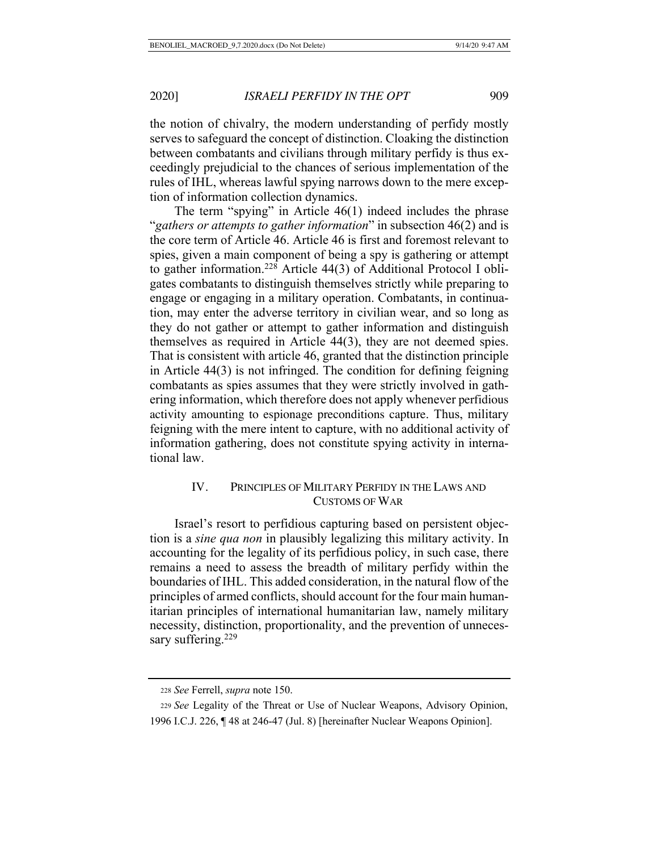the notion of chivalry, the modern understanding of perfidy mostly serves to safeguard the concept of distinction. Cloaking the distinction between combatants and civilians through military perfidy is thus exceedingly prejudicial to the chances of serious implementation of the rules of IHL, whereas lawful spying narrows down to the mere exception of information collection dynamics.

The term "spying" in Article 46(1) indeed includes the phrase "*gathers or attempts to gather information*" in subsection 46(2) and is the core term of Article 46. Article 46 is first and foremost relevant to spies, given a main component of being a spy is gathering or attempt to gather information.<sup>228</sup> Article 44(3) of Additional Protocol I obligates combatants to distinguish themselves strictly while preparing to engage or engaging in a military operation. Combatants, in continuation, may enter the adverse territory in civilian wear, and so long as they do not gather or attempt to gather information and distinguish themselves as required in Article 44(3), they are not deemed spies. That is consistent with article 46, granted that the distinction principle in Article 44(3) is not infringed. The condition for defining feigning combatants as spies assumes that they were strictly involved in gathering information, which therefore does not apply whenever perfidious activity amounting to espionage preconditions capture. Thus, military feigning with the mere intent to capture, with no additional activity of information gathering, does not constitute spying activity in international law.

# IV. PRINCIPLES OF MILITARY PERFIDY IN THE LAWS AND CUSTOMS OF WAR

Israel's resort to perfidious capturing based on persistent objection is a *sine qua non* in plausibly legalizing this military activity. In accounting for the legality of its perfidious policy, in such case, there remains a need to assess the breadth of military perfidy within the boundaries of IHL. This added consideration, in the natural flow of the principles of armed conflicts, should account for the four main humanitarian principles of international humanitarian law, namely military necessity, distinction, proportionality, and the prevention of unnecessary suffering. $229$ 

<sup>228</sup> *See* Ferrell, *supra* note 150.

<sup>229</sup> *See* Legality of the Threat or Use of Nuclear Weapons, Advisory Opinion, 1996 I.C.J. 226, ¶ 48 at 246-47 (Jul. 8) [hereinafter Nuclear Weapons Opinion].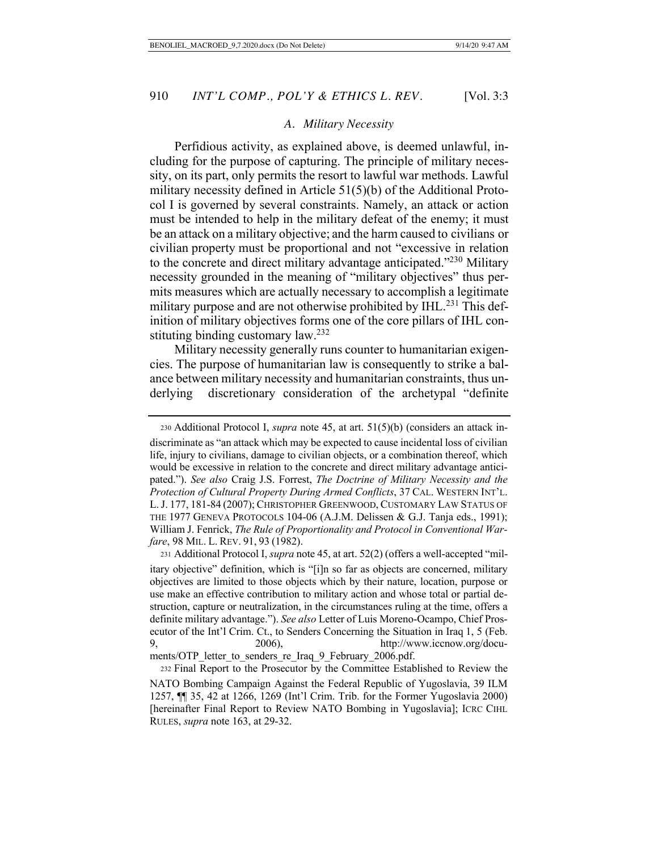#### *A. Military Necessity*

Perfidious activity, as explained above, is deemed unlawful, including for the purpose of capturing. The principle of military necessity, on its part, only permits the resort to lawful war methods. Lawful military necessity defined in Article 51(5)(b) of the Additional Protocol I is governed by several constraints. Namely, an attack or action must be intended to help in the military defeat of the enemy; it must be an attack on a military objective; and the harm caused to civilians or civilian property must be proportional and not "excessive in relation to the concrete and direct military advantage anticipated."230 Military necessity grounded in the meaning of "military objectives" thus permits measures which are actually necessary to accomplish a legitimate military purpose and are not otherwise prohibited by IHL.<sup>231</sup> This definition of military objectives forms one of the core pillars of IHL constituting binding customary law.<sup>232</sup>

Military necessity generally runs counter to humanitarian exigencies. The purpose of humanitarian law is consequently to strike a balance between military necessity and humanitarian constraints, thus underlying discretionary consideration of the archetypal "definite

<sup>230</sup> Additional Protocol I, *supra* note 45, at art. 51(5)(b) (considers an attack in-

discriminate as "an attack which may be expected to cause incidental loss of civilian life, injury to civilians, damage to civilian objects, or a combination thereof, which would be excessive in relation to the concrete and direct military advantage anticipated."). *See also* Craig J.S. Forrest, *The Doctrine of Military Necessity and the Protection of Cultural Property During Armed Conflicts*, 37 CAL. WESTERN INT'L. L.J. 177, 181-84 (2007); CHRISTOPHER GREENWOOD, CUSTOMARY LAW STATUS OF THE 1977 GENEVA PROTOCOLS 104-06 (A.J.M. Delissen & G.J. Tanja eds., 1991); William J. Fenrick, *The Rule of Proportionality and Protocol in Conventional Warfare*, 98 MIL. L. REV. 91, 93 (1982).

<sup>231</sup> Additional Protocol I, *supra* note 45, at art. 52(2) (offers a well-accepted "military objective" definition, which is "[i]n so far as objects are concerned, military objectives are limited to those objects which by their nature, location, purpose or use make an effective contribution to military action and whose total or partial destruction, capture or neutralization, in the circumstances ruling at the time, offers a definite military advantage."). *See also* Letter of Luis Moreno-Ocampo, Chief Prosecutor of the Int'l Crim. Ct., to Senders Concerning the Situation in Iraq 1, 5 (Feb. 9, 2006), http://www.iccnow.org/documents/OTP\_letter\_to\_senders\_re\_Iraq\_9\_February\_2006.pdf.

<sup>232</sup> Final Report to the Prosecutor by the Committee Established to Review the NATO Bombing Campaign Against the Federal Republic of Yugoslavia, 39 ILM 1257, ¶¶ 35, 42 at 1266, 1269 (Int'l Crim. Trib. for the Former Yugoslavia 2000) [hereinafter Final Report to Review NATO Bombing in Yugoslavia]; ICRC CIHL RULES, *supra* note 163, at 29-32.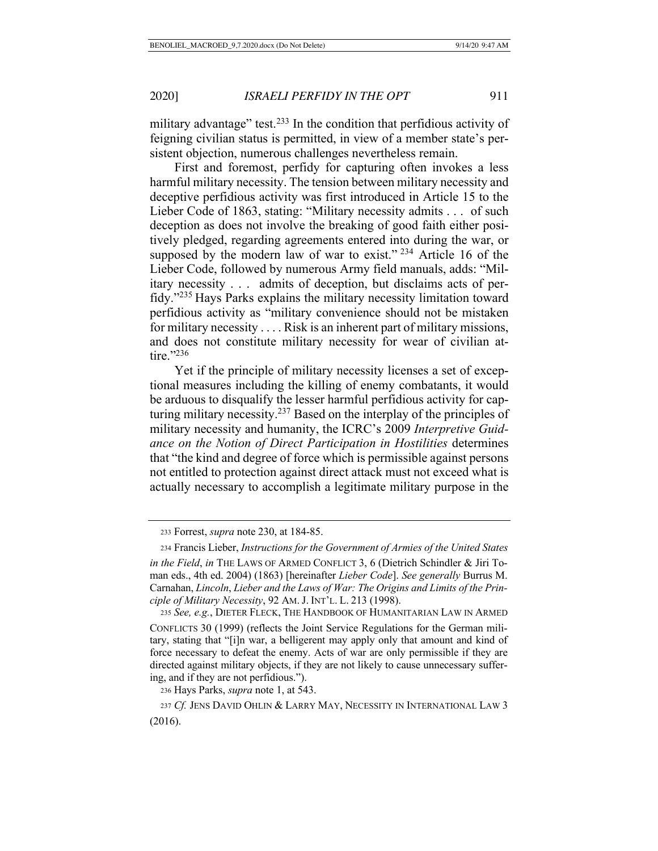military advantage" test.<sup>233</sup> In the condition that perfidious activity of feigning civilian status is permitted, in view of a member state's persistent objection, numerous challenges nevertheless remain.

First and foremost, perfidy for capturing often invokes a less harmful military necessity. The tension between military necessity and deceptive perfidious activity was first introduced in Article 15 to the Lieber Code of 1863, stating: "Military necessity admits . . . of such deception as does not involve the breaking of good faith either positively pledged, regarding agreements entered into during the war, or supposed by the modern law of war to exist."  $234$  Article 16 of the Lieber Code, followed by numerous Army field manuals, adds: "Military necessity . . . admits of deception, but disclaims acts of perfidy."235 Hays Parks explains the military necessity limitation toward perfidious activity as "military convenience should not be mistaken for military necessity . . . . Risk is an inherent part of military missions, and does not constitute military necessity for wear of civilian attire."236

Yet if the principle of military necessity licenses a set of exceptional measures including the killing of enemy combatants, it would be arduous to disqualify the lesser harmful perfidious activity for capturing military necessity.237 Based on the interplay of the principles of military necessity and humanity, the ICRC's 2009 *Interpretive Guidance on the Notion of Direct Participation in Hostilities* determines that "the kind and degree of force which is permissible against persons not entitled to protection against direct attack must not exceed what is actually necessary to accomplish a legitimate military purpose in the

<sup>236</sup> Hays Parks, *supra* note 1, at 543.

<sup>233</sup> Forrest, *supra* note 230, at 184-85.

<sup>234</sup> Francis Lieber, *Instructions for the Government of Armies of the United States in the Field*, *in* THE LAWS OF ARMED CONFLICT 3, 6 (Dietrich Schindler & Jiri Toman eds., 4th ed. 2004) (1863) [hereinafter *Lieber Code*]. *See generally* Burrus M. Carnahan, *Lincoln*, *Lieber and the Laws of War: The Origins and Limits of the Principle of Military Necessity*, 92 AM. J. INT'L. L. 213 (1998).

<sup>235</sup> *See, e.g.*, DIETER FLECK, THE HANDBOOK OF HUMANITARIAN LAW IN ARMED

CONFLICTS 30 (1999) (reflects the Joint Service Regulations for the German military, stating that "[i]n war, a belligerent may apply only that amount and kind of force necessary to defeat the enemy. Acts of war are only permissible if they are directed against military objects, if they are not likely to cause unnecessary suffering, and if they are not perfidious.").

<sup>237</sup> *Cf.* JENS DAVID OHLIN & LARRY MAY, NECESSITY IN INTERNATIONAL LAW 3 (2016).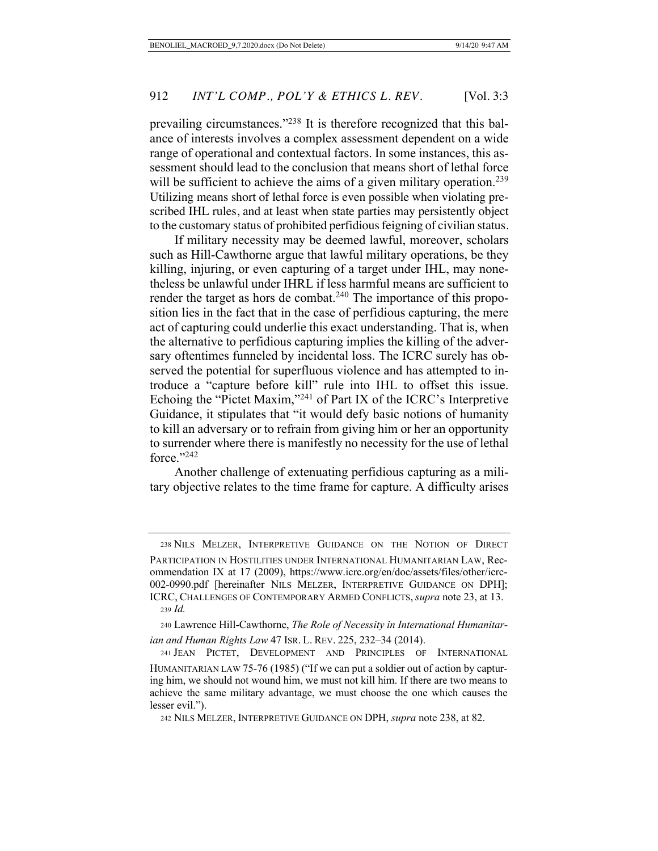prevailing circumstances."<sup>238</sup> It is therefore recognized that this balance of interests involves a complex assessment dependent on a wide range of operational and contextual factors. In some instances, this assessment should lead to the conclusion that means short of lethal force will be sufficient to achieve the aims of a given military operation.<sup>239</sup> Utilizing means short of lethal force is even possible when violating prescribed IHL rules, and at least when state parties may persistently object to the customary status of prohibited perfidious feigning of civilian status.

If military necessity may be deemed lawful, moreover, scholars such as Hill-Cawthorne argue that lawful military operations, be they killing, injuring, or even capturing of a target under IHL, may nonetheless be unlawful under IHRL if less harmful means are sufficient to render the target as hors de combat.<sup>240</sup> The importance of this proposition lies in the fact that in the case of perfidious capturing, the mere act of capturing could underlie this exact understanding. That is, when the alternative to perfidious capturing implies the killing of the adversary oftentimes funneled by incidental loss. The ICRC surely has observed the potential for superfluous violence and has attempted to introduce a "capture before kill" rule into IHL to offset this issue. Echoing the "Pictet Maxim,"241 of Part IX of the ICRC's Interpretive Guidance, it stipulates that "it would defy basic notions of humanity to kill an adversary or to refrain from giving him or her an opportunity to surrender where there is manifestly no necessity for the use of lethal force." $^{242}$ 

Another challenge of extenuating perfidious capturing as a military objective relates to the time frame for capture. A difficulty arises

238 NILS MELZER, INTERPRETIVE GUIDANCE ON THE NOTION OF DIRECT PARTICIPATION IN HOSTILITIES UNDER INTERNATIONAL HUMANITARIAN LAW, Recommendation IX at 17 (2009), https://www.icrc.org/en/doc/assets/files/other/icrc-002-0990.pdf [hereinafter NILS MELZER, INTERPRETIVE GUIDANCE ON DPH]; ICRC, CHALLENGES OF CONTEMPORARY ARMED CONFLICTS, *supra* note 23, at 13. <sup>239</sup> *Id.*

<sup>240</sup> Lawrence Hill-Cawthorne, *The Role of Necessity in International Humanitarian and Human Rights Law* 47 ISR. L. REV. 225, 232–34 (2014).

<sup>241</sup> JEAN PICTET, DEVELOPMENT AND PRINCIPLES OF INTERNATIONAL

HUMANITARIAN LAW 75-76 (1985) ("If we can put a soldier out of action by capturing him, we should not wound him, we must not kill him. If there are two means to achieve the same military advantage, we must choose the one which causes the lesser evil.").

242 NILS MELZER, INTERPRETIVE GUIDANCE ON DPH, *supra* note 238, at 82.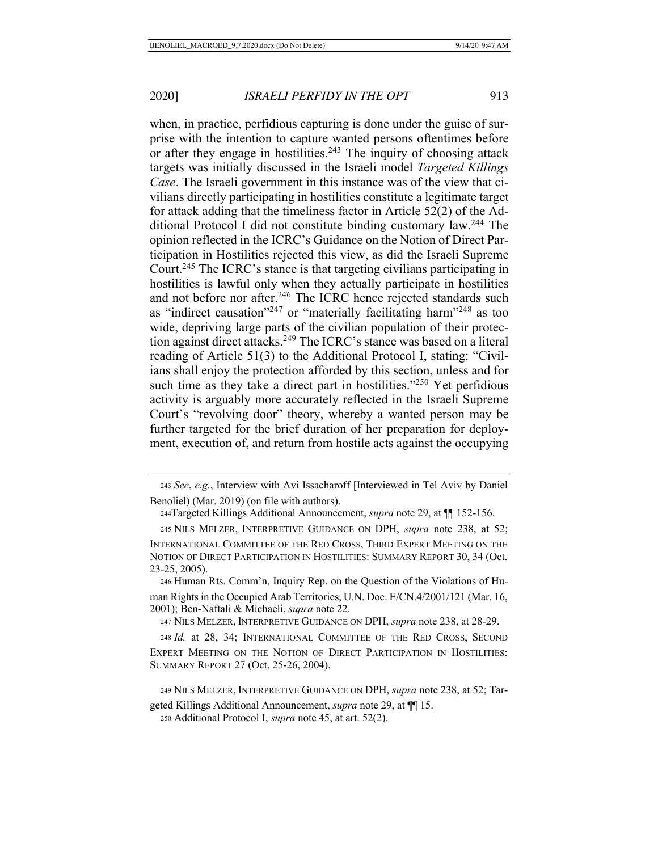when, in practice, perfidious capturing is done under the guise of surprise with the intention to capture wanted persons oftentimes before or after they engage in hostilities.<sup>243</sup> The inquiry of choosing attack targets was initially discussed in the Israeli model *Targeted Killings Case*. The Israeli government in this instance was of the view that civilians directly participating in hostilities constitute a legitimate target for attack adding that the timeliness factor in Article 52(2) of the Additional Protocol I did not constitute binding customary law.244 The opinion reflected in the ICRC's Guidance on the Notion of Direct Participation in Hostilities rejected this view, as did the Israeli Supreme Court.245 The ICRC's stance is that targeting civilians participating in hostilities is lawful only when they actually participate in hostilities and not before nor after.<sup>246</sup> The ICRC hence rejected standards such as "indirect causation"<sup>247</sup> or "materially facilitating harm"<sup>248</sup> as too wide, depriving large parts of the civilian population of their protection against direct attacks.<sup>249</sup> The ICRC's stance was based on a literal reading of Article 51(3) to the Additional Protocol I, stating: "Civilians shall enjoy the protection afforded by this section, unless and for such time as they take a direct part in hostilities."<sup>250</sup> Yet perfidious activity is arguably more accurately reflected in the Israeli Supreme Court's "revolving door" theory, whereby a wanted person may be further targeted for the brief duration of her preparation for deployment, execution of, and return from hostile acts against the occupying

<sup>243</sup> *See*, *e.g.*, Interview with Avi Issacharoff [Interviewed in Tel Aviv by Daniel Benoliel) (Mar. 2019) (on file with authors).

244Targeted Killings Additional Announcement, *supra* note 29, at ¶¶ 152-156.

245 NILS MELZER, INTERPRETIVE GUIDANCE ON DPH, *supra* note 238, at 52;

INTERNATIONAL COMMITTEE OF THE RED CROSS, THIRD EXPERT MEETING ON THE NOTION OF DIRECT PARTICIPATION IN HOSTILITIES: SUMMARY REPORT 30, 34 (Oct. 23-25, 2005).

<sup>246</sup> Human Rts. Comm'n, Inquiry Rep. on the Question of the Violations of Human Rights in the Occupied Arab Territories, U.N. Doc. E/CN.4/2001/121 (Mar. 16, 2001); Ben-Naftali & Michaeli, *supra* note 22.

<sup>247</sup> NILS MELZER, INTERPRETIVE GUIDANCE ON DPH, *supra* note 238, at 28-29.

<sup>248</sup> *Id.* at 28, 34; INTERNATIONAL COMMITTEE OF THE RED CROSS, SECOND EXPERT MEETING ON THE NOTION OF DIRECT PARTICIPATION IN HOSTILITIES: SUMMARY REPORT 27 (Oct. 25-26, 2004).

249 NILS MELZER, INTERPRETIVE GUIDANCE ON DPH, *supra* note 238, at 52; Tar-

geted Killings Additional Announcement, *supra* note 29, at ¶¶ 15.

<sup>250</sup> Additional Protocol I, *supra* note 45, at art. 52(2).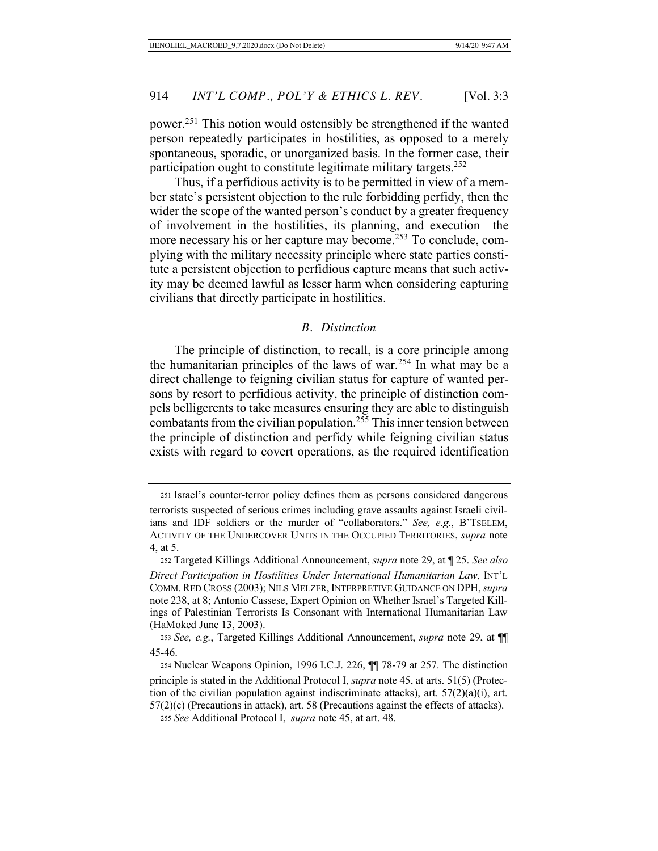power.251 This notion would ostensibly be strengthened if the wanted person repeatedly participates in hostilities, as opposed to a merely spontaneous, sporadic, or unorganized basis. In the former case, their participation ought to constitute legitimate military targets. $252$ 

Thus, if a perfidious activity is to be permitted in view of a member state's persistent objection to the rule forbidding perfidy, then the wider the scope of the wanted person's conduct by a greater frequency of involvement in the hostilities, its planning, and execution—the more necessary his or her capture may become.253 To conclude, complying with the military necessity principle where state parties constitute a persistent objection to perfidious capture means that such activity may be deemed lawful as lesser harm when considering capturing civilians that directly participate in hostilities.

#### *B. Distinction*

The principle of distinction, to recall, is a core principle among the humanitarian principles of the laws of war.254 In what may be a direct challenge to feigning civilian status for capture of wanted persons by resort to perfidious activity, the principle of distinction compels belligerents to take measures ensuring they are able to distinguish combatants from the civilian population.255 This inner tension between the principle of distinction and perfidy while feigning civilian status exists with regard to covert operations, as the required identification

<sup>251</sup> Israel's counter-terror policy defines them as persons considered dangerous terrorists suspected of serious crimes including grave assaults against Israeli civilians and IDF soldiers or the murder of "collaborators." *See, e.g.*, B'TSELEM, ACTIVITY OF THE UNDERCOVER UNITS IN THE OCCUPIED TERRITORIES, *supra* note 4, at 5.

<sup>252</sup> Targeted Killings Additional Announcement, *supra* note 29, at ¶ 25. *See also Direct Participation in Hostilities Under International Humanitarian Law*, INT'L COMM.RED CROSS (2003); NILS MELZER,INTERPRETIVE GUIDANCE ON DPH, *supra*  note 238, at 8; Antonio Cassese, Expert Opinion on Whether Israel's Targeted Killings of Palestinian Terrorists Is Consonant with International Humanitarian Law (HaMoked June 13, 2003).

<sup>253</sup> *See, e.g.*, Targeted Killings Additional Announcement, *supra* note 29, at ¶¶ 45-46.

<sup>254</sup> Nuclear Weapons Opinion, 1996 I.C.J. 226, ¶¶ 78-79 at 257. The distinction principle is stated in the Additional Protocol I, *supra* note 45, at arts. 51(5) (Protection of the civilian population against indiscriminate attacks), art.  $57(2)(a)(i)$ , art. 57(2)(c) (Precautions in attack), art. 58 (Precautions against the effects of attacks).

<sup>255</sup> *See* Additional Protocol I, *supra* note 45, at art. 48.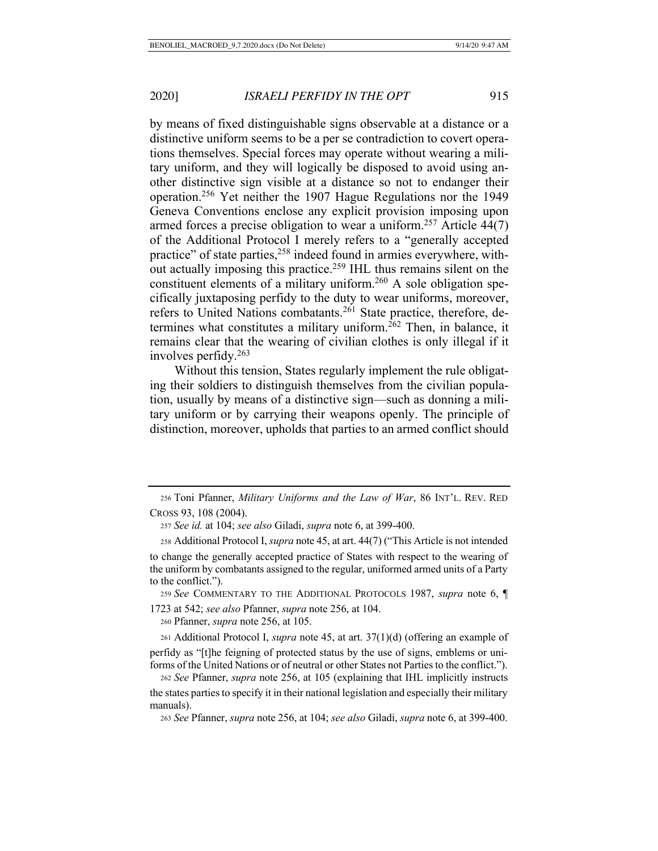by means of fixed distinguishable signs observable at a distance or a distinctive uniform seems to be a per se contradiction to covert operations themselves. Special forces may operate without wearing a military uniform, and they will logically be disposed to avoid using another distinctive sign visible at a distance so not to endanger their operation.256 Yet neither the 1907 Hague Regulations nor the 1949 Geneva Conventions enclose any explicit provision imposing upon armed forces a precise obligation to wear a uniform.<sup>257</sup> Article  $44(7)$ of the Additional Protocol I merely refers to a "generally accepted practice" of state parties,<sup>258</sup> indeed found in armies everywhere, without actually imposing this practice.<sup>259</sup> IHL thus remains silent on the constituent elements of a military uniform.<sup>260</sup> A sole obligation specifically juxtaposing perfidy to the duty to wear uniforms, moreover, refers to United Nations combatants.<sup>261</sup> State practice, therefore, determines what constitutes a military uniform.<sup>262</sup> Then, in balance, it remains clear that the wearing of civilian clothes is only illegal if it involves perfidy.263

Without this tension, States regularly implement the rule obligating their soldiers to distinguish themselves from the civilian population, usually by means of a distinctive sign—such as donning a military uniform or by carrying their weapons openly. The principle of distinction, moreover, upholds that parties to an armed conflict should

<sup>259</sup> *See* COMMENTARY TO THE ADDITIONAL PROTOCOLS 1987, *supra* note 6, ¶ 1723 at 542; *see also* Pfanner, *supra* note 256, at 104.

<sup>260</sup> Pfanner, *supra* note 256, at 105.

<sup>261</sup> Additional Protocol I, *supra* note 45, at art. 37(1)(d) (offering an example of perfidy as "[t]he feigning of protected status by the use of signs, emblems or uniforms of the United Nations or of neutral or other States not Parties to the conflict.").

<sup>262</sup> *See* Pfanner, *supra* note 256, at 105 (explaining that IHL implicitly instructs the states parties to specify it in their national legislation and especially their military manuals).

<sup>263</sup> *See* Pfanner, *supra* note 256, at 104; *see also* Giladi, *supra* note 6, at 399-400.

<sup>256</sup> Toni Pfanner, *Military Uniforms and the Law of War*, 86 INT'L. REV. RED CROSS 93, 108 (2004).

<sup>257</sup> *See id.* at 104; *see also* Giladi, *supra* note 6, at 399-400.

<sup>258</sup> Additional Protocol I, *supra* note 45, at art. 44(7) ("This Article is not intended to change the generally accepted practice of States with respect to the wearing of the uniform by combatants assigned to the regular, uniformed armed units of a Party to the conflict.").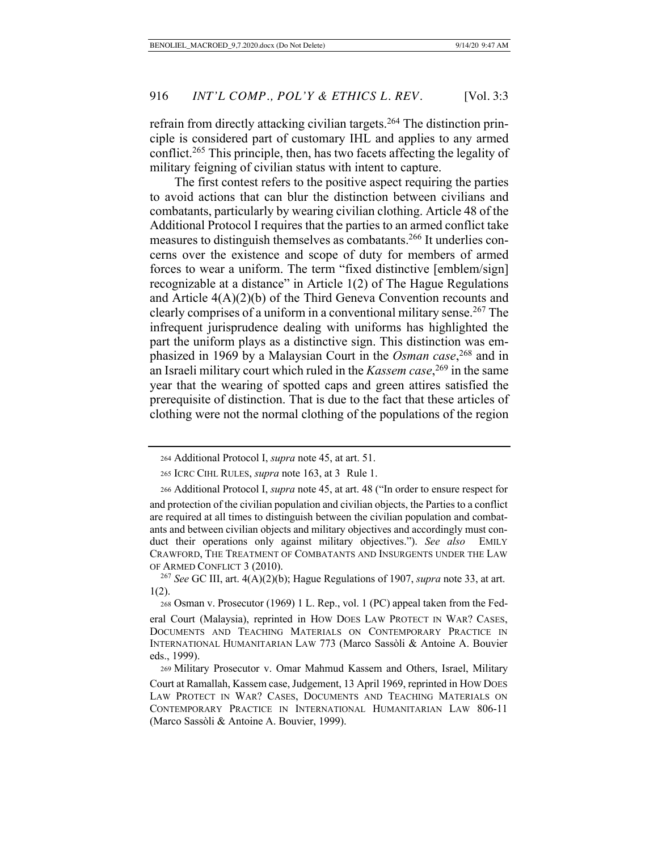refrain from directly attacking civilian targets.<sup>264</sup> The distinction principle is considered part of customary IHL and applies to any armed conflict.<sup>265</sup> This principle, then, has two facets affecting the legality of military feigning of civilian status with intent to capture.

The first contest refers to the positive aspect requiring the parties to avoid actions that can blur the distinction between civilians and combatants, particularly by wearing civilian clothing. Article 48 of the Additional Protocol I requires that the parties to an armed conflict take measures to distinguish themselves as combatants.266 It underlies concerns over the existence and scope of duty for members of armed forces to wear a uniform. The term "fixed distinctive [emblem/sign] recognizable at a distance" in Article 1(2) of The Hague Regulations and Article 4(A)(2)(b) of the Third Geneva Convention recounts and clearly comprises of a uniform in a conventional military sense.267 The infrequent jurisprudence dealing with uniforms has highlighted the part the uniform plays as a distinctive sign. This distinction was emphasized in 1969 by a Malaysian Court in the *Osman case*, <sup>268</sup> and in an Israeli military court which ruled in the *Kassem case*, 269 in the same year that the wearing of spotted caps and green attires satisfied the prerequisite of distinction. That is due to the fact that these articles of clothing were not the normal clothing of the populations of the region

<sup>264</sup> Additional Protocol I, *supra* note 45, at art. 51.

265 ICRC CIHL RULES, *supra* note 163, at 3 Rule 1.

<sup>266</sup> Additional Protocol I, *supra* note 45, at art. 48 ("In order to ensure respect for and protection of the civilian population and civilian objects, the Parties to a conflict are required at all times to distinguish between the civilian population and combatants and between civilian objects and military objectives and accordingly must conduct their operations only against military objectives."). *See also* EMILY CRAWFORD, THE TREATMENT OF COMBATANTS AND INSURGENTS UNDER THE LAW OF ARMED CONFLICT 3 (2010).

 <sup>267</sup> *See* GC III, art. 4(A)(2)(b); Hague Regulations of 1907, *supra* note 33, at art. 1(2).

<sup>268</sup> Osman v. Prosecutor (1969) 1 L. Rep., vol. 1 (PC) appeal taken from the Federal Court (Malaysia), reprinted in HOW DOES LAW PROTECT IN WAR? CASES, DOCUMENTS AND TEACHING MATERIALS ON CONTEMPORARY PRACTICE IN INTERNATIONAL HUMANITARIAN LAW 773 (Marco Sassòli & Antoine A. Bouvier eds., 1999).

<sup>269</sup> Military Prosecutor v. Omar Mahmud Kassem and Others, Israel, Military Court at Ramallah, Kassem case, Judgement, 13 April 1969, reprinted in HOW DOES LAW PROTECT IN WAR? CASES, DOCUMENTS AND TEACHING MATERIALS ON CONTEMPORARY PRACTICE IN INTERNATIONAL HUMANITARIAN LAW 806-11 (Marco Sassòli & Antoine A. Bouvier, 1999).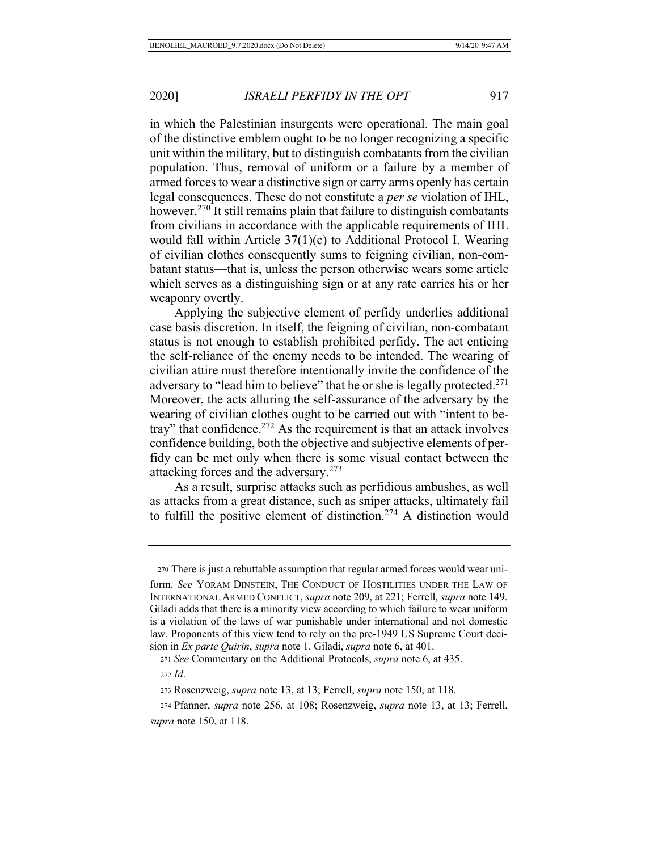in which the Palestinian insurgents were operational. The main goal of the distinctive emblem ought to be no longer recognizing a specific unit within the military, but to distinguish combatants from the civilian population. Thus, removal of uniform or a failure by a member of armed forces to wear a distinctive sign or carry arms openly has certain legal consequences. These do not constitute a *per se* violation of IHL, however.<sup>270</sup> It still remains plain that failure to distinguish combatants from civilians in accordance with the applicable requirements of IHL would fall within Article 37(1)(c) to Additional Protocol I. Wearing of civilian clothes consequently sums to feigning civilian, non-combatant status—that is, unless the person otherwise wears some article which serves as a distinguishing sign or at any rate carries his or her weaponry overtly.

Applying the subjective element of perfidy underlies additional case basis discretion. In itself, the feigning of civilian, non-combatant status is not enough to establish prohibited perfidy. The act enticing the self-reliance of the enemy needs to be intended. The wearing of civilian attire must therefore intentionally invite the confidence of the adversary to "lead him to believe" that he or she is legally protected.<sup>271</sup> Moreover, the acts alluring the self-assurance of the adversary by the wearing of civilian clothes ought to be carried out with "intent to betray" that confidence.<sup>272</sup> As the requirement is that an attack involves confidence building, both the objective and subjective elements of perfidy can be met only when there is some visual contact between the attacking forces and the adversary.273

As a result, surprise attacks such as perfidious ambushes, as well as attacks from a great distance, such as sniper attacks, ultimately fail to fulfill the positive element of distinction.274 A distinction would

<sup>270</sup> There is just a rebuttable assumption that regular armed forces would wear uni-

form. *See* YORAM DINSTEIN, THE CONDUCT OF HOSTILITIES UNDER THE LAW OF INTERNATIONAL ARMED CONFLICT, *supra* note 209, at 221; Ferrell, *supra* note 149. Giladi adds that there is a minority view according to which failure to wear uniform is a violation of the laws of war punishable under international and not domestic law. Proponents of this view tend to rely on the pre-1949 US Supreme Court decision in *Ex parte Quirin*, *supra* note 1. Giladi, *supra* note 6, at 401.

<sup>271</sup> *See* Commentary on the Additional Protocols, *supra* note 6, at 435.

<sup>272</sup> *Id*.

<sup>273</sup> Rosenzweig, *supra* note 13, at 13; Ferrell, *supra* note 150, at 118.

<sup>274</sup> Pfanner, *supra* note 256, at 108; Rosenzweig, *supra* note 13, at 13; Ferrell, *supra* note 150, at 118.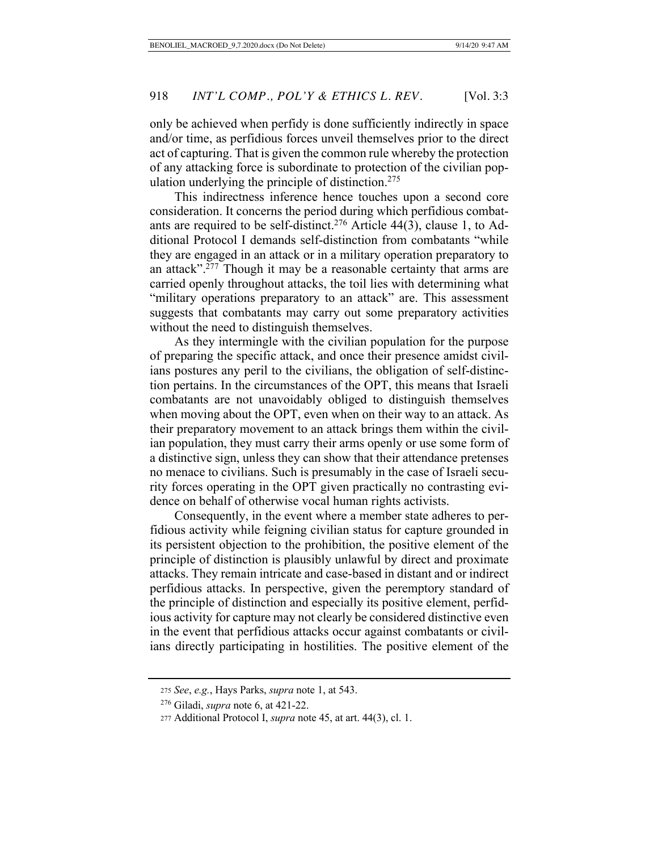only be achieved when perfidy is done sufficiently indirectly in space and/or time, as perfidious forces unveil themselves prior to the direct act of capturing. That is given the common rule whereby the protection of any attacking force is subordinate to protection of the civilian population underlying the principle of distinction.<sup>275</sup>

This indirectness inference hence touches upon a second core consideration. It concerns the period during which perfidious combatants are required to be self-distinct.<sup>276</sup> Article 44(3), clause 1, to Additional Protocol I demands self-distinction from combatants "while they are engaged in an attack or in a military operation preparatory to an attack".277 Though it may be a reasonable certainty that arms are carried openly throughout attacks, the toil lies with determining what "military operations preparatory to an attack" are. This assessment suggests that combatants may carry out some preparatory activities without the need to distinguish themselves.

As they intermingle with the civilian population for the purpose of preparing the specific attack, and once their presence amidst civilians postures any peril to the civilians, the obligation of self-distinction pertains. In the circumstances of the OPT, this means that Israeli combatants are not unavoidably obliged to distinguish themselves when moving about the OPT, even when on their way to an attack. As their preparatory movement to an attack brings them within the civilian population, they must carry their arms openly or use some form of a distinctive sign, unless they can show that their attendance pretenses no menace to civilians. Such is presumably in the case of Israeli security forces operating in the OPT given practically no contrasting evidence on behalf of otherwise vocal human rights activists.

Consequently, in the event where a member state adheres to perfidious activity while feigning civilian status for capture grounded in its persistent objection to the prohibition, the positive element of the principle of distinction is plausibly unlawful by direct and proximate attacks. They remain intricate and case-based in distant and or indirect perfidious attacks. In perspective, given the peremptory standard of the principle of distinction and especially its positive element, perfidious activity for capture may not clearly be considered distinctive even in the event that perfidious attacks occur against combatants or civilians directly participating in hostilities. The positive element of the

<sup>275</sup> *See*, *e.g.*, Hays Parks, *supra* note 1, at 543.

 <sup>276</sup> Giladi, *supra* note 6, at 421-22.

<sup>277</sup> Additional Protocol I, *supra* note 45, at art. 44(3), cl. 1.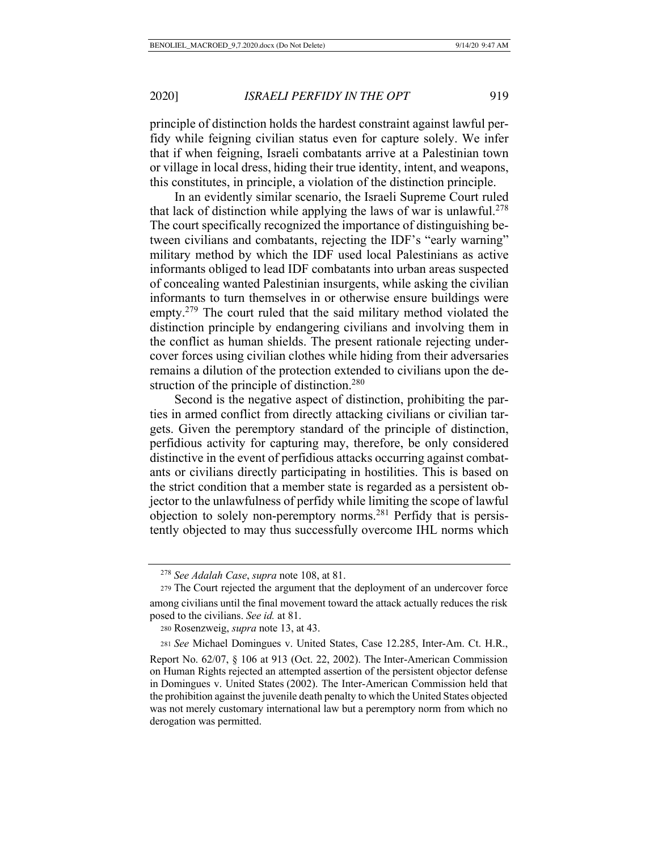principle of distinction holds the hardest constraint against lawful perfidy while feigning civilian status even for capture solely. We infer that if when feigning, Israeli combatants arrive at a Palestinian town or village in local dress, hiding their true identity, intent, and weapons, this constitutes, in principle, a violation of the distinction principle.

In an evidently similar scenario, the Israeli Supreme Court ruled that lack of distinction while applying the laws of war is unlawful.<sup>278</sup> The court specifically recognized the importance of distinguishing between civilians and combatants, rejecting the IDF's "early warning" military method by which the IDF used local Palestinians as active informants obliged to lead IDF combatants into urban areas suspected of concealing wanted Palestinian insurgents, while asking the civilian informants to turn themselves in or otherwise ensure buildings were empty.<sup>279</sup> The court ruled that the said military method violated the distinction principle by endangering civilians and involving them in the conflict as human shields. The present rationale rejecting undercover forces using civilian clothes while hiding from their adversaries remains a dilution of the protection extended to civilians upon the destruction of the principle of distinction.<sup>280</sup>

Second is the negative aspect of distinction, prohibiting the parties in armed conflict from directly attacking civilians or civilian targets. Given the peremptory standard of the principle of distinction, perfidious activity for capturing may, therefore, be only considered distinctive in the event of perfidious attacks occurring against combatants or civilians directly participating in hostilities. This is based on the strict condition that a member state is regarded as a persistent objector to the unlawfulness of perfidy while limiting the scope of lawful objection to solely non-peremptory norms.281 Perfidy that is persistently objected to may thus successfully overcome IHL norms which

 <sup>278</sup> *See Adalah Case*, *supra* note 108, at 81.

<sup>279</sup> The Court rejected the argument that the deployment of an undercover force among civilians until the final movement toward the attack actually reduces the risk posed to the civilians. *See id.* at 81.

<sup>280</sup> Rosenzweig, *supra* note 13, at 43.

<sup>281</sup> *See* Michael Domingues v. United States, Case 12.285, Inter-Am. Ct. H.R., Report No. 62/07, § 106 at 913 (Oct. 22, 2002). The Inter-American Commission on Human Rights rejected an attempted assertion of the persistent objector defense in Domingues v. United States (2002). The Inter-American Commission held that the prohibition against the juvenile death penalty to which the United States objected was not merely customary international law but a peremptory norm from which no derogation was permitted.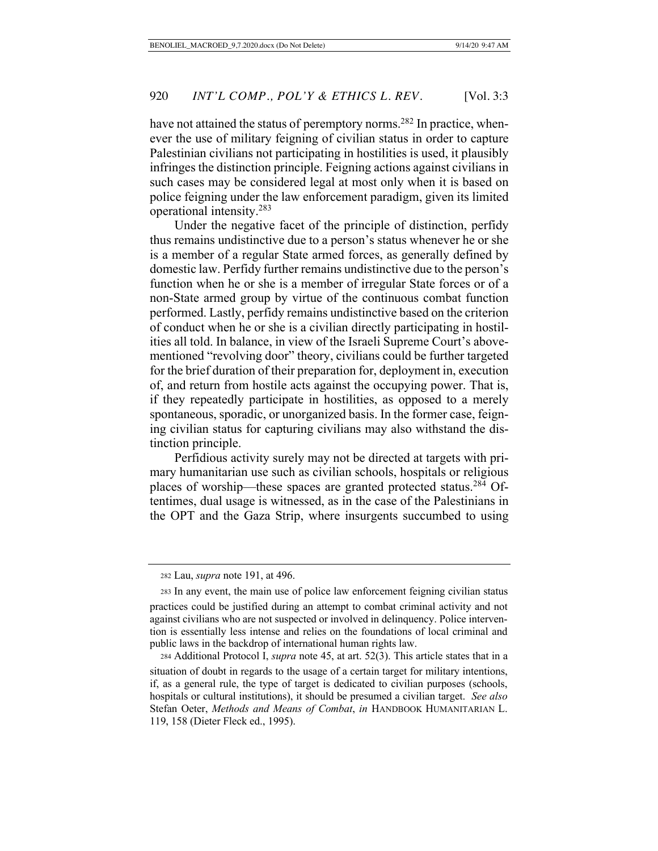have not attained the status of peremptory norms.<sup>282</sup> In practice, whenever the use of military feigning of civilian status in order to capture Palestinian civilians not participating in hostilities is used, it plausibly infringes the distinction principle. Feigning actions against civilians in such cases may be considered legal at most only when it is based on police feigning under the law enforcement paradigm, given its limited operational intensity.283

Under the negative facet of the principle of distinction, perfidy thus remains undistinctive due to a person's status whenever he or she is a member of a regular State armed forces, as generally defined by domestic law. Perfidy further remains undistinctive due to the person's function when he or she is a member of irregular State forces or of a non-State armed group by virtue of the continuous combat function performed. Lastly, perfidy remains undistinctive based on the criterion of conduct when he or she is a civilian directly participating in hostilities all told. In balance, in view of the Israeli Supreme Court's abovementioned "revolving door" theory, civilians could be further targeted for the brief duration of their preparation for, deployment in, execution of, and return from hostile acts against the occupying power. That is, if they repeatedly participate in hostilities, as opposed to a merely spontaneous, sporadic, or unorganized basis. In the former case, feigning civilian status for capturing civilians may also withstand the distinction principle.

Perfidious activity surely may not be directed at targets with primary humanitarian use such as civilian schools, hospitals or religious places of worship—these spaces are granted protected status.284 Oftentimes, dual usage is witnessed, as in the case of the Palestinians in the OPT and the Gaza Strip, where insurgents succumbed to using

<sup>282</sup> Lau, *supra* note 191, at 496.

<sup>283</sup> In any event, the main use of police law enforcement feigning civilian status practices could be justified during an attempt to combat criminal activity and not against civilians who are not suspected or involved in delinquency. Police intervention is essentially less intense and relies on the foundations of local criminal and public laws in the backdrop of international human rights law.

<sup>284</sup> Additional Protocol I, *supra* note 45, at art. 52(3). This article states that in a situation of doubt in regards to the usage of a certain target for military intentions, if, as a general rule, the type of target is dedicated to civilian purposes (schools, hospitals or cultural institutions), it should be presumed a civilian target. *See also* Stefan Oeter, *Methods and Means of Combat*, *in* HANDBOOK HUMANITARIAN L. 119, 158 (Dieter Fleck ed., 1995).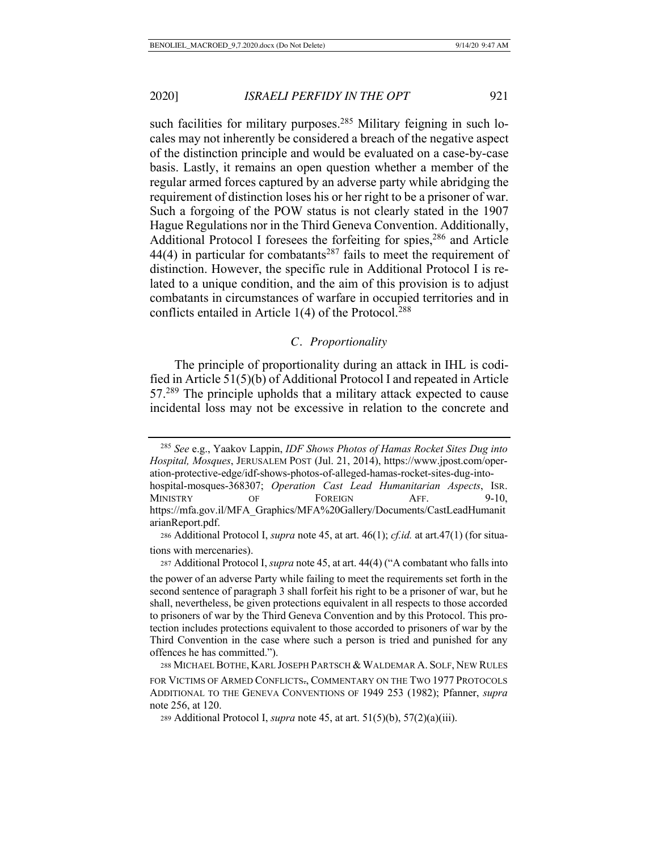such facilities for military purposes.<sup>285</sup> Military feigning in such locales may not inherently be considered a breach of the negative aspect of the distinction principle and would be evaluated on a case-by-case basis. Lastly, it remains an open question whether a member of the regular armed forces captured by an adverse party while abridging the requirement of distinction loses his or her right to be a prisoner of war. Such a forgoing of the POW status is not clearly stated in the 1907 Hague Regulations nor in the Third Geneva Convention. Additionally, Additional Protocol I foresees the forfeiting for spies,  $286$  and Article  $44(4)$  in particular for combatants<sup>287</sup> fails to meet the requirement of distinction. However, the specific rule in Additional Protocol I is related to a unique condition, and the aim of this provision is to adjust combatants in circumstances of warfare in occupied territories and in conflicts entailed in Article  $1(4)$  of the Protocol.<sup>288</sup>

# *C. Proportionality*

The principle of proportionality during an attack in IHL is codified in Article 51(5)(b) of Additional Protocol I and repeated in Article 57.289 The principle upholds that a military attack expected to cause incidental loss may not be excessive in relation to the concrete and

<sup>287</sup> Additional Protocol I, *supra* note 45, at art. 44(4) ("A combatant who falls into

 <sup>285</sup> *See* e.g., Yaakov Lappin, *IDF Shows Photos of Hamas Rocket Sites Dug into Hospital, Mosques*, JERUSALEM POST (Jul. 21, 2014), https://www.jpost.com/operation-protective-edge/idf-shows-photos-of-alleged-hamas-rocket-sites-dug-intohospital-mosques-368307; *Operation Cast Lead Humanitarian Aspects*, ISR. MINISTRY OF FOREIGN AFF. 9-10, https://mfa.gov.il/MFA\_Graphics/MFA%20Gallery/Documents/CastLeadHumanit arianReport.pdf.

<sup>286</sup> Additional Protocol I, *supra* note 45, at art. 46(1); *cf.id.* at art.47(1) (for situations with mercenaries).

the power of an adverse Party while failing to meet the requirements set forth in the second sentence of paragraph 3 shall forfeit his right to be a prisoner of war, but he shall, nevertheless, be given protections equivalent in all respects to those accorded to prisoners of war by the Third Geneva Convention and by this Protocol. This protection includes protections equivalent to those accorded to prisoners of war by the Third Convention in the case where such a person is tried and punished for any offences he has committed.").

<sup>288</sup> MICHAEL BOTHE, KARL JOSEPH PARTSCH & WALDEMAR A. SOLF, NEW RULES FOR VICTIMS OF ARMED CONFLICTS., COMMENTARY ON THE TWO 1977 PROTOCOLS ADDITIONAL TO THE GENEVA CONVENTIONS OF 1949 253 (1982); Pfanner, *supra* note 256, at 120.

<sup>289</sup> Additional Protocol I, *supra* note 45, at art. 51(5)(b), 57(2)(a)(iii).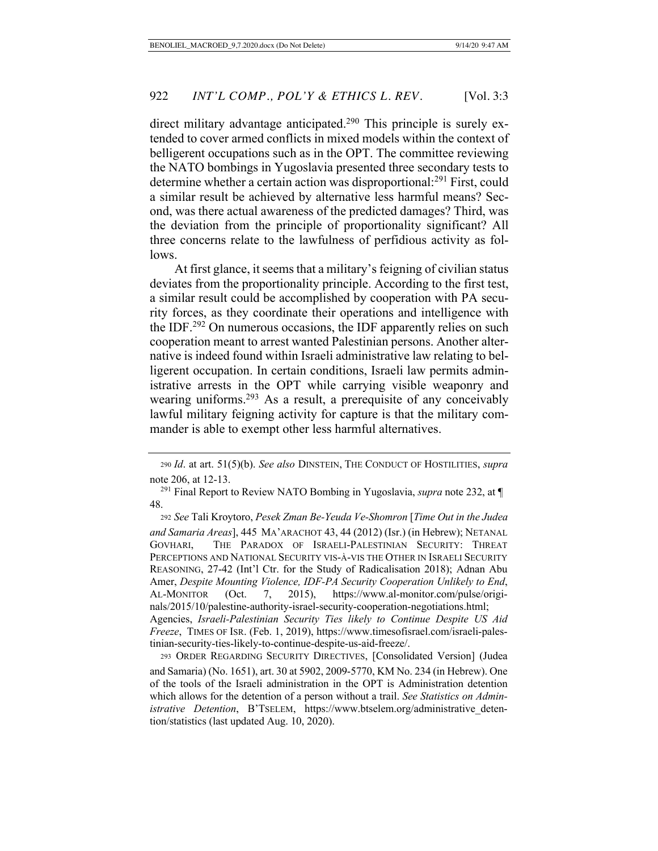direct military advantage anticipated.<sup>290</sup> This principle is surely extended to cover armed conflicts in mixed models within the context of belligerent occupations such as in the OPT. The committee reviewing the NATO bombings in Yugoslavia presented three secondary tests to determine whether a certain action was disproportional:<sup>291</sup> First, could a similar result be achieved by alternative less harmful means? Second, was there actual awareness of the predicted damages? Third, was the deviation from the principle of proportionality significant? All three concerns relate to the lawfulness of perfidious activity as follows.

At first glance, it seems that a military's feigning of civilian status deviates from the proportionality principle. According to the first test, a similar result could be accomplished by cooperation with PA security forces, as they coordinate their operations and intelligence with the IDF.292 On numerous occasions, the IDF apparently relies on such cooperation meant to arrest wanted Palestinian persons. Another alternative is indeed found within Israeli administrative law relating to belligerent occupation. In certain conditions, Israeli law permits administrative arrests in the OPT while carrying visible weaponry and wearing uniforms.<sup>293</sup> As a result, a prerequisite of any conceivably lawful military feigning activity for capture is that the military commander is able to exempt other less harmful alternatives.

<sup>290</sup> *Id*. at art. 51(5)(b). *See also* DINSTEIN, THE CONDUCT OF HOSTILITIES, *supra* note 206, at 12-13.

 <sup>291</sup> Final Report to Review NATO Bombing in Yugoslavia, *supra* note 232, at ¶ 48.

<sup>292</sup> *See* Tali Kroytoro, *Pesek Zman Be-Yeuda Ve-Shomron* [*Time Out in the Judea and Samaria Areas*], 445 MA'ARACHOT 43, 44 (2012) (Isr.) (in Hebrew); NETANAL GOVHARI, THE PARADOX OF ISRAELI-PALESTINIAN SECURITY: THREAT PERCEPTIONS AND NATIONAL SECURITY VIS-À-VIS THE OTHER IN ISRAELI SECURITY REASONING, 27-42 (Int'l Ctr. for the Study of Radicalisation 2018); Adnan Abu Amer, *Despite Mounting Violence, IDF-PA Security Cooperation Unlikely to End*, AL-MONITOR (Oct. 7, 2015), https://www.al-monitor.com/pulse/originals/2015/10/palestine-authority-israel-security-cooperation-negotiations.html; Agencies, *Israeli-Palestinian Security Ties likely to Continue Despite US Aid Freeze*, TIMES OF ISR. (Feb. 1, 2019), https://www.timesofisrael.com/israeli-palestinian-security-ties-likely-to-continue-despite-us-aid-freeze/.

293 ORDER REGARDING SECURITY DIRECTIVES, [Consolidated Version] (Judea and Samaria) (No. 1651), art. 30 at 5902, 2009-5770, KM No. 234 (in Hebrew). One of the tools of the Israeli administration in the OPT is Administration detention which allows for the detention of a person without a trail. *See Statistics on Administrative Detention*, B'TSELEM, https://www.btselem.org/administrative detention/statistics (last updated Aug. 10, 2020).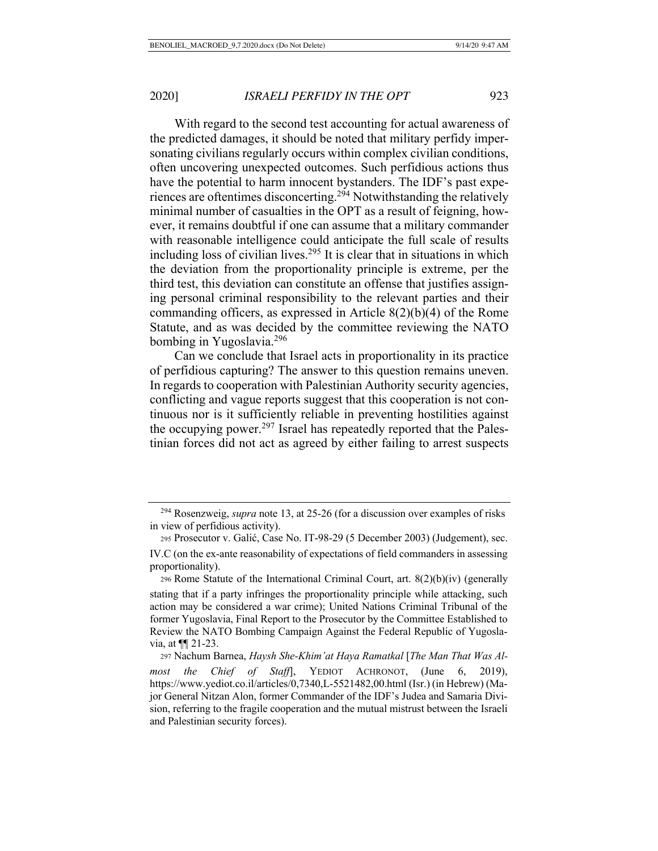With regard to the second test accounting for actual awareness of the predicted damages, it should be noted that military perfidy impersonating civilians regularly occurs within complex civilian conditions, often uncovering unexpected outcomes. Such perfidious actions thus have the potential to harm innocent bystanders. The IDF's past experiences are oftentimes disconcerting.294 Notwithstanding the relatively minimal number of casualties in the OPT as a result of feigning, however, it remains doubtful if one can assume that a military commander with reasonable intelligence could anticipate the full scale of results including loss of civilian lives.<sup>295</sup> It is clear that in situations in which the deviation from the proportionality principle is extreme, per the third test, this deviation can constitute an offense that justifies assigning personal criminal responsibility to the relevant parties and their commanding officers, as expressed in Article 8(2)(b)(4) of the Rome Statute, and as was decided by the committee reviewing the NATO bombing in Yugoslavia.296

Can we conclude that Israel acts in proportionality in its practice of perfidious capturing? The answer to this question remains uneven. In regards to cooperation with Palestinian Authority security agencies, conflicting and vague reports suggest that this cooperation is not continuous nor is it sufficiently reliable in preventing hostilities against the occupying power.<sup>297</sup> Israel has repeatedly reported that the Palestinian forces did not act as agreed by either failing to arrest suspects

 <sup>294</sup> Rosenzweig, *supra* note 13, at 25-26 (for a discussion over examples of risks in view of perfidious activity).

<sup>295</sup> Prosecutor v. Galić, Case No. IT-98-29 (5 December 2003) (Judgement), sec. IV.C (on the ex-ante reasonability of expectations of field commanders in assessing proportionality).

<sup>296</sup> Rome Statute of the International Criminal Court, art. 8(2)(b)(iv) (generally stating that if a party infringes the proportionality principle while attacking, such action may be considered a war crime); United Nations Criminal Tribunal of the former Yugoslavia, Final Report to the Prosecutor by the Committee Established to Review the NATO Bombing Campaign Against the Federal Republic of Yugoslavia, at ¶¶ 21-23.

<sup>297</sup> Nachum Barnea, *Haysh She-Khim'at Haya Ramatkal* [*The Man That Was Almost the Chief of Staff*], YEDIOT ACHRONOT, (June 6, 2019), https://www.yediot.co.il/articles/0,7340,L-5521482,00.html (Isr.) (in Hebrew) (Major General Nitzan Alon, former Commander of the IDF's Judea and Samaria Division, referring to the fragile cooperation and the mutual mistrust between the Israeli and Palestinian security forces).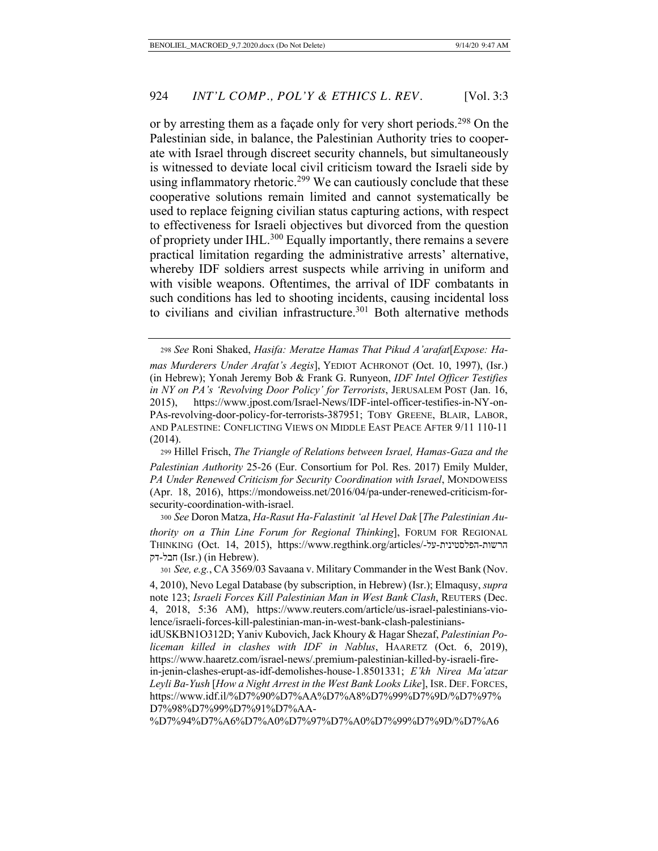or by arresting them as a façade only for very short periods.<sup>298</sup> On the Palestinian side, in balance, the Palestinian Authority tries to cooperate with Israel through discreet security channels, but simultaneously is witnessed to deviate local civil criticism toward the Israeli side by using inflammatory rhetoric.<sup>299</sup> We can cautiously conclude that these cooperative solutions remain limited and cannot systematically be used to replace feigning civilian status capturing actions, with respect to effectiveness for Israeli objectives but divorced from the question of propriety under IHL.<sup>300</sup> Equally importantly, there remains a severe practical limitation regarding the administrative arrests' alternative, whereby IDF soldiers arrest suspects while arriving in uniform and with visible weapons. Oftentimes, the arrival of IDF combatants in such conditions has led to shooting incidents, causing incidental loss to civilians and civilian infrastructure.<sup>301</sup> Both alternative methods

<sup>298</sup> *See* Roni Shaked, *Hasifa: Meratze Hamas That Pikud A'arafat*[*Expose: Hamas Murderers Under Arafat's Aegis*], YEDIOT ACHRONOT (Oct. 10, 1997), (Isr.) (in Hebrew); Yonah Jeremy Bob & Frank G. Runyeon, *IDF Intel Officer Testifies in NY on PA's 'Revolving Door Policy' for Terrorists*, JERUSALEM POST (Jan. 16, 2015), https://www.jpost.com/Israel-News/IDF-intel-officer-testifies-in-NY-on-PAs-revolving-door-policy-for-terrorists-387951; TOBY GREENE, BLAIR, LABOR, AND PALESTINE: CONFLICTING VIEWS ON MIDDLE EAST PEACE AFTER 9/11 110-11 (2014).

<sup>299</sup> Hillel Frisch, *The Triangle of Relations between Israel, Hamas-Gaza and the Palestinian Authority* 25-26 (Eur. Consortium for Pol. Res. 2017) Emily Mulder, *PA Under Renewed Criticism for Security Coordination with Israel*, MONDOWEISS (Apr. 18, 2016), https://mondoweiss.net/2016/04/pa-under-renewed-criticism-forsecurity-coordination-with-israel.

<sup>300</sup> *See* Doron Matza, *Ha-Rasut Ha-Falastinit 'al Hevel Dak* [*The Palestinian Authority on a Thin Line Forum for Regional Thinking*], FORUM FOR REGIONAL THINKING (Oct. 14, 2015), https://www.regthink.org/articles/- לע - תיניטסלפה - תושרה הבל-דק (Isr.) (in Hebrew).

<sup>301</sup> *See, e.g.*, CA 3569/03 Savaana v. Military Commander in the West Bank (Nov.

<sup>4, 2010),</sup> Nevo Legal Database (by subscription, in Hebrew) (Isr.); Elmaqusy, *supra* note 123; *Israeli Forces Kill Palestinian Man in West Bank Clash*, REUTERS (Dec. 4, 2018, 5:36 AM), https://www.reuters.com/article/us-israel-palestinians-violence/israeli-forces-kill-palestinian-man-in-west-bank-clash-palestinians-

idUSKBN1O312D; Yaniv Kubovich, Jack Khoury & Hagar Shezaf, *Palestinian Policeman killed in clashes with IDF in Nablus*, HAARETZ (Oct. 6, 2019), https://www.haaretz.com/israel-news/.premium-palestinian-killed-by-israeli-fire-

in-jenin-clashes-erupt-as-idf-demolishes-house-1.8501331; *E'kh Nirea Ma'atzar Leyli Ba-Yush* [*How a Night Arrest in the West Bank Looks Like*], ISR. DEF. FORCES, https://www.idf.il/%D7%90%D7%AA%D7%A8%D7%99%D7%9D/%D7%97% D7%98%D7%99%D7%91%D7%AA-

<sup>%</sup>D7%94%D7%A6%D7%A0%D7%97%D7%A0%D7%99%D7%9D/%D7%A6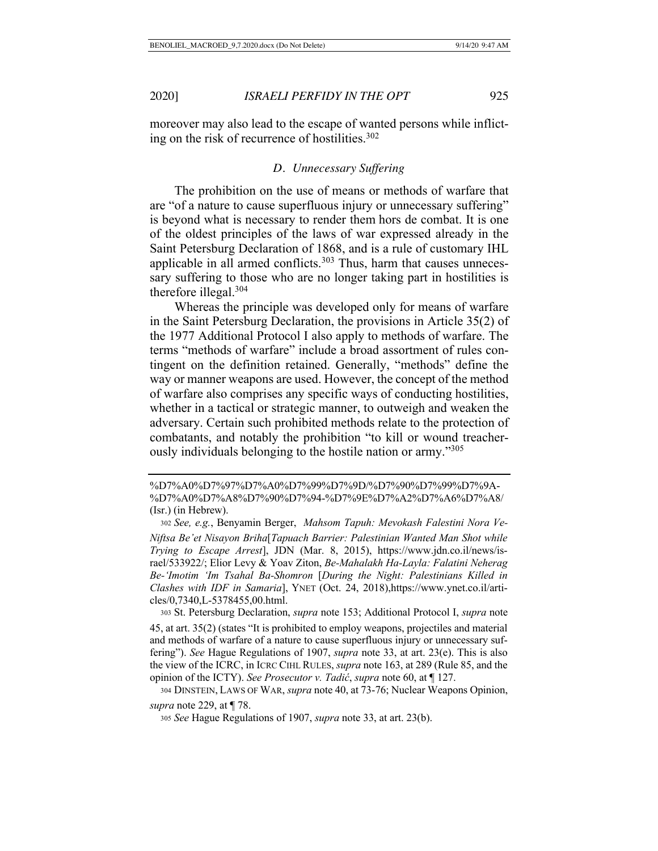moreover may also lead to the escape of wanted persons while inflicting on the risk of recurrence of hostilities. $302$ 

#### *D. Unnecessary Suffering*

The prohibition on the use of means or methods of warfare that are "of a nature to cause superfluous injury or unnecessary suffering" is beyond what is necessary to render them hors de combat. It is one of the oldest principles of the laws of war expressed already in the Saint Petersburg Declaration of 1868, and is a rule of customary IHL applicable in all armed conflicts.<sup>303</sup> Thus, harm that causes unnecessary suffering to those who are no longer taking part in hostilities is therefore illegal.304

Whereas the principle was developed only for means of warfare in the Saint Petersburg Declaration, the provisions in Article 35(2) of the 1977 Additional Protocol I also apply to methods of warfare. The terms "methods of warfare" include a broad assortment of rules contingent on the definition retained. Generally, "methods" define the way or manner weapons are used. However, the concept of the method of warfare also comprises any specific ways of conducting hostilities, whether in a tactical or strategic manner, to outweigh and weaken the adversary. Certain such prohibited methods relate to the protection of combatants, and notably the prohibition "to kill or wound treacherously individuals belonging to the hostile nation or army."305

%D7%A0%D7%97%D7%A0%D7%99%D7%9D/%D7%90%D7%99%D7%9A- %D7%A0%D7%A8%D7%90%D7%94-%D7%9E%D7%A2%D7%A6%D7%A8/ (Isr.) (in Hebrew).

<sup>303</sup> St. Petersburg Declaration, *supra* note 153; Additional Protocol I, *supra* note 45, at art. 35(2) (states "It is prohibited to employ weapons, projectiles and material and methods of warfare of a nature to cause superfluous injury or unnecessary suffering"). *See* Hague Regulations of 1907, *supra* note 33, at art. 23(e). This is also the view of the ICRC, in ICRC CIHL RULES, *supra* note 163, at 289 (Rule 85, and the opinion of the ICTY). *See Prosecutor v. Tadić*, *supra* note 60, at ¶ 127.

304 DINSTEIN, LAWS OF WAR, *supra* note 40, at 73-76; Nuclear Weapons Opinion, *supra* note 229, at ¶ 78.

<sup>302</sup> *See, e.g.*, Benyamin Berger, *Mahsom Tapuh: Mevokash Falestini Nora Ve-Niftsa Be'et Nisayon Briha*[*Tapuach Barrier: Palestinian Wanted Man Shot while Trying to Escape Arrest*], JDN (Mar. 8, 2015), https://www.jdn.co.il/news/israel/533922/; Elior Levy & Yoav Ziton, *Be-Mahalakh Ha-Layla: Falatini Neherag Be-'Imotim 'Im Tsahal Ba-Shomron* [*During the Night: Palestinians Killed in Clashes with IDF in Samaria*], YNET (Oct. 24, 2018),https://www.ynet.co.il/articles/0,7340,L-5378455,00.html.

<sup>305</sup> *See* Hague Regulations of 1907, *supra* note 33, at art. 23(b).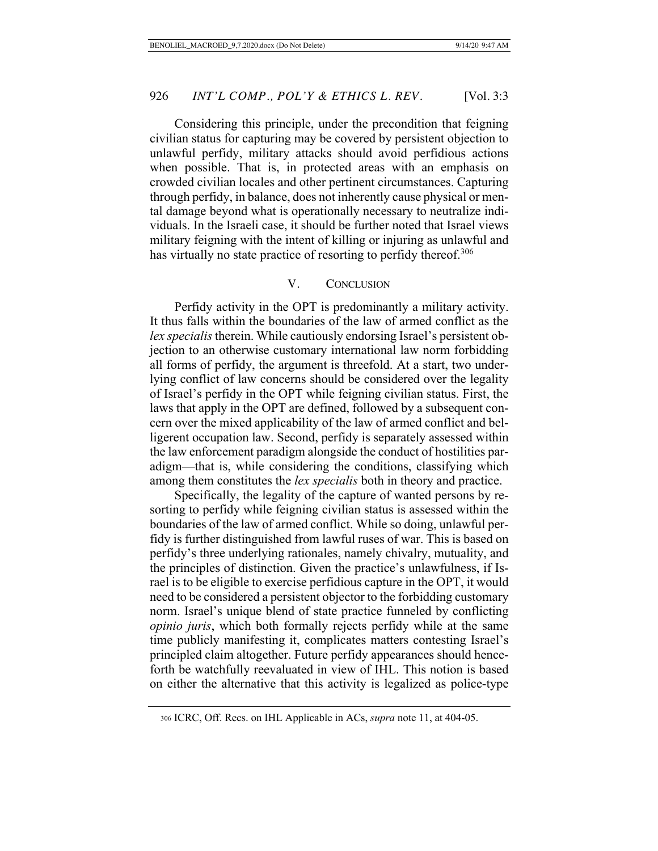Considering this principle, under the precondition that feigning civilian status for capturing may be covered by persistent objection to unlawful perfidy, military attacks should avoid perfidious actions when possible. That is, in protected areas with an emphasis on crowded civilian locales and other pertinent circumstances. Capturing through perfidy, in balance, does not inherently cause physical or mental damage beyond what is operationally necessary to neutralize individuals. In the Israeli case, it should be further noted that Israel views military feigning with the intent of killing or injuring as unlawful and has virtually no state practice of resorting to perfidy thereof.<sup>306</sup>

# V. CONCLUSION

Perfidy activity in the OPT is predominantly a military activity. It thus falls within the boundaries of the law of armed conflict as the *lex specialis* therein. While cautiously endorsing Israel's persistent objection to an otherwise customary international law norm forbidding all forms of perfidy, the argument is threefold. At a start, two underlying conflict of law concerns should be considered over the legality of Israel's perfidy in the OPT while feigning civilian status. First, the laws that apply in the OPT are defined, followed by a subsequent concern over the mixed applicability of the law of armed conflict and belligerent occupation law. Second, perfidy is separately assessed within the law enforcement paradigm alongside the conduct of hostilities paradigm—that is, while considering the conditions, classifying which among them constitutes the *lex specialis* both in theory and practice.

Specifically, the legality of the capture of wanted persons by resorting to perfidy while feigning civilian status is assessed within the boundaries of the law of armed conflict. While so doing, unlawful perfidy is further distinguished from lawful ruses of war. This is based on perfidy's three underlying rationales, namely chivalry, mutuality, and the principles of distinction. Given the practice's unlawfulness, if Israel is to be eligible to exercise perfidious capture in the OPT, it would need to be considered a persistent objector to the forbidding customary norm. Israel's unique blend of state practice funneled by conflicting *opinio juris*, which both formally rejects perfidy while at the same time publicly manifesting it, complicates matters contesting Israel's principled claim altogether. Future perfidy appearances should henceforth be watchfully reevaluated in view of IHL. This notion is based on either the alternative that this activity is legalized as police-type

<sup>306</sup> ICRC, Off. Recs. on IHL Applicable in ACs, *supra* note 11, at 404-05.